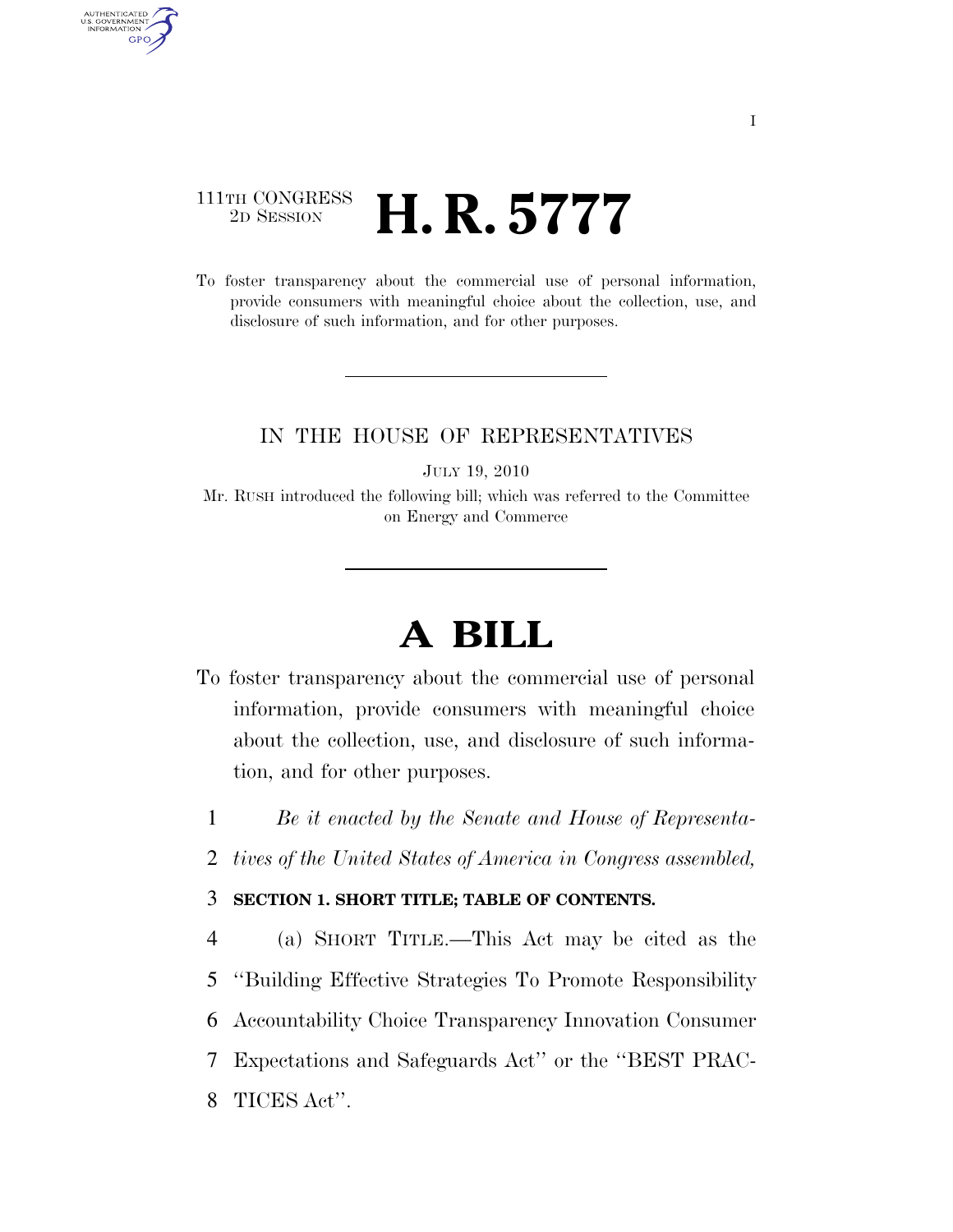## 111TH CONGRESS <sup>2D SESSION</sup> **H. R. 5777**

AUTHENTICATED<br>U.S. GOVERNMENT<br>INFORMATION **GPO** 

> To foster transparency about the commercial use of personal information, provide consumers with meaningful choice about the collection, use, and disclosure of such information, and for other purposes.

## IN THE HOUSE OF REPRESENTATIVES

JULY 19, 2010

Mr. RUSH introduced the following bill; which was referred to the Committee on Energy and Commerce

# **A BILL**

- To foster transparency about the commercial use of personal information, provide consumers with meaningful choice about the collection, use, and disclosure of such information, and for other purposes.
	- 1 *Be it enacted by the Senate and House of Representa-*
	- 2 *tives of the United States of America in Congress assembled,*

### 3 **SECTION 1. SHORT TITLE; TABLE OF CONTENTS.**

 (a) SHORT TITLE.—This Act may be cited as the ''Building Effective Strategies To Promote Responsibility Accountability Choice Transparency Innovation Consumer Expectations and Safeguards Act'' or the ''BEST PRAC-TICES Act''.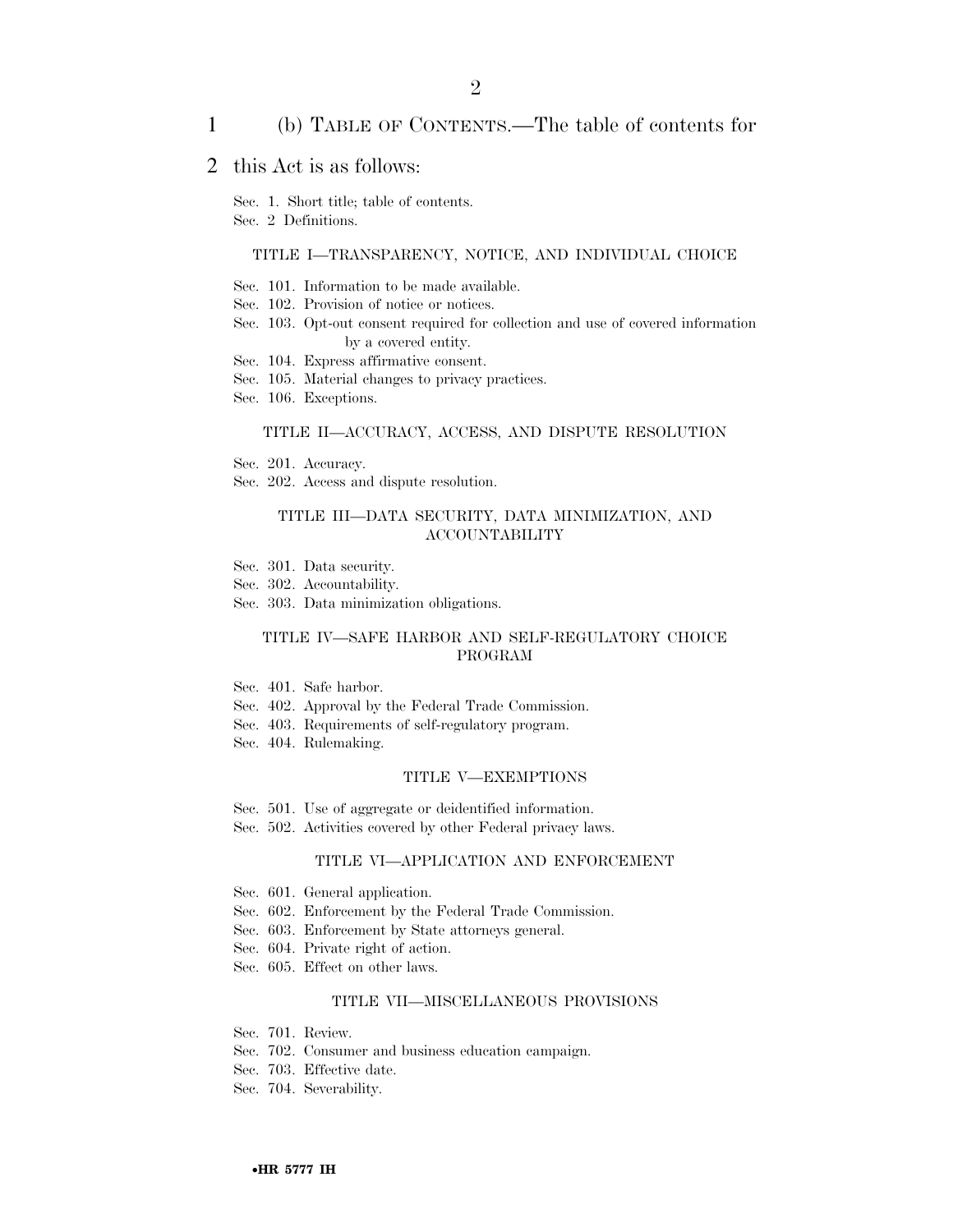#### 1 (b) TABLE OF CONTENTS.—The table of contents for

## 2 this Act is as follows:

Sec. 1. Short title; table of contents.

Sec. 2 Definitions.

#### TITLE I—TRANSPARENCY, NOTICE, AND INDIVIDUAL CHOICE

- Sec. 101. Information to be made available.
- Sec. 102. Provision of notice or notices.
- Sec. 103. Opt-out consent required for collection and use of covered information by a covered entity.
- Sec. 104. Express affirmative consent.
- Sec. 105. Material changes to privacy practices.
- Sec. 106. Exceptions.

#### TITLE II—ACCURACY, ACCESS, AND DISPUTE RESOLUTION

- Sec. 201. Accuracy.
- Sec. 202. Access and dispute resolution.

#### TITLE III—DATA SECURITY, DATA MINIMIZATION, AND ACCOUNTABILITY

- Sec. 301. Data security.
- Sec. 302. Accountability.
- Sec. 303. Data minimization obligations.

#### TITLE IV—SAFE HARBOR AND SELF-REGULATORY CHOICE PROGRAM

- Sec. 401. Safe harbor.
- Sec. 402. Approval by the Federal Trade Commission.
- Sec. 403. Requirements of self-regulatory program.
- Sec. 404. Rulemaking.

#### TITLE V—EXEMPTIONS

- Sec. 501. Use of aggregate or deidentified information.
- Sec. 502. Activities covered by other Federal privacy laws.

#### TITLE VI—APPLICATION AND ENFORCEMENT

- Sec. 601. General application.
- Sec. 602. Enforcement by the Federal Trade Commission.
- Sec. 603. Enforcement by State attorneys general.
- Sec. 604. Private right of action.
- Sec. 605. Effect on other laws.

#### TITLE VII—MISCELLANEOUS PROVISIONS

- Sec. 701. Review.
- Sec. 702. Consumer and business education campaign.
- Sec. 703. Effective date.
- Sec. 704. Severability.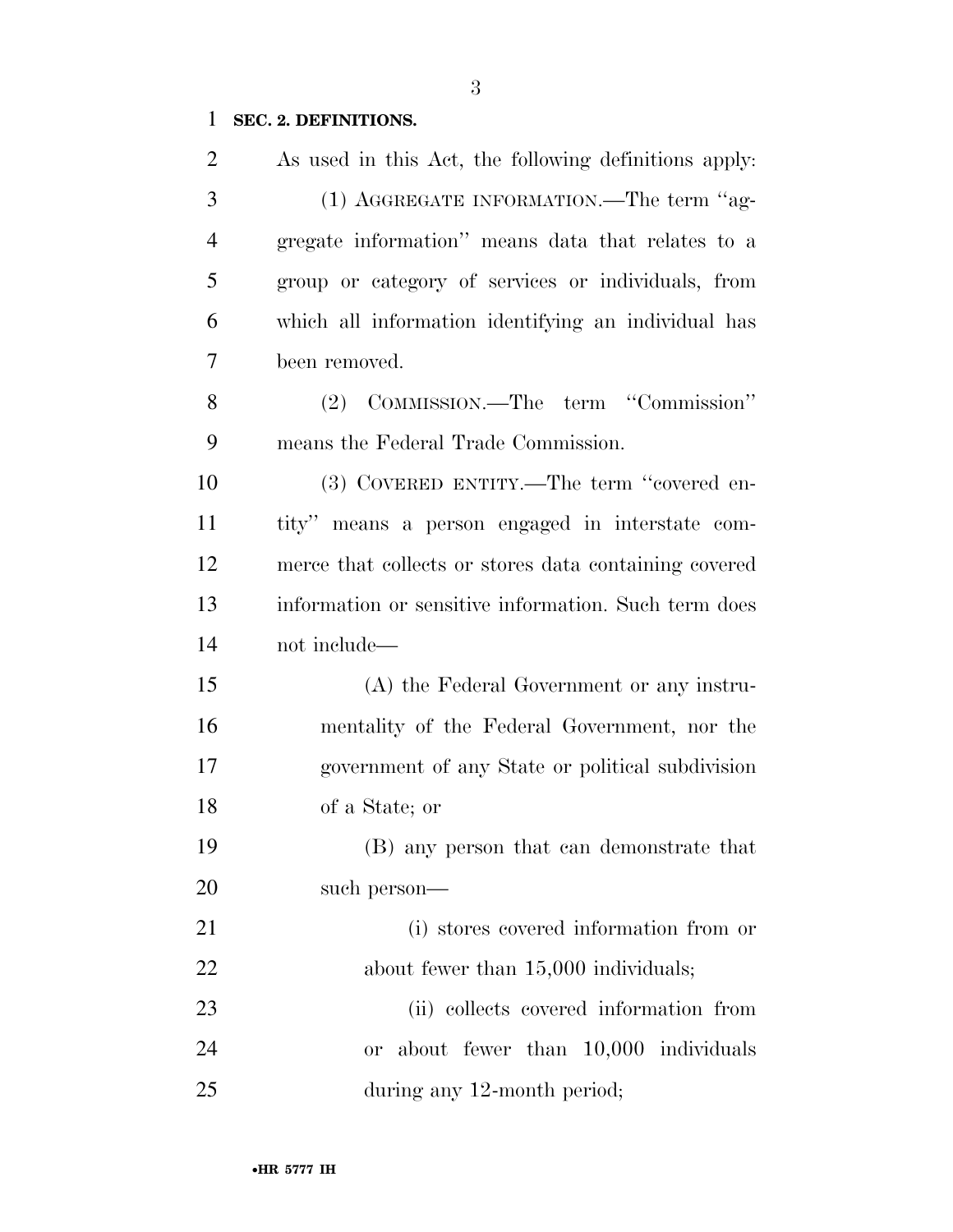## **SEC. 2. DEFINITIONS.**

| $\overline{2}$ | As used in this Act, the following definitions apply: |
|----------------|-------------------------------------------------------|
| 3              | (1) AGGREGATE INFORMATION.—The term "ag-              |
| $\overline{4}$ | gregate information" means data that relates to a     |
| 5              | group or category of services or individuals, from    |
| 6              | which all information identifying an individual has   |
| 7              | been removed.                                         |
| 8              | (2) COMMISSION.—The term "Commission"                 |
| 9              | means the Federal Trade Commission.                   |
| 10             | (3) COVERED ENTITY.—The term "covered en-             |
| 11             | tity" means a person engaged in interstate com-       |
| 12             | merce that collects or stores data containing covered |
| 13             | information or sensitive information. Such term does  |
| 14             | not include—                                          |
| 15             | (A) the Federal Government or any instru-             |
| 16             | mentality of the Federal Government, nor the          |
| 17             | government of any State or political subdivision      |
| 18             | of a State; or                                        |
| 19             | (B) any person that can demonstrate that              |
| 20             | such person—                                          |
| 21             | (i) stores covered information from or                |
| 22             | about fewer than 15,000 individuals;                  |
| 23             | (ii) collects covered information from                |
| 24             | or about fewer than 10,000 individuals                |
| 25             | during any 12-month period;                           |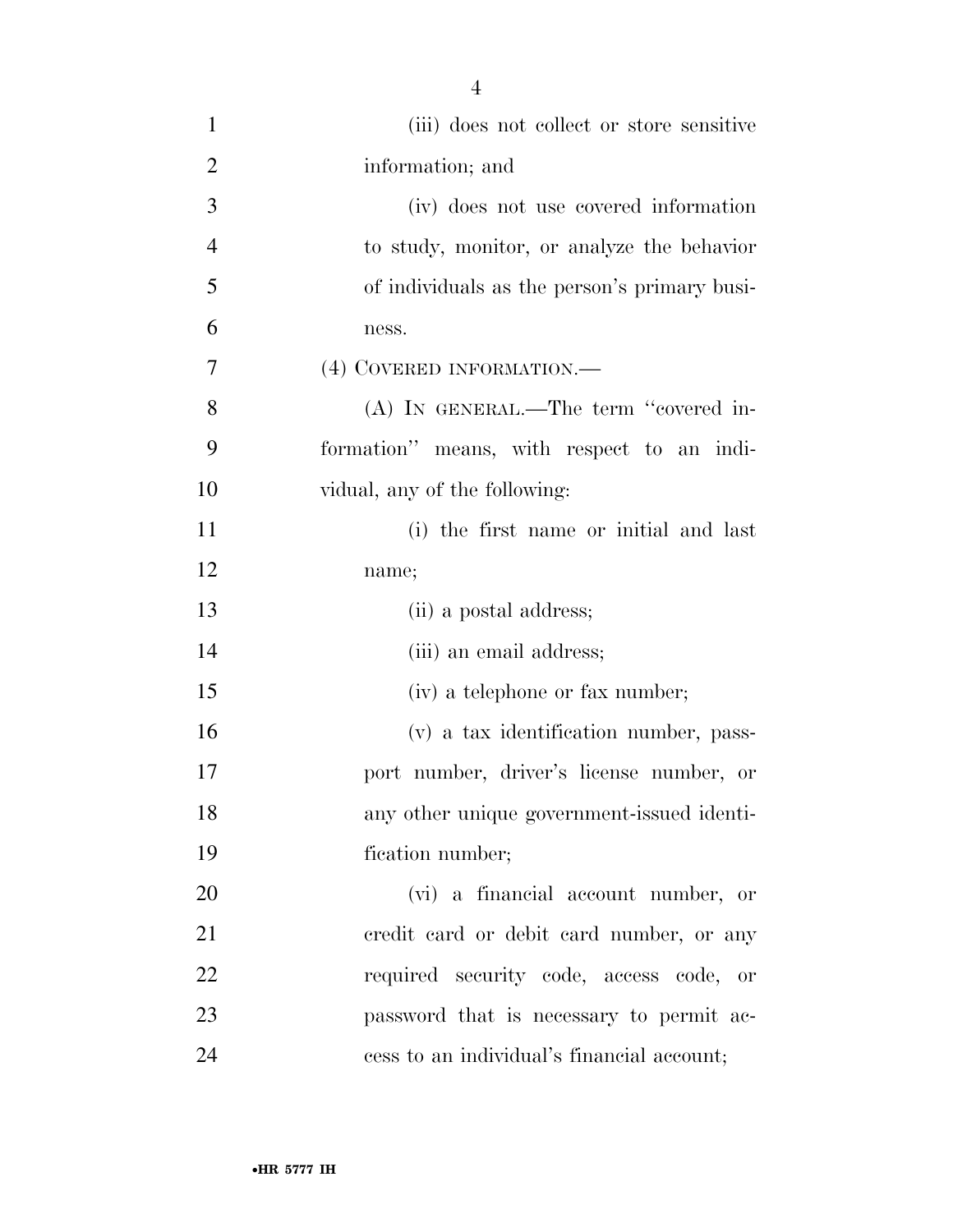| $\mathbf{1}$   | (iii) does not collect or store sensitive    |
|----------------|----------------------------------------------|
| $\overline{2}$ | information; and                             |
| 3              | (iv) does not use covered information        |
| $\overline{4}$ | to study, monitor, or analyze the behavior   |
| 5              | of individuals as the person's primary busi- |
| 6              | ness.                                        |
| $\overline{7}$ | (4) COVERED INFORMATION.—                    |
| 8              | (A) IN GENERAL.—The term "covered in-        |
| 9              | formation" means, with respect to an indi-   |
| 10             | vidual, any of the following:                |
| 11             | (i) the first name or initial and last       |
| 12             | name;                                        |
| 13             | (ii) a postal address;                       |
| 14             | (iii) an email address;                      |
| 15             | (iv) a telephone or fax number;              |
| 16             | (v) a tax identification number, pass-       |
| 17             | port number, driver's license number, or     |
| 18             | any other unique government-issued identi-   |
| 19             | fication number;                             |
| 20             | (vi) a financial account number, or          |
| 21             | eredit card or debit card number, or any     |
| 22             | required security code, access code, or      |
| 23             | password that is necessary to permit ac-     |
| 24             | cess to an individual's financial account;   |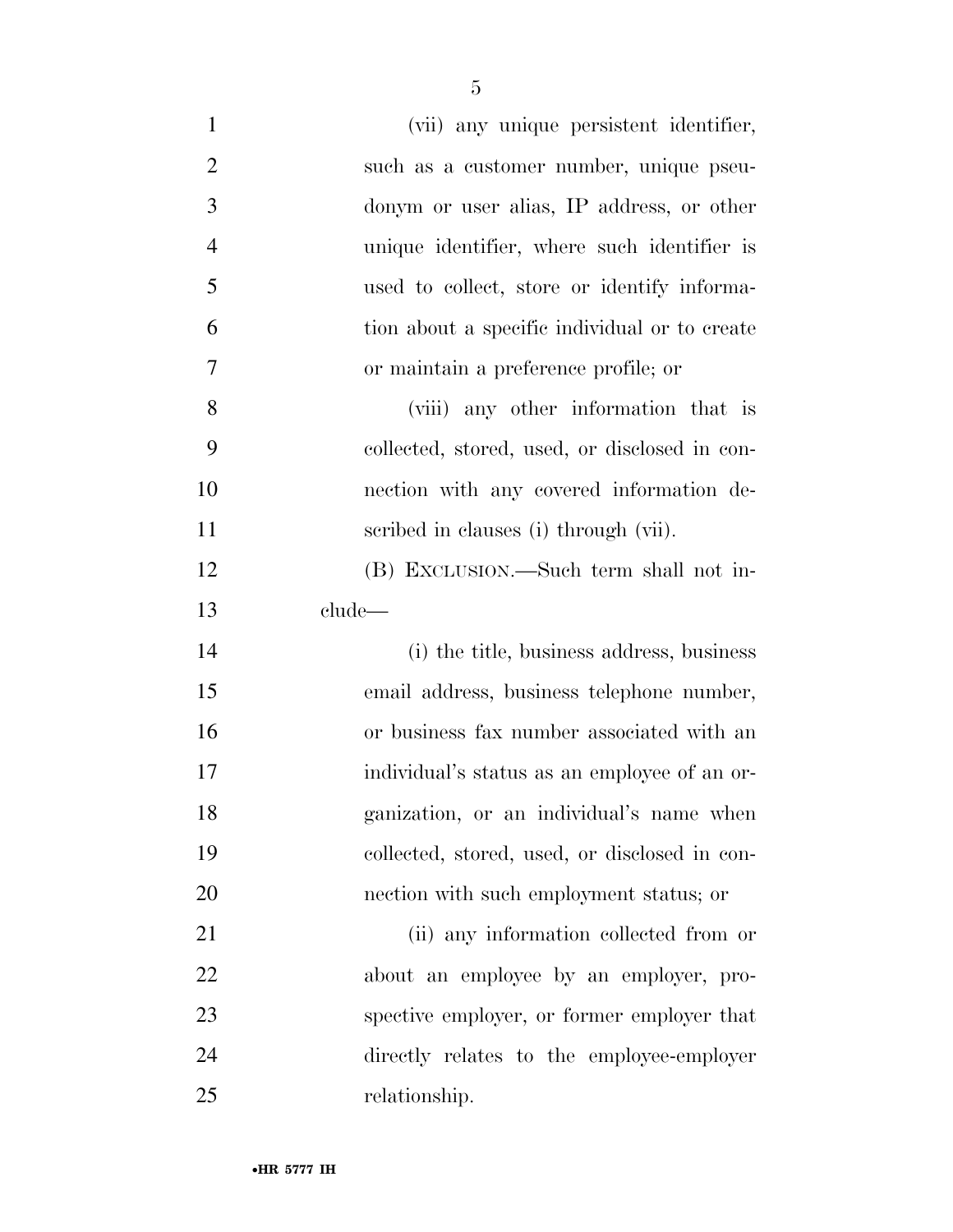| $\mathbf{1}$   | (vii) any unique persistent identifier,       |
|----------------|-----------------------------------------------|
| $\overline{2}$ | such as a customer number, unique pseu-       |
| 3              | donym or user alias, IP address, or other     |
| $\overline{4}$ | unique identifier, where such identifier is   |
| 5              | used to collect, store or identify informa-   |
| 6              | tion about a specific individual or to create |
| 7              | or maintain a preference profile; or          |
| 8              | (viii) any other information that is          |
| 9              | collected, stored, used, or disclosed in con- |
| 10             | nection with any covered information de-      |
| 11             | scribed in clauses (i) through (vii).         |
| 12             | (B) EXCLUSION.—Such term shall not in-        |
| 13             | clude—                                        |
| 14             | (i) the title, business address, business     |
| 15             | email address, business telephone number,     |
| 16             | or business fax number associated with an     |
| 17             | individual's status as an employee of an or-  |
| 18             | ganization, or an individual's name when      |
| 19             | collected, stored, used, or disclosed in con- |
| 20             | nection with such employment status; or       |
| 21             | (ii) any information collected from or        |
| 22             | about an employee by an employer, pro-        |
| 23             | spective employer, or former employer that    |
| 24             | directly relates to the employee-employer     |
| 25             | relationship.                                 |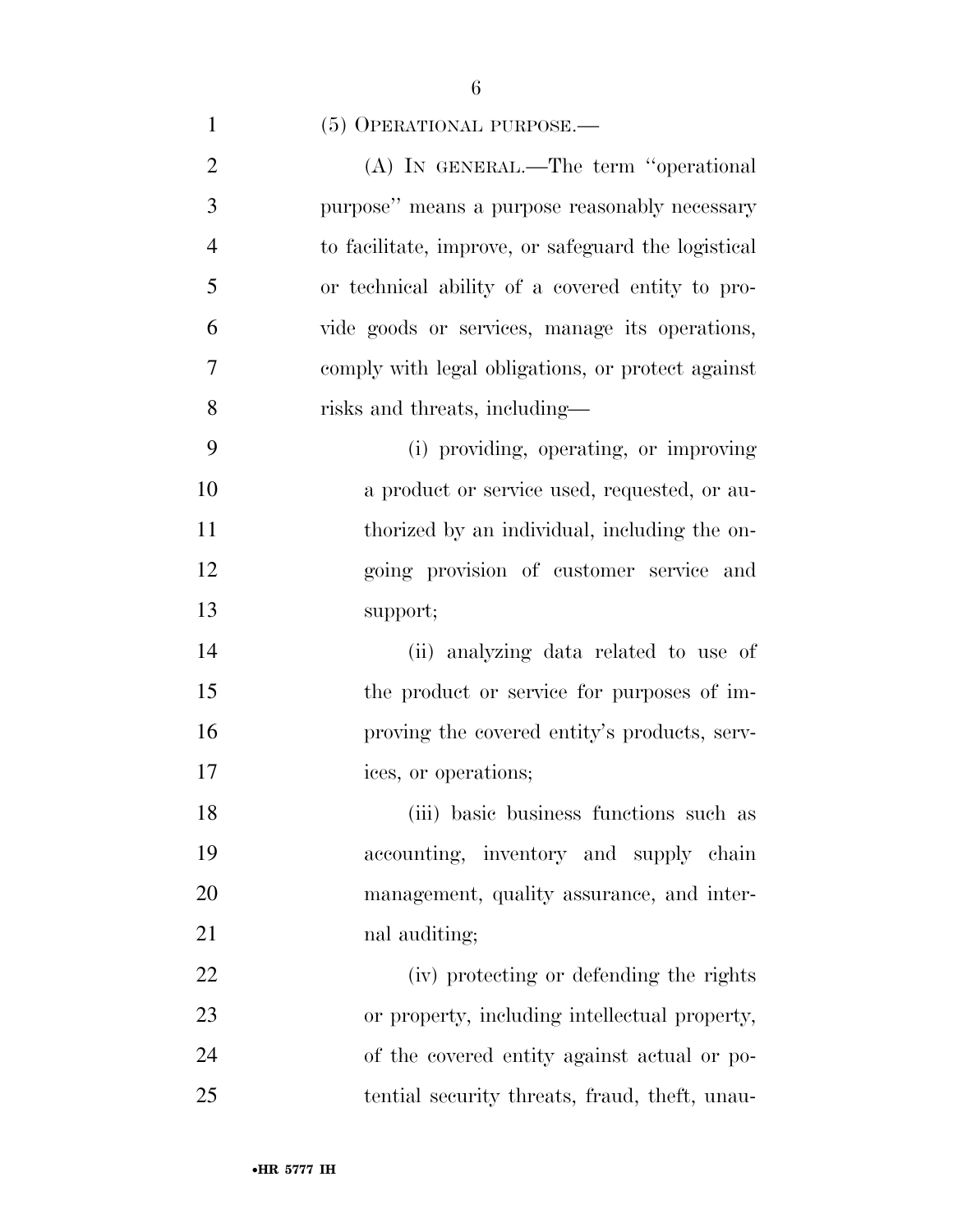## 1 (5) OPERATIONAL PURPOSE.—

| $\overline{2}$ | (A) IN GENERAL.—The term "operational               |
|----------------|-----------------------------------------------------|
| 3              | purpose" means a purpose reasonably necessary       |
| $\overline{4}$ | to facilitate, improve, or safeguard the logistical |
| 5              | or technical ability of a covered entity to pro-    |
| 6              | vide goods or services, manage its operations,      |
| $\overline{7}$ | comply with legal obligations, or protect against   |
| 8              | risks and threats, including—                       |
| 9              | (i) providing, operating, or improving              |
| 10             | a product or service used, requested, or au-        |
| 11             | thorized by an individual, including the on-        |
| 12             | going provision of customer service and             |
| 13             | support;                                            |
| 14             | (ii) analyzing data related to use of               |
| 15             | the product or service for purposes of im-          |
| 16             | proving the covered entity's products, serv-        |
| 17             | ices, or operations;                                |
|                |                                                     |

 (iii) basic business functions such as accounting, inventory and supply chain management, quality assurance, and inter-nal auditing;

 (iv) protecting or defending the rights or property, including intellectual property, of the covered entity against actual or po-tential security threats, fraud, theft, unau-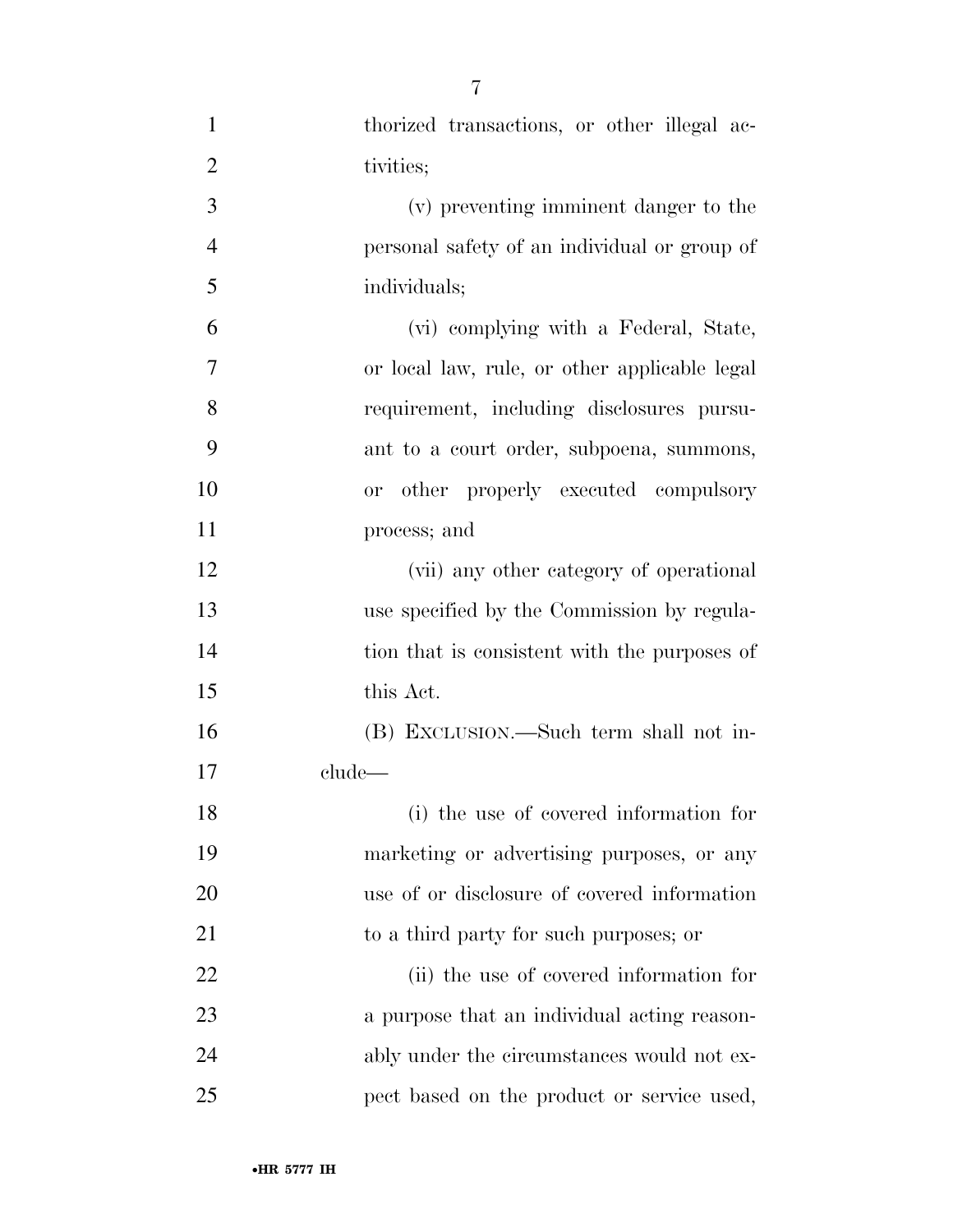| $\mathbf{1}$   | thorized transactions, or other illegal ac-   |
|----------------|-----------------------------------------------|
| $\overline{2}$ | tivities;                                     |
| 3              | (v) preventing imminent danger to the         |
| $\overline{4}$ | personal safety of an individual or group of  |
| 5              | individuals;                                  |
| 6              | (vi) complying with a Federal, State,         |
| 7              | or local law, rule, or other applicable legal |
| 8              | requirement, including disclosures pursu-     |
| 9              | ant to a court order, subpoena, summons,      |
| 10             | or other properly executed compulsory         |
| 11             | process; and                                  |
| 12             | (vii) any other category of operational       |
| 13             | use specified by the Commission by regula-    |
| 14             | tion that is consistent with the purposes of  |
| 15             | this Act.                                     |
| 16             | (B) EXCLUSION.—Such term shall not in-        |
| 17             | clude—                                        |
| 18             | (i) the use of covered information for        |
| 19             | marketing or advertising purposes, or any     |
| 20             | use of or disclosure of covered information   |
| 21             | to a third party for such purposes; or        |
| 22             | (ii) the use of covered information for       |
| 23             | a purpose that an individual acting reason-   |
| 24             | ably under the circumstances would not ex-    |
| 25             | pect based on the product or service used,    |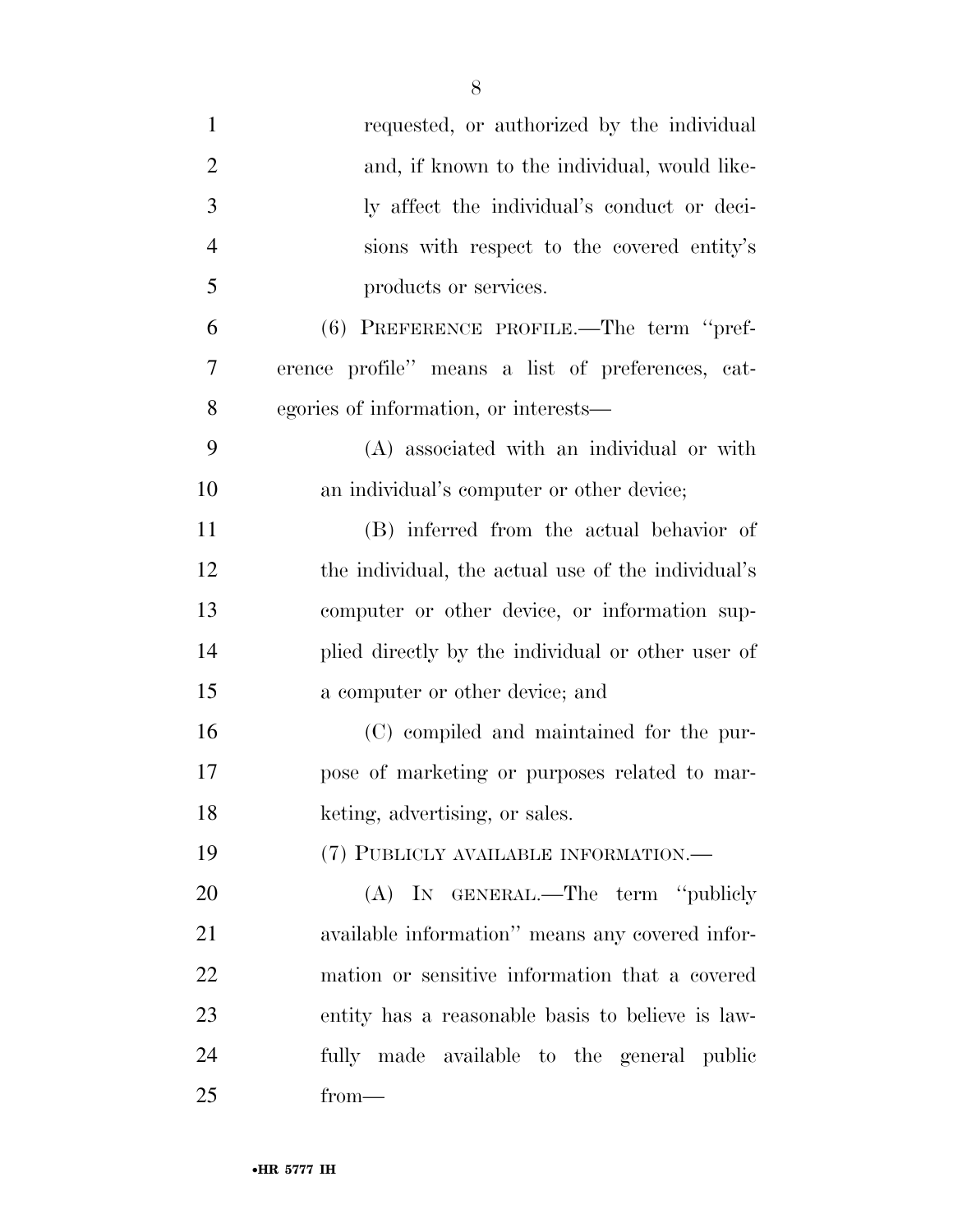| $\mathbf{1}$   | requested, or authorized by the individual         |
|----------------|----------------------------------------------------|
| $\overline{2}$ | and, if known to the individual, would like-       |
| 3              | ly affect the individual's conduct or deci-        |
| $\overline{4}$ | sions with respect to the covered entity's         |
| 5              | products or services.                              |
| 6              | (6) PREFERENCE PROFILE.—The term "pref-            |
| $\overline{7}$ | erence profile" means a list of preferences, cat-  |
| 8              | egories of information, or interests—              |
| 9              | (A) associated with an individual or with          |
| 10             | an individual's computer or other device;          |
| 11             | (B) inferred from the actual behavior of           |
| 12             | the individual, the actual use of the individual's |
| 13             | computer or other device, or information sup-      |
| 14             | plied directly by the individual or other user of  |
| 15             | a computer or other device; and                    |
| 16             | (C) compiled and maintained for the pur-           |
| 17             | pose of marketing or purposes related to mar-      |
| 18             | keting, advertising, or sales.                     |
| 19             | (7) PUBLICLY AVAILABLE INFORMATION.—               |
| 20             | (A) IN GENERAL.—The term "publicly                 |
| 21             | available information" means any covered infor-    |
| 22             | mation or sensitive information that a covered     |
| 23             | entity has a reasonable basis to believe is law-   |
| 24             | fully made available to the general public         |
| 25             | $from-$                                            |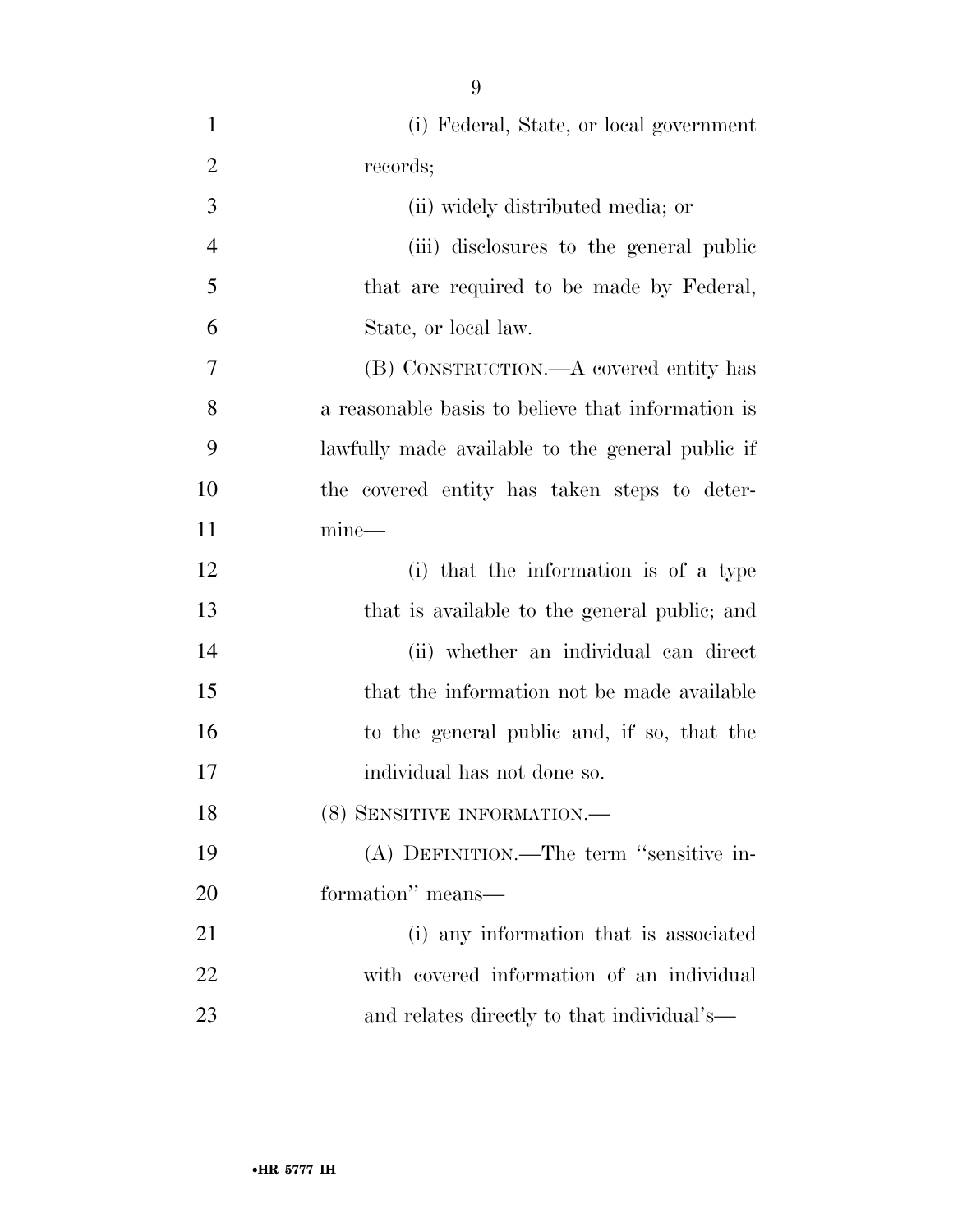| 1              | (i) Federal, State, or local government           |
|----------------|---------------------------------------------------|
| $\overline{2}$ | records;                                          |
| 3              | (ii) widely distributed media; or                 |
| $\overline{4}$ | (iii) disclosures to the general public           |
| 5              | that are required to be made by Federal,          |
| 6              | State, or local law.                              |
| $\overline{7}$ | (B) CONSTRUCTION.—A covered entity has            |
| 8              | a reasonable basis to believe that information is |
| 9              | lawfully made available to the general public if  |
| 10             | the covered entity has taken steps to deter-      |
| 11             | $mine$ —                                          |
| 12             | (i) that the information is of a type             |
| 13             | that is available to the general public; and      |
| 14             | (ii) whether an individual can direct             |
| 15             | that the information not be made available        |
| 16             | to the general public and, if so, that the        |
| 17             | individual has not done so.                       |
| 18             | (8) SENSITIVE INFORMATION.-                       |
| 19             | (A) DEFINITION.—The term "sensitive in-           |
| <b>20</b>      | formation" means—                                 |
| 21             | (i) any information that is associated            |
| 22             | with covered information of an individual         |
| 23             | and relates directly to that individual's—        |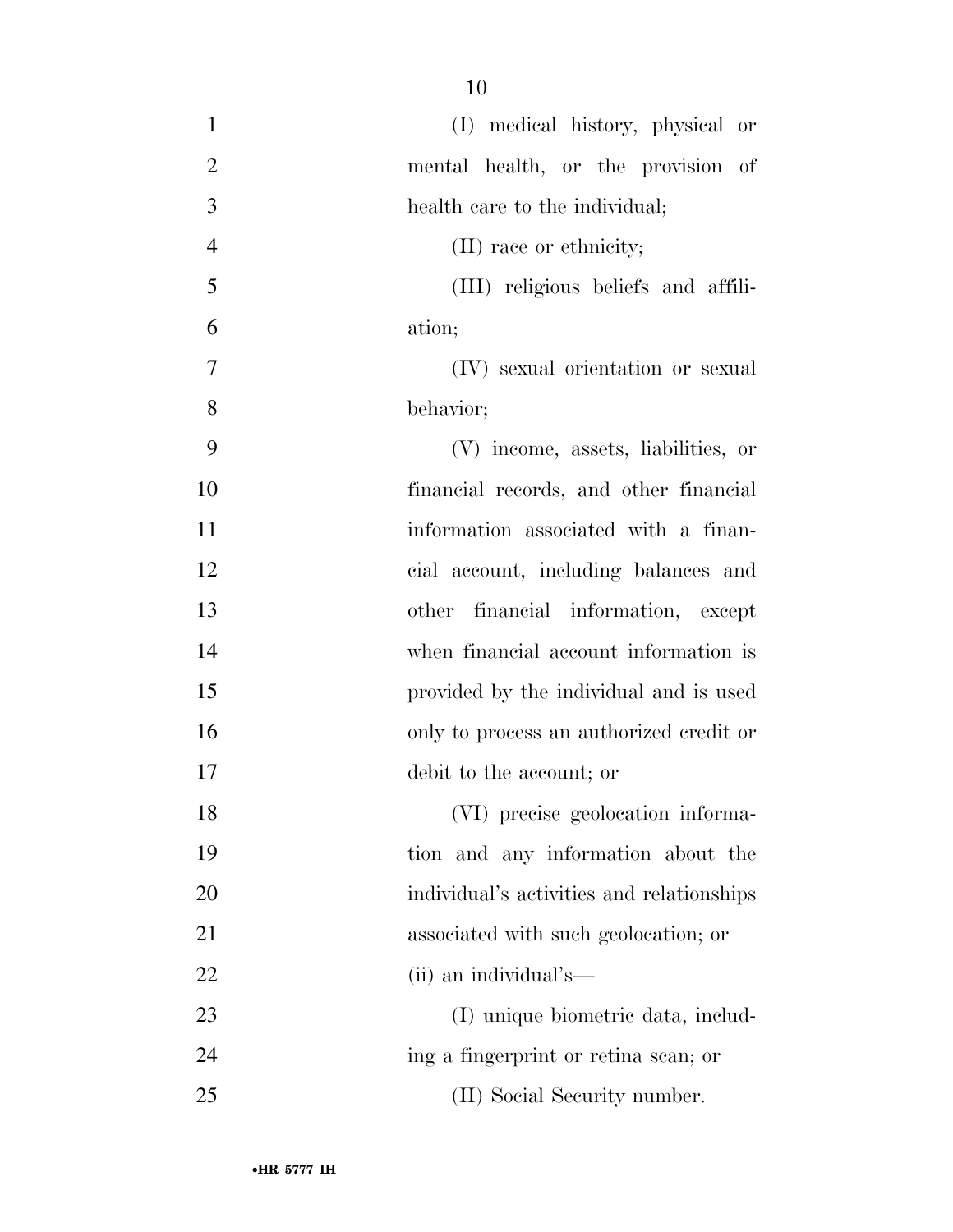| $\mathbf{1}$   | (I) medical history, physical or          |
|----------------|-------------------------------------------|
| $\overline{2}$ | mental health, or the provision of        |
| 3              | health care to the individual;            |
| $\overline{4}$ | (II) race or ethnicity;                   |
| 5              | (III) religious beliefs and affili-       |
| 6              | ation;                                    |
| 7              | (IV) sexual orientation or sexual         |
| 8              | behavior;                                 |
| 9              | (V) income, assets, liabilities, or       |
| 10             | financial records, and other financial    |
| 11             | information associated with a finan-      |
| 12             | cial account, including balances and      |
| 13             | other financial information, except       |
| 14             | when financial account information is     |
| 15             | provided by the individual and is used    |
| 16             | only to process an authorized credit or   |
| 17             | debit to the account; or                  |
| 18             | (VI) precise geolocation informa-         |
| 19             | tion and any information about the        |
| 20             | individual's activities and relationships |
| 21             | associated with such geolocation; or      |
| 22             | (ii) an individual's—                     |
| 23             | (I) unique biometric data, includ-        |
| 24             | ing a fingerprint or retina scan; or      |
| 25             | (II) Social Security number.              |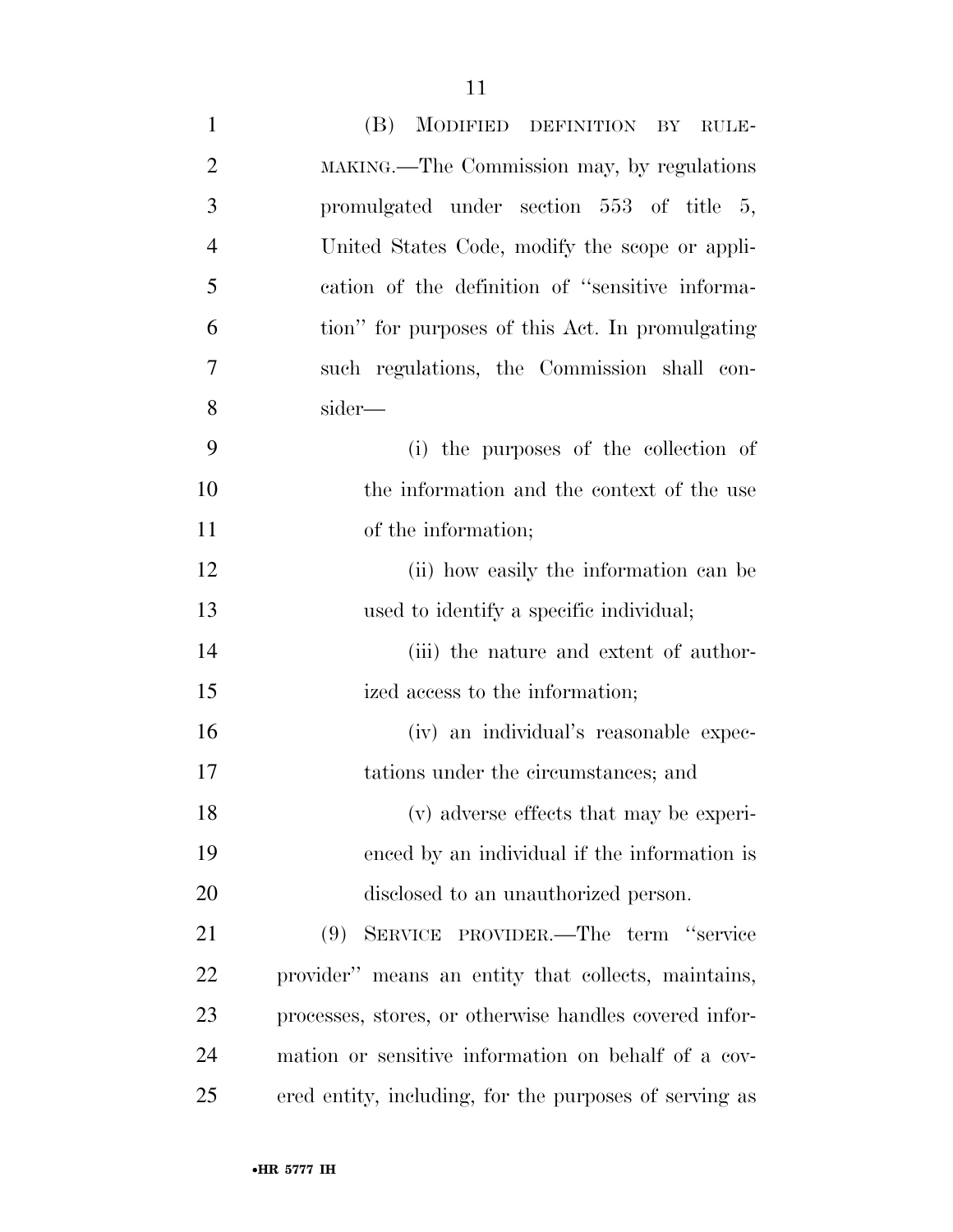| $\mathbf{1}$   | (B) MODIFIED DEFINITION BY RULE-                       |
|----------------|--------------------------------------------------------|
| $\overline{2}$ | MAKING.—The Commission may, by regulations             |
| 3              | promulgated under section 553 of title 5,              |
| $\overline{4}$ | United States Code, modify the scope or appli-         |
| 5              | cation of the definition of "sensitive informa-        |
| 6              | tion" for purposes of this Act. In promulgating        |
| $\overline{7}$ | such regulations, the Commission shall con-            |
| 8              | sider—                                                 |
| 9              | (i) the purposes of the collection of                  |
| 10             | the information and the context of the use             |
| 11             | of the information;                                    |
| 12             | (ii) how easily the information can be                 |
| 13             | used to identify a specific individual;                |
| 14             | (iii) the nature and extent of author-                 |
| 15             | ized access to the information;                        |
| 16             | (iv) an individual's reasonable expec-                 |
| 17             | tations under the circumstances; and                   |
| 18             | (v) adverse effects that may be experi-                |
| 19             | enced by an individual if the information is           |
| 20             | disclosed to an unauthorized person.                   |
| 21             | (9) SERVICE PROVIDER.—The term "service                |
| 22             | provider" means an entity that collects, maintains,    |
| 23             | processes, stores, or otherwise handles covered infor- |
| 24             | mation or sensitive information on behalf of a cov-    |
| 25             | ered entity, including, for the purposes of serving as |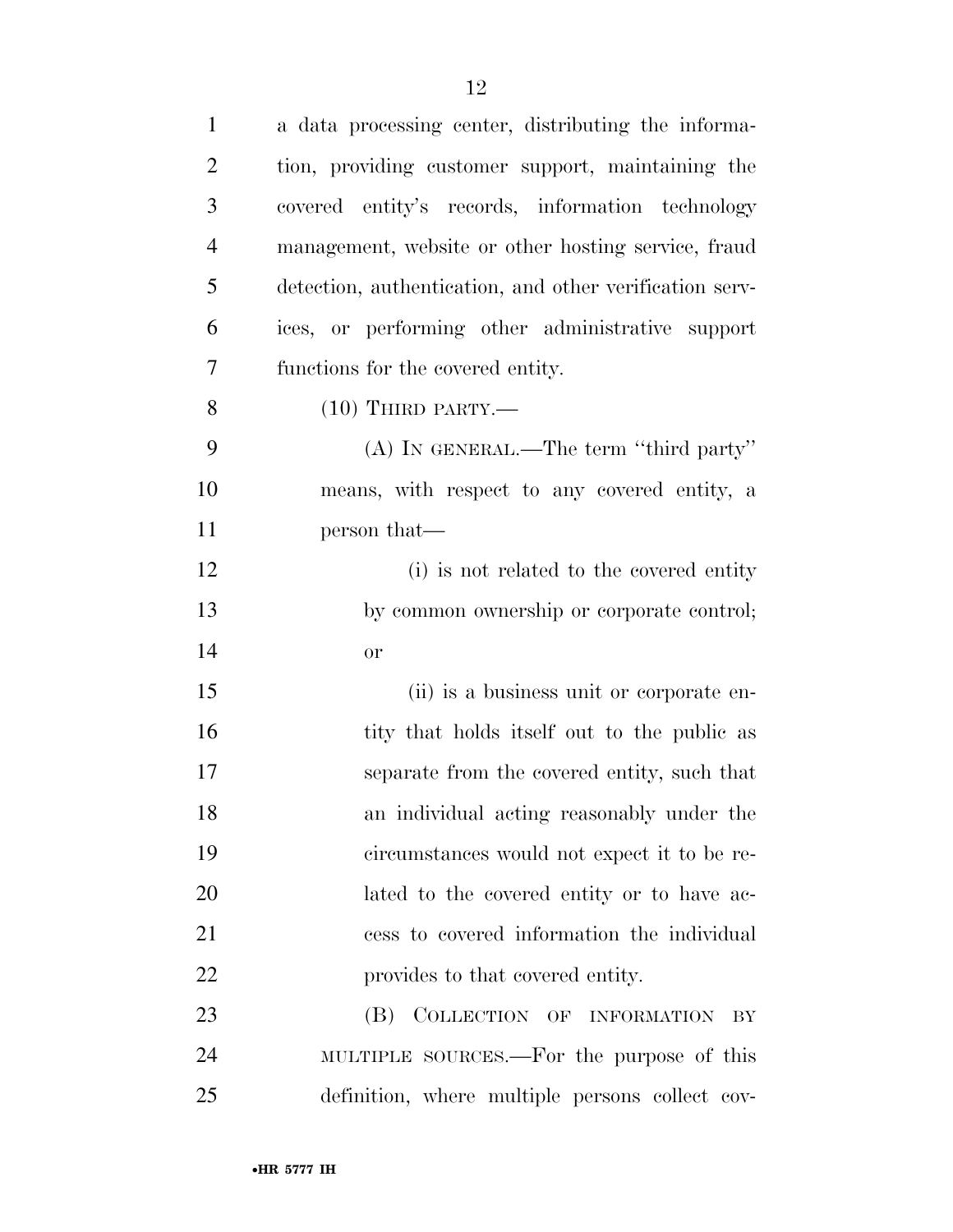| $\mathbf{1}$   | a data processing center, distributing the informa-     |
|----------------|---------------------------------------------------------|
| $\overline{2}$ | tion, providing customer support, maintaining the       |
| 3              | covered entity's records, information technology        |
| $\overline{4}$ | management, website or other hosting service, fraud     |
| 5              | detection, authentication, and other verification serv- |
| 6              | ices, or performing other administrative support        |
| 7              | functions for the covered entity.                       |
| 8              | $(10)$ THIRD PARTY.—                                    |
| 9              | (A) IN GENERAL.—The term "third party"                  |
| 10             | means, with respect to any covered entity, a            |
| 11             | person that—                                            |
| 12             | (i) is not related to the covered entity                |
| 13             | by common ownership or corporate control;               |
| 14             | <b>or</b>                                               |
| 15             | (ii) is a business unit or corporate en-                |
| 16             | tity that holds itself out to the public as             |
| 17             | separate from the covered entity, such that             |
| 18             | an individual acting reasonably under the               |
| 19             | circumstances would not expect it to be re-             |
| 20             | lated to the covered entity or to have ac-              |
| 21             | cess to covered information the individual              |
| 22             | provides to that covered entity.                        |
| 23             | (B) COLLECTION OF INFORMATION<br>BY                     |
| 24             | MULTIPLE SOURCES.—For the purpose of this               |
| 25             | definition, where multiple persons collect cov-         |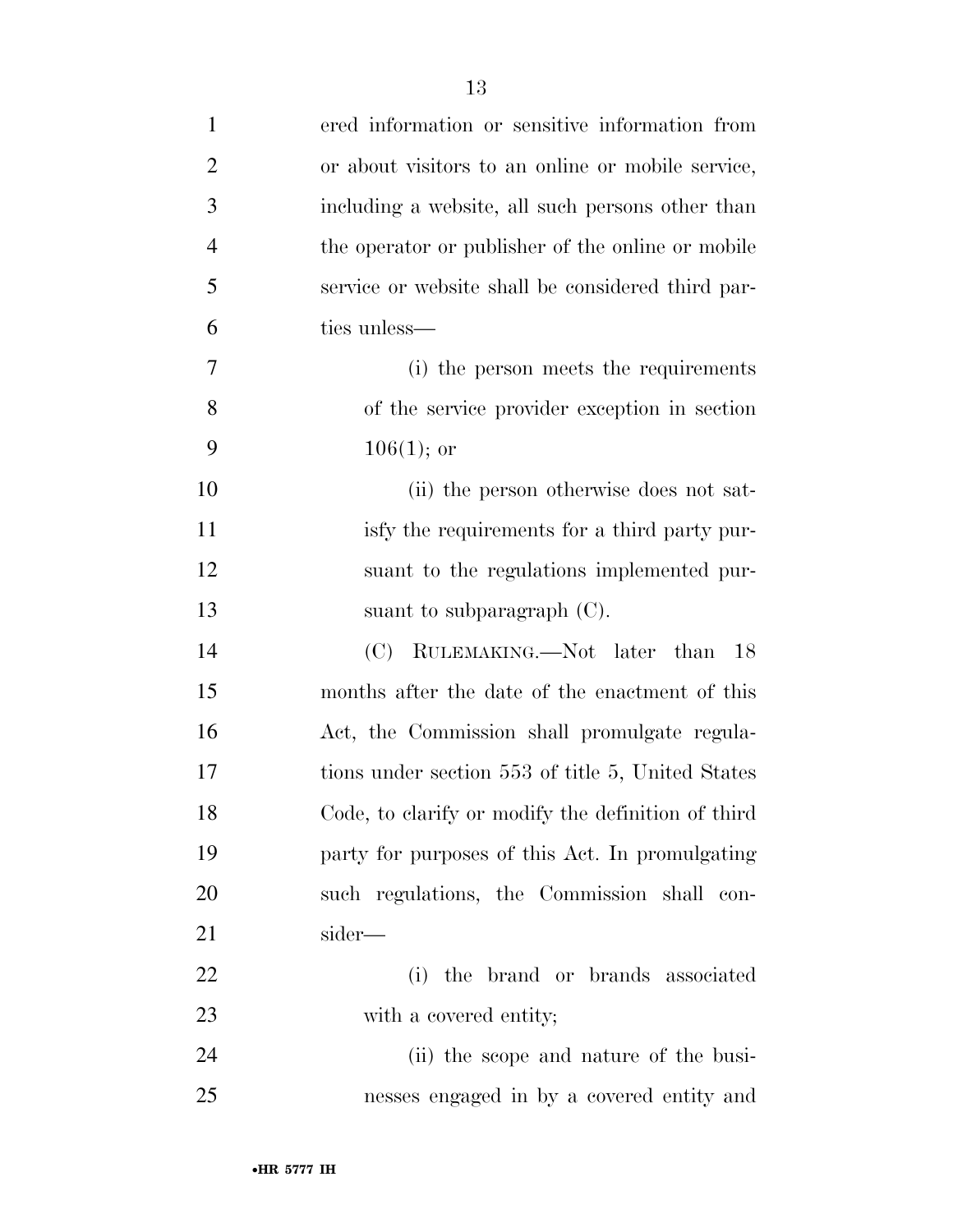| $\mathbf{1}$   | ered information or sensitive information from     |
|----------------|----------------------------------------------------|
| $\overline{2}$ | or about visitors to an online or mobile service,  |
| 3              | including a website, all such persons other than   |
| $\overline{4}$ | the operator or publisher of the online or mobile  |
| 5              | service or website shall be considered third par-  |
| 6              | ties unless—                                       |
| 7              | (i) the person meets the requirements              |
| 8              | of the service provider exception in section       |
| 9              | $106(1);$ or                                       |
| 10             | (ii) the person otherwise does not sat-            |
| 11             | isfy the requirements for a third party pur-       |
| 12             | suant to the regulations implemented pur-          |
| 13             | suant to subparagraph $(C)$ .                      |
| 14             | (C) RULEMAKING.—Not later than 18                  |
| 15             | months after the date of the enactment of this     |
| 16             | Act, the Commission shall promulgate regula-       |
| 17             | tions under section 553 of title 5, United States  |
| 18             | Code, to clarify or modify the definition of third |
| 19             | party for purposes of this Act. In promulgating    |
| 20             | such regulations, the Commission shall con-        |
| 21             | sider—                                             |
| 22             | the brand or brands associated<br>(i)              |
| 23             | with a covered entity;                             |
| 24             | (ii) the scope and nature of the busi-             |
| 25             | nesses engaged in by a covered entity and          |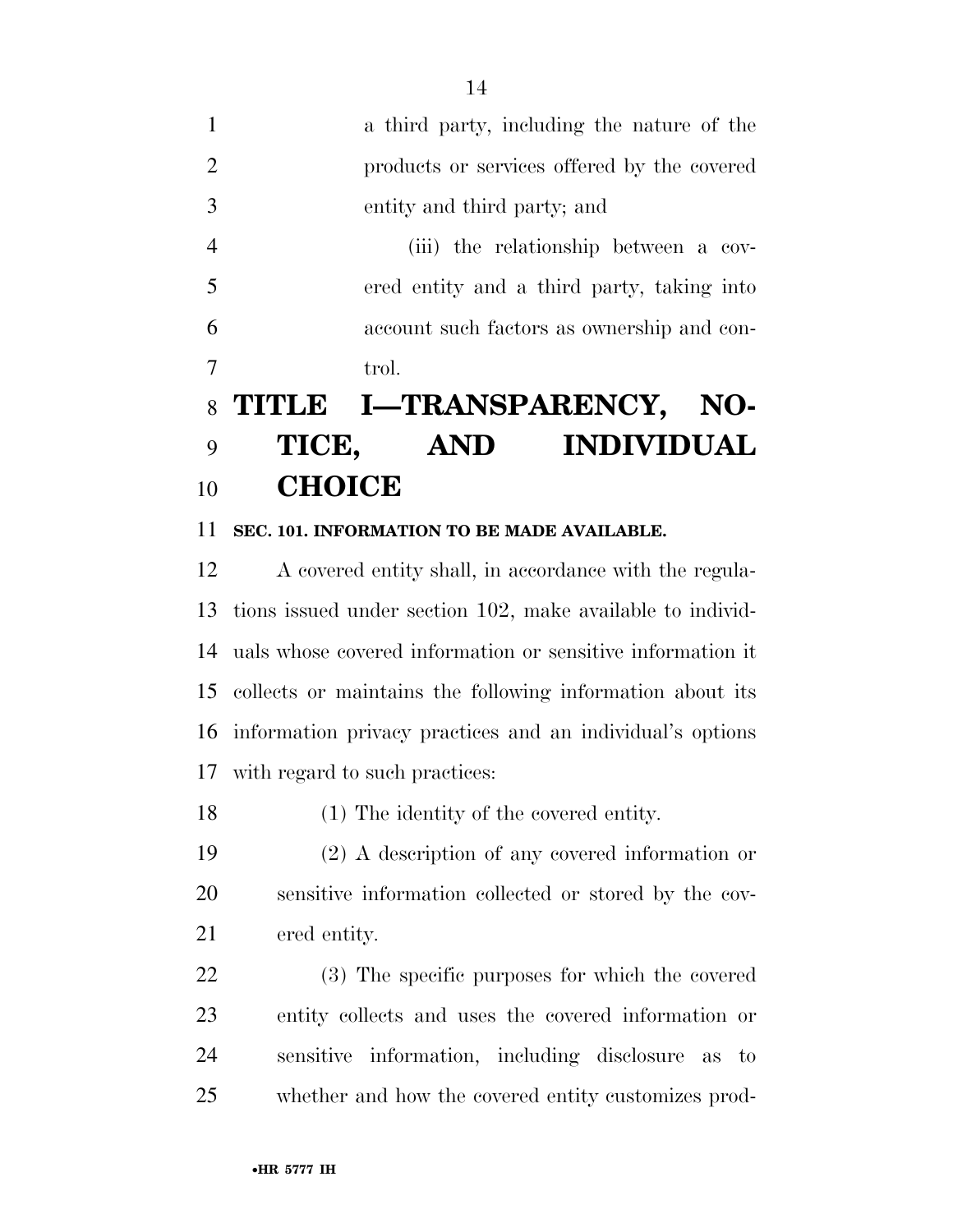a third party, including the nature of the products or services offered by the covered entity and third party; and (iii) the relationship between a cov- ered entity and a third party, taking into account such factors as ownership and con-7 trol.

## **TITLE I—TRANSPARENCY, NO- TICE, AND INDIVIDUAL CHOICE**

## **SEC. 101. INFORMATION TO BE MADE AVAILABLE.**

 A covered entity shall, in accordance with the regula- tions issued under section 102, make available to individ- uals whose covered information or sensitive information it collects or maintains the following information about its information privacy practices and an individual's options with regard to such practices:

(1) The identity of the covered entity.

 (2) A description of any covered information or sensitive information collected or stored by the cov-ered entity.

 (3) The specific purposes for which the covered entity collects and uses the covered information or sensitive information, including disclosure as to whether and how the covered entity customizes prod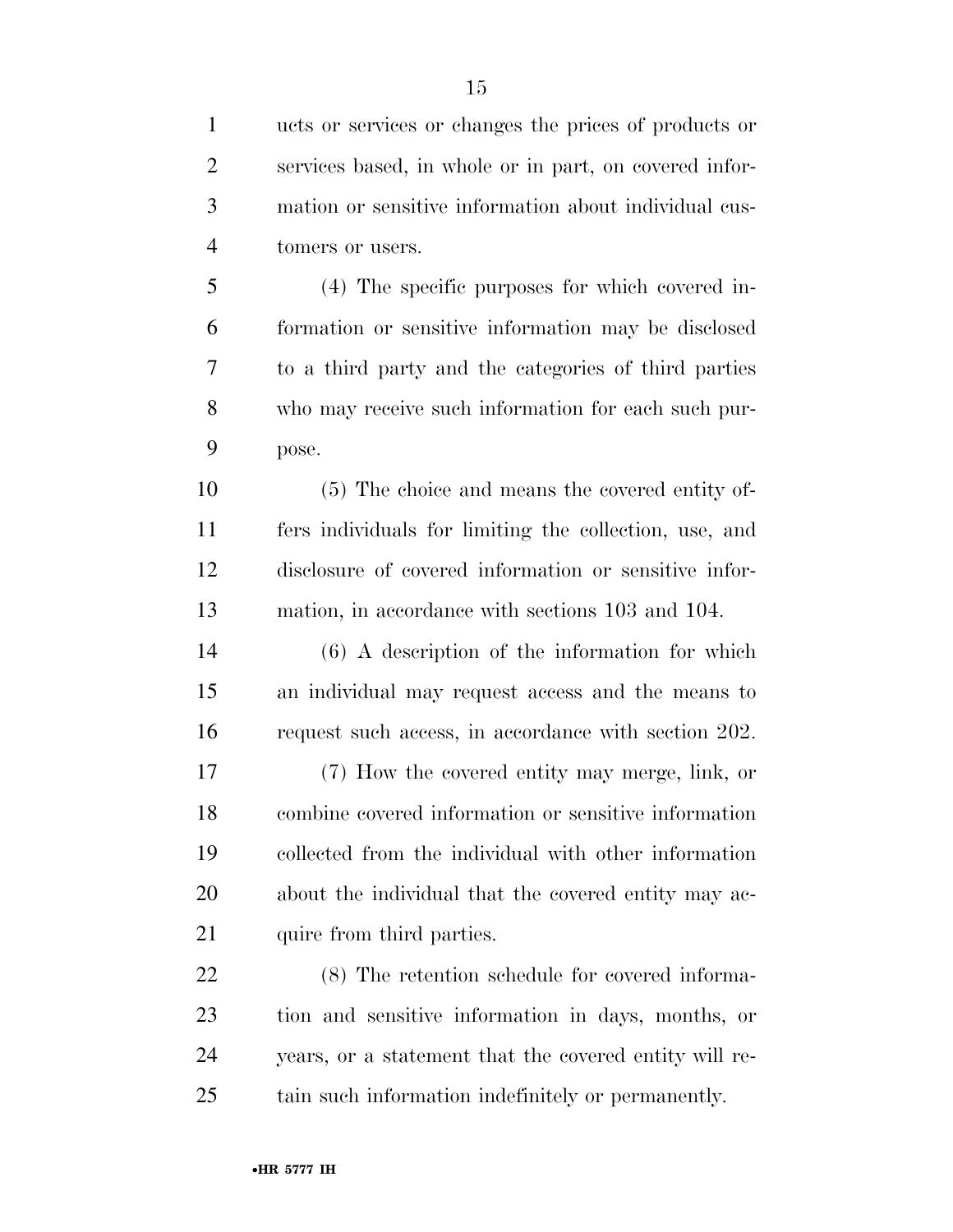ucts or services or changes the prices of products or services based, in whole or in part, on covered infor- mation or sensitive information about individual cus-tomers or users.

 (4) The specific purposes for which covered in- formation or sensitive information may be disclosed to a third party and the categories of third parties who may receive such information for each such pur-pose.

 (5) The choice and means the covered entity of- fers individuals for limiting the collection, use, and disclosure of covered information or sensitive infor-mation, in accordance with sections 103 and 104.

 (6) A description of the information for which an individual may request access and the means to request such access, in accordance with section 202.

 (7) How the covered entity may merge, link, or combine covered information or sensitive information collected from the individual with other information about the individual that the covered entity may ac-21 quire from third parties.

 (8) The retention schedule for covered informa- tion and sensitive information in days, months, or years, or a statement that the covered entity will re-tain such information indefinitely or permanently.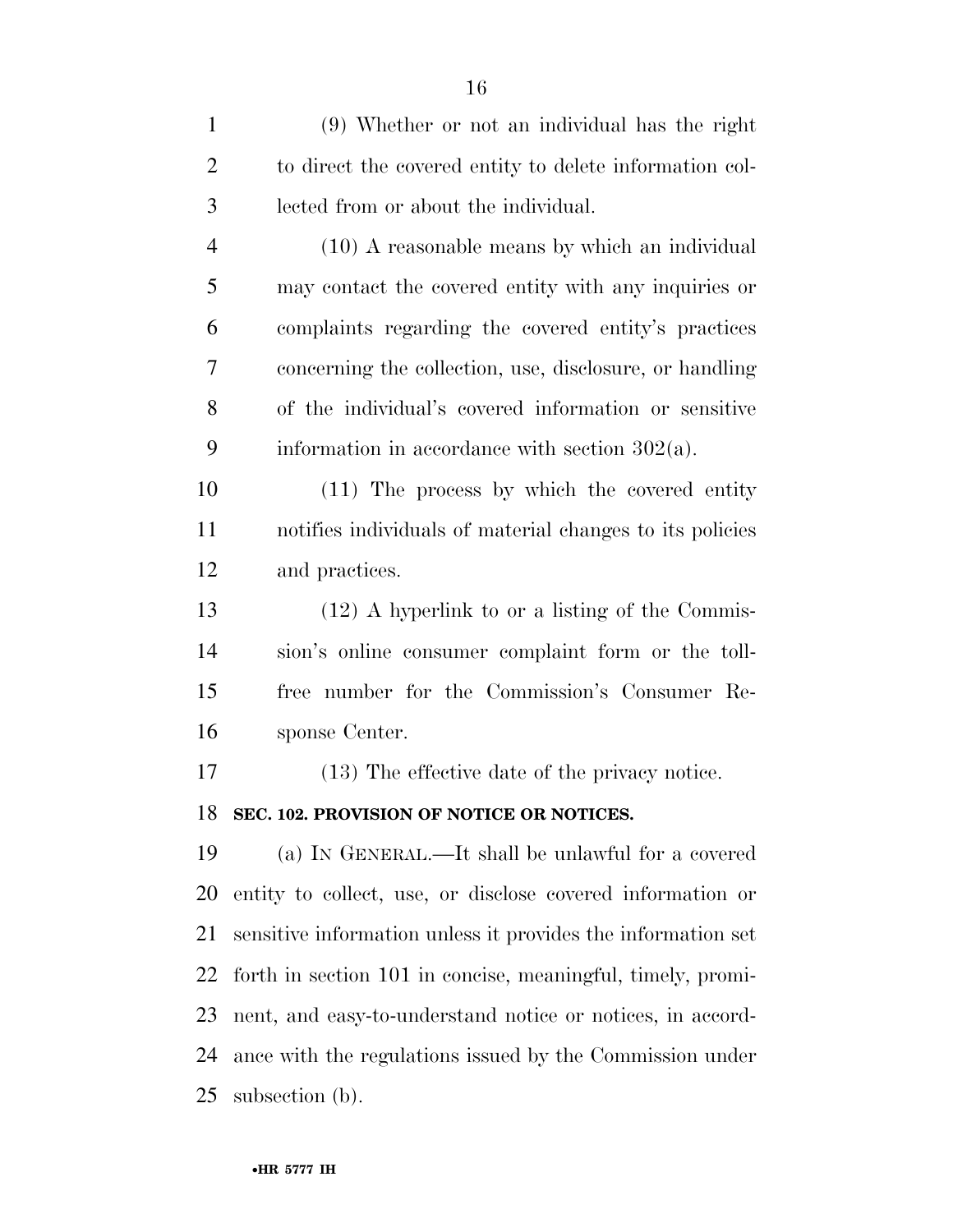| $\mathbf{1}$   | (9) Whether or not an individual has the right               |
|----------------|--------------------------------------------------------------|
| $\overline{2}$ | to direct the covered entity to delete information col-      |
| 3              | lected from or about the individual.                         |
| $\overline{4}$ | $(10)$ A reasonable means by which an individual             |
| 5              | may contact the covered entity with any inquiries or         |
| 6              | complaints regarding the covered entity's practices          |
| 7              | concerning the collection, use, disclosure, or handling      |
| 8              | of the individual's covered information or sensitive         |
| 9              | information in accordance with section $302(a)$ .            |
| 10             | (11) The process by which the covered entity                 |
| 11             | notifies individuals of material changes to its policies     |
| 12             | and practices.                                               |
| 13             | $(12)$ A hyperlink to or a listing of the Commis-            |
| 14             | sion's online consumer complaint form or the toll-           |
| 15             | free number for the Commission's Consumer Re-                |
| 16             | sponse Center.                                               |
| 17             | (13) The effective date of the privacy notice.               |
| 18             | SEC. 102. PROVISION OF NOTICE OR NOTICES.                    |
| 19             | (a) IN GENERAL.—It shall be unlawful for a covered           |
| 20             | entity to collect, use, or disclose covered information or   |
| 21             | sensitive information unless it provides the information set |
| 22             | forth in section 101 in concise, meaningful, timely, promi-  |
| 23             | nent, and easy-to-understand notice or notices, in accord-   |
| 24             | ance with the regulations issued by the Commission under     |
| 25             | subsection (b).                                              |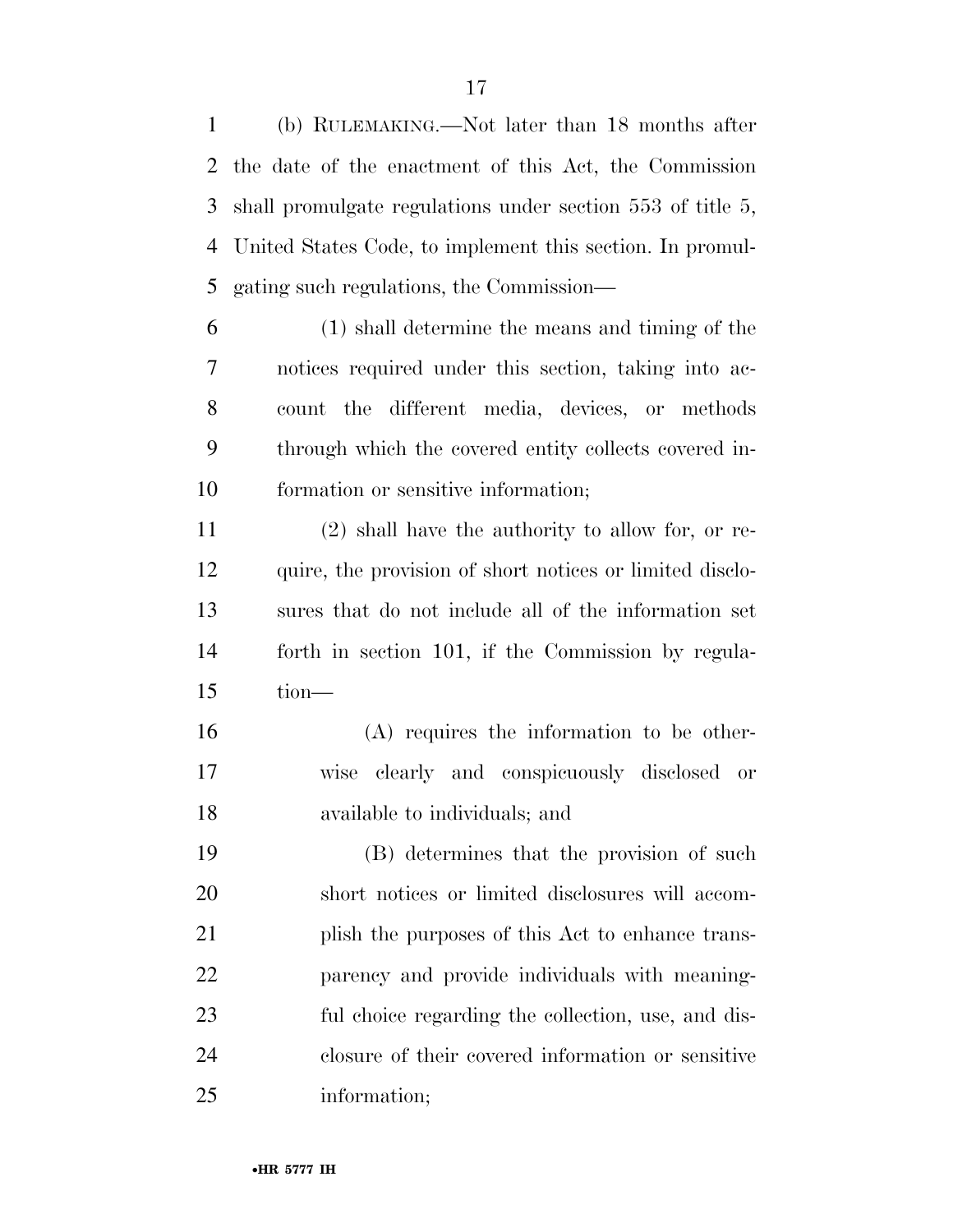(b) RULEMAKING.—Not later than 18 months after the date of the enactment of this Act, the Commission shall promulgate regulations under section 553 of title 5, United States Code, to implement this section. In promul-gating such regulations, the Commission—

 (1) shall determine the means and timing of the notices required under this section, taking into ac- count the different media, devices, or methods through which the covered entity collects covered in-formation or sensitive information;

 (2) shall have the authority to allow for, or re- quire, the provision of short notices or limited disclo- sures that do not include all of the information set forth in section 101, if the Commission by regula-tion—

 (A) requires the information to be other- wise clearly and conspicuously disclosed or available to individuals; and

 (B) determines that the provision of such short notices or limited disclosures will accom- plish the purposes of this Act to enhance trans- parency and provide individuals with meaning- ful choice regarding the collection, use, and dis- closure of their covered information or sensitive information;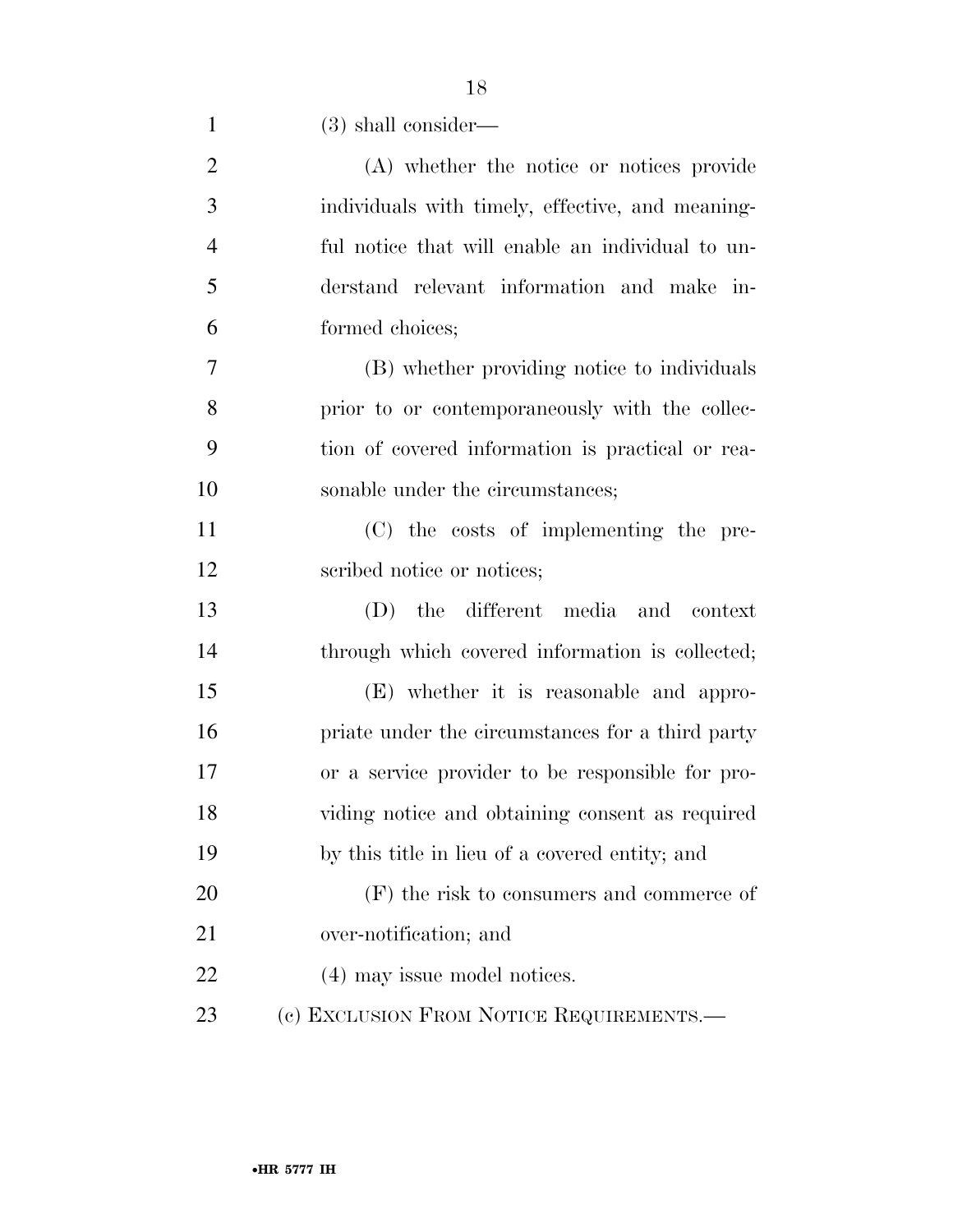| $\mathbf{1}$   | $(3)$ shall consider—                            |
|----------------|--------------------------------------------------|
| $\overline{2}$ | (A) whether the notice or notices provide        |
| 3              | individuals with timely, effective, and meaning- |
| $\overline{4}$ | ful notice that will enable an individual to un- |
| 5              | derstand relevant information and make in-       |
| 6              | formed choices;                                  |
| 7              | (B) whether providing notice to individuals      |
| 8              | prior to or contemporaneously with the collec-   |
| 9              | tion of covered information is practical or rea- |
| 10             | sonable under the circumstances;                 |
| 11             | (C) the costs of implementing the pre-           |
| 12             | scribed notice or notices;                       |
| 13             | (D) the different media and context              |
| 14             | through which covered information is collected;  |
| 15             | (E) whether it is reasonable and appro-          |
| 16             | priate under the circumstances for a third party |
| 17             | or a service provider to be responsible for pro- |
| 18             | viding notice and obtaining consent as required  |
| 19             | by this title in lieu of a covered entity; and   |
| 20             | $(F)$ the risk to consumers and commerce of      |
| 21             | over-notification; and                           |
| 22             | (4) may issue model notices.                     |
| 23             | (c) EXCLUSION FROM NOTICE REQUIREMENTS.-         |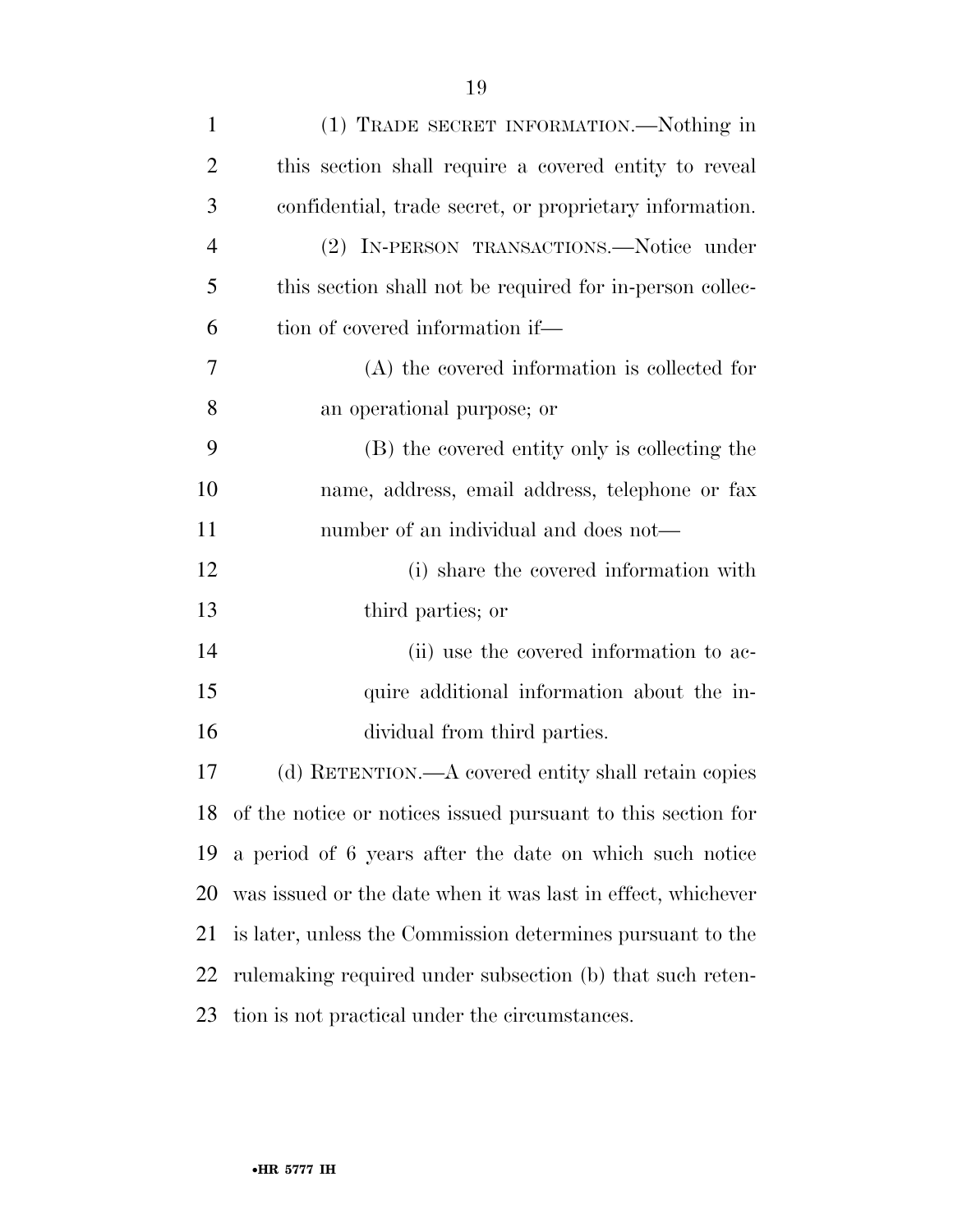| $\mathbf{1}$   | (1) TRADE SECRET INFORMATION.—Nothing in                     |
|----------------|--------------------------------------------------------------|
| $\overline{2}$ | this section shall require a covered entity to reveal        |
| 3              | confidential, trade secret, or proprietary information.      |
| $\overline{4}$ | (2) IN-PERSON TRANSACTIONS.—Notice under                     |
| 5              | this section shall not be required for in-person collec-     |
| 6              | tion of covered information if—                              |
| 7              | $(A)$ the covered information is collected for               |
| 8              | an operational purpose; or                                   |
| 9              | (B) the covered entity only is collecting the                |
| 10             | name, address, email address, telephone or fax               |
| 11             | number of an individual and does not—                        |
| 12             | (i) share the covered information with                       |
| 13             | third parties; or                                            |
| 14             | (ii) use the covered information to ac-                      |
| 15             | quire additional information about the in-                   |
| 16             | dividual from third parties.                                 |
| 17             | (d) RETENTION.—A covered entity shall retain copies          |
| 18             | of the notice or notices issued pursuant to this section for |
| 19             | a period of 6 years after the date on which such notice      |
| 20             | was issued or the date when it was last in effect, whichever |
| 21             | is later, unless the Commission determines pursuant to the   |
| 22             | rulemaking required under subsection (b) that such reten-    |
| 23             | tion is not practical under the circumstances.               |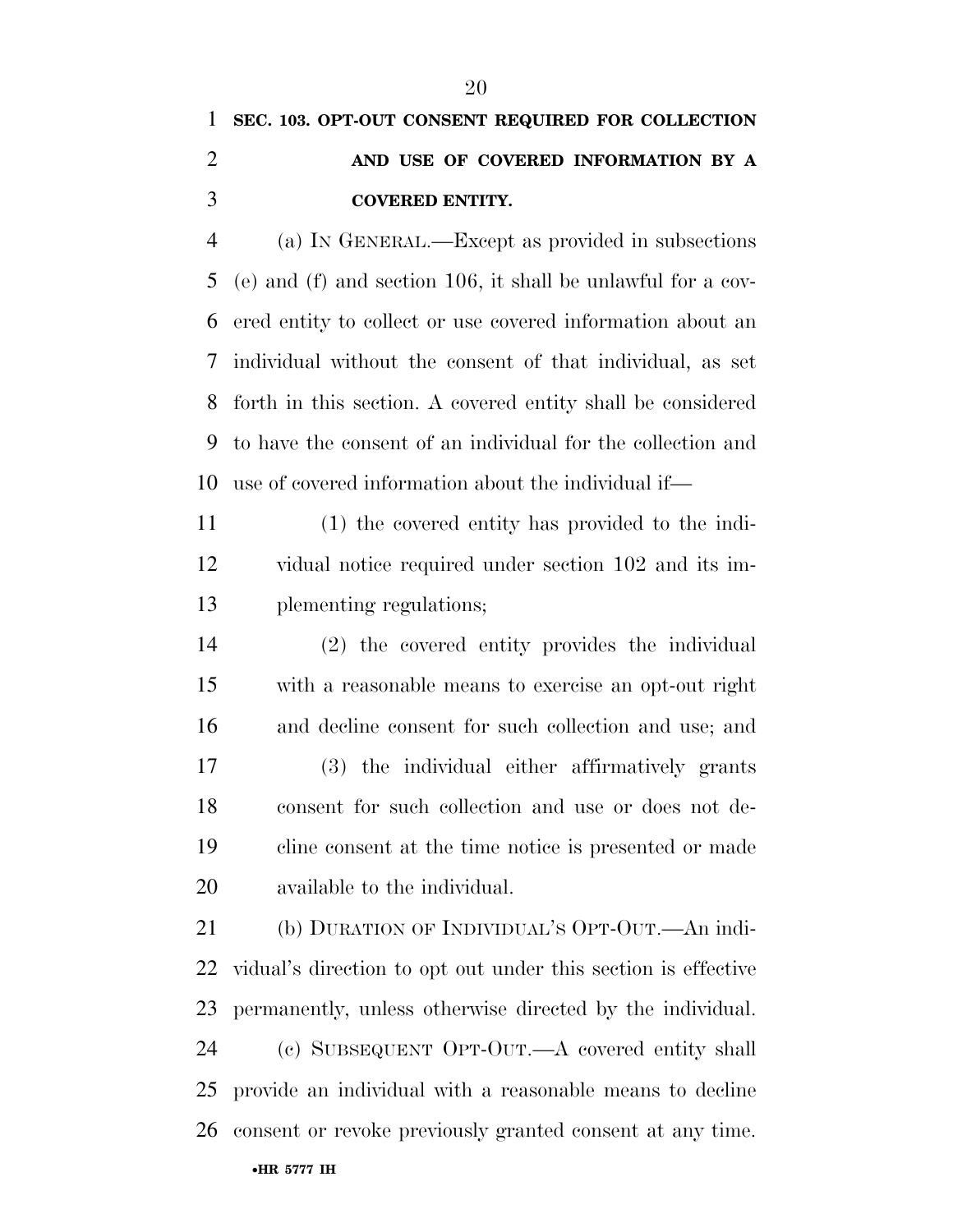## **SEC. 103. OPT-OUT CONSENT REQUIRED FOR COLLECTION AND USE OF COVERED INFORMATION BY A COVERED ENTITY.**

 (a) IN GENERAL.—Except as provided in subsections (e) and (f) and section 106, it shall be unlawful for a cov- ered entity to collect or use covered information about an individual without the consent of that individual, as set forth in this section. A covered entity shall be considered to have the consent of an individual for the collection and use of covered information about the individual if—

 (1) the covered entity has provided to the indi- vidual notice required under section 102 and its im-plementing regulations;

 (2) the covered entity provides the individual with a reasonable means to exercise an opt-out right and decline consent for such collection and use; and (3) the individual either affirmatively grants consent for such collection and use or does not de- cline consent at the time notice is presented or made available to the individual.

 (b) DURATION OF INDIVIDUAL'S OPT-OUT.—An indi- vidual's direction to opt out under this section is effective permanently, unless otherwise directed by the individual. (c) SUBSEQUENT OPT-OUT.—A covered entity shall provide an individual with a reasonable means to decline consent or revoke previously granted consent at any time.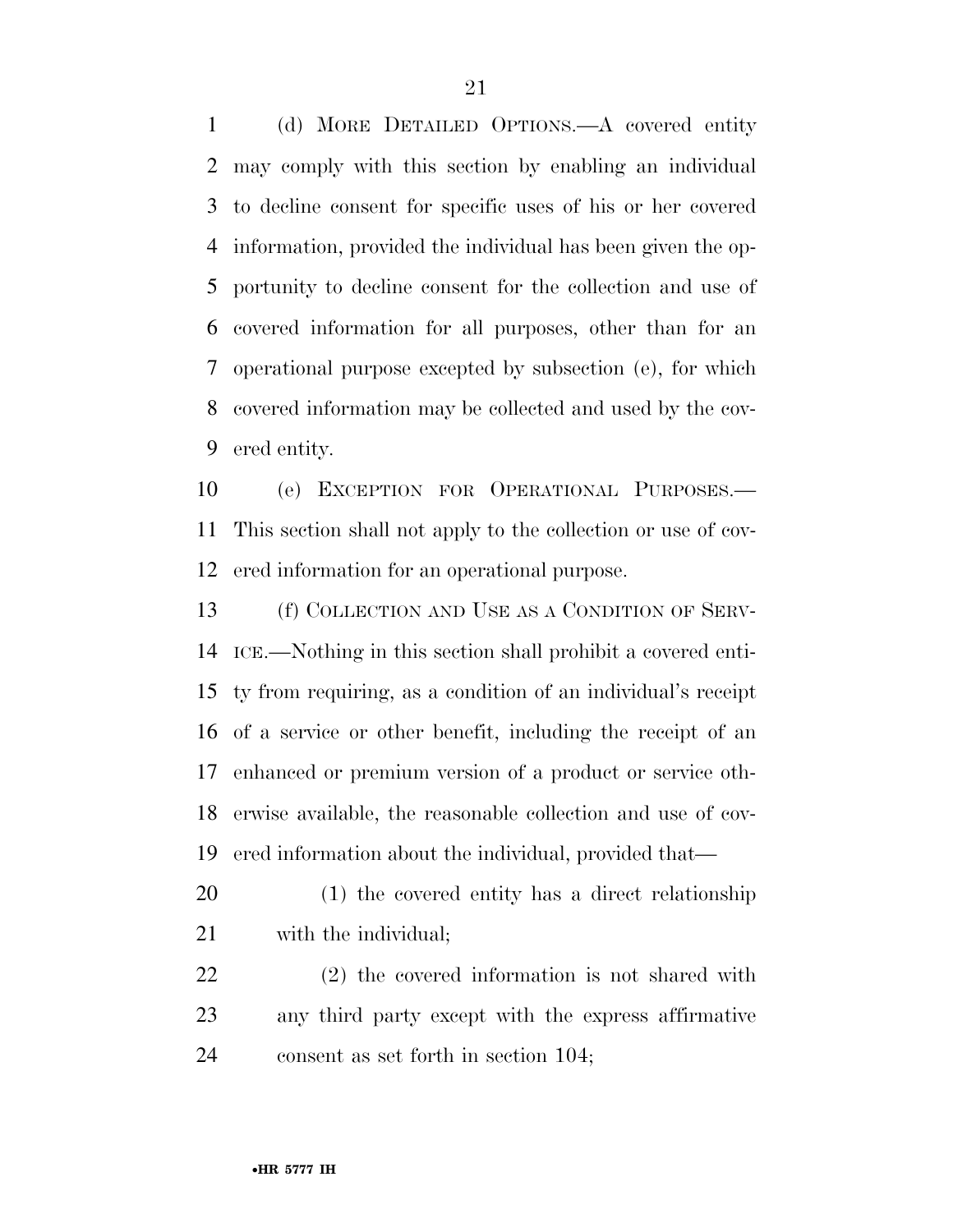(d) MORE DETAILED OPTIONS.—A covered entity may comply with this section by enabling an individual to decline consent for specific uses of his or her covered information, provided the individual has been given the op- portunity to decline consent for the collection and use of covered information for all purposes, other than for an operational purpose excepted by subsection (e), for which covered information may be collected and used by the cov-ered entity.

 (e) EXCEPTION FOR OPERATIONAL PURPOSES.— This section shall not apply to the collection or use of cov-ered information for an operational purpose.

 (f) COLLECTION AND USE AS A CONDITION OF SERV- ICE.—Nothing in this section shall prohibit a covered enti- ty from requiring, as a condition of an individual's receipt of a service or other benefit, including the receipt of an enhanced or premium version of a product or service oth- erwise available, the reasonable collection and use of cov-ered information about the individual, provided that—

 (1) the covered entity has a direct relationship with the individual;

 (2) the covered information is not shared with any third party except with the express affirmative consent as set forth in section 104;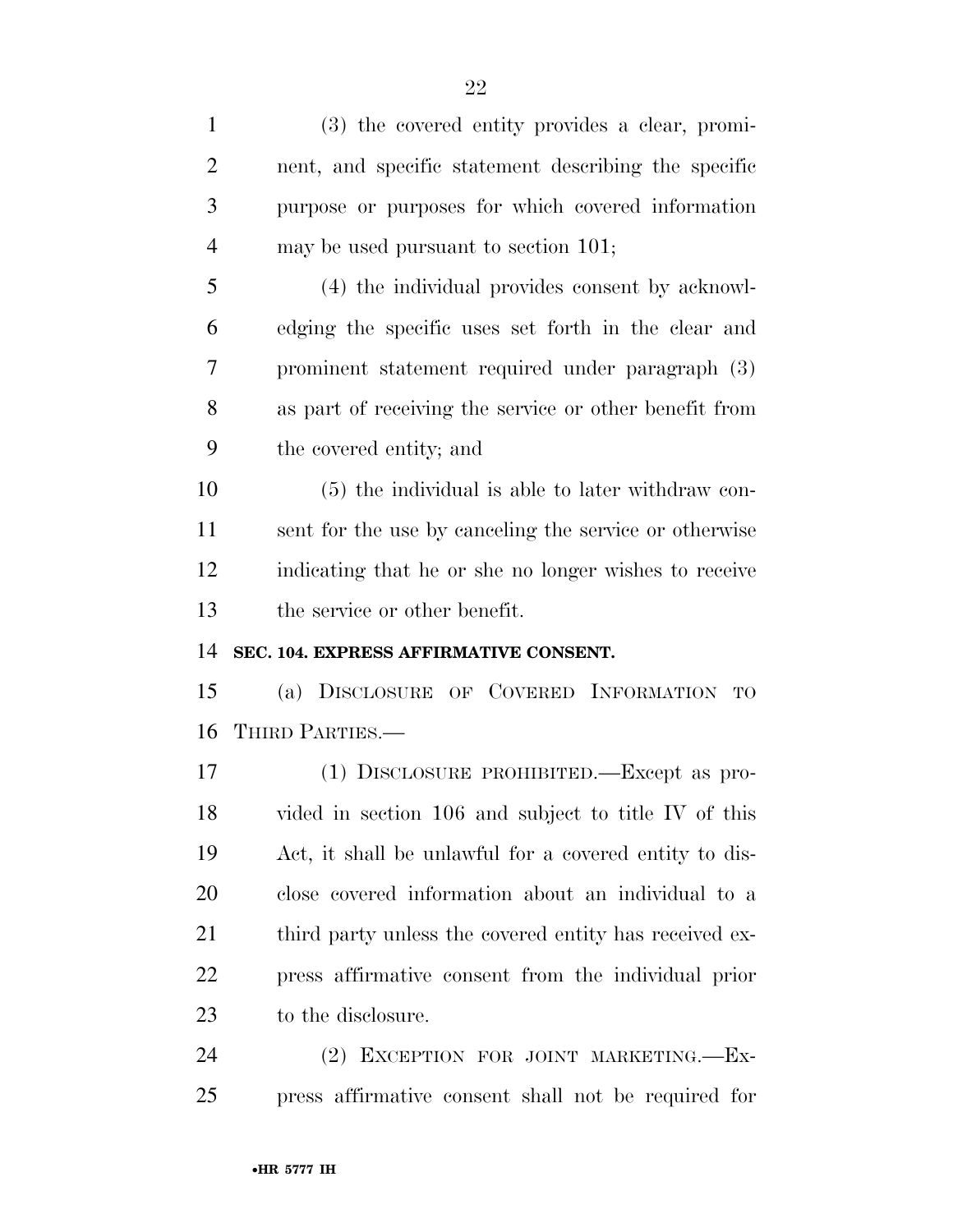| $\mathbf{1}$   | (3) the covered entity provides a clear, promi-        |
|----------------|--------------------------------------------------------|
| $\overline{2}$ | nent, and specific statement describing the specific   |
| 3              | purpose or purposes for which covered information      |
| $\overline{4}$ | may be used pursuant to section 101;                   |
| 5              | (4) the individual provides consent by acknowl-        |
| 6              | edging the specific uses set forth in the clear and    |
| 7              | prominent statement required under paragraph (3)       |
| 8              | as part of receiving the service or other benefit from |
| 9              | the covered entity; and                                |
| 10             | (5) the individual is able to later withdraw con-      |
| 11             | sent for the use by canceling the service or otherwise |
| 12             | indicating that he or she no longer wishes to receive  |
|                |                                                        |
| 13             | the service or other benefit.                          |
| 14             | SEC. 104. EXPRESS AFFIRMATIVE CONSENT.                 |
| 15             | (a) DISCLOSURE OF COVERED INFORMATION TO               |
| 16             | THIRD PARTIES.-                                        |
| 17             | (1) DISCLOSURE PROHIBITED.—Except as pro-              |
| 18             | vided in section 106 and subject to title IV of this   |
| 19             | Act, it shall be unlawful for a covered entity to dis- |
| 20             | close covered information about an individual to a     |
| 21             | third party unless the covered entity has received ex- |
| <u>22</u>      | press affirmative consent from the individual prior    |
| 23             | to the disclosure.                                     |

press affirmative consent shall not be required for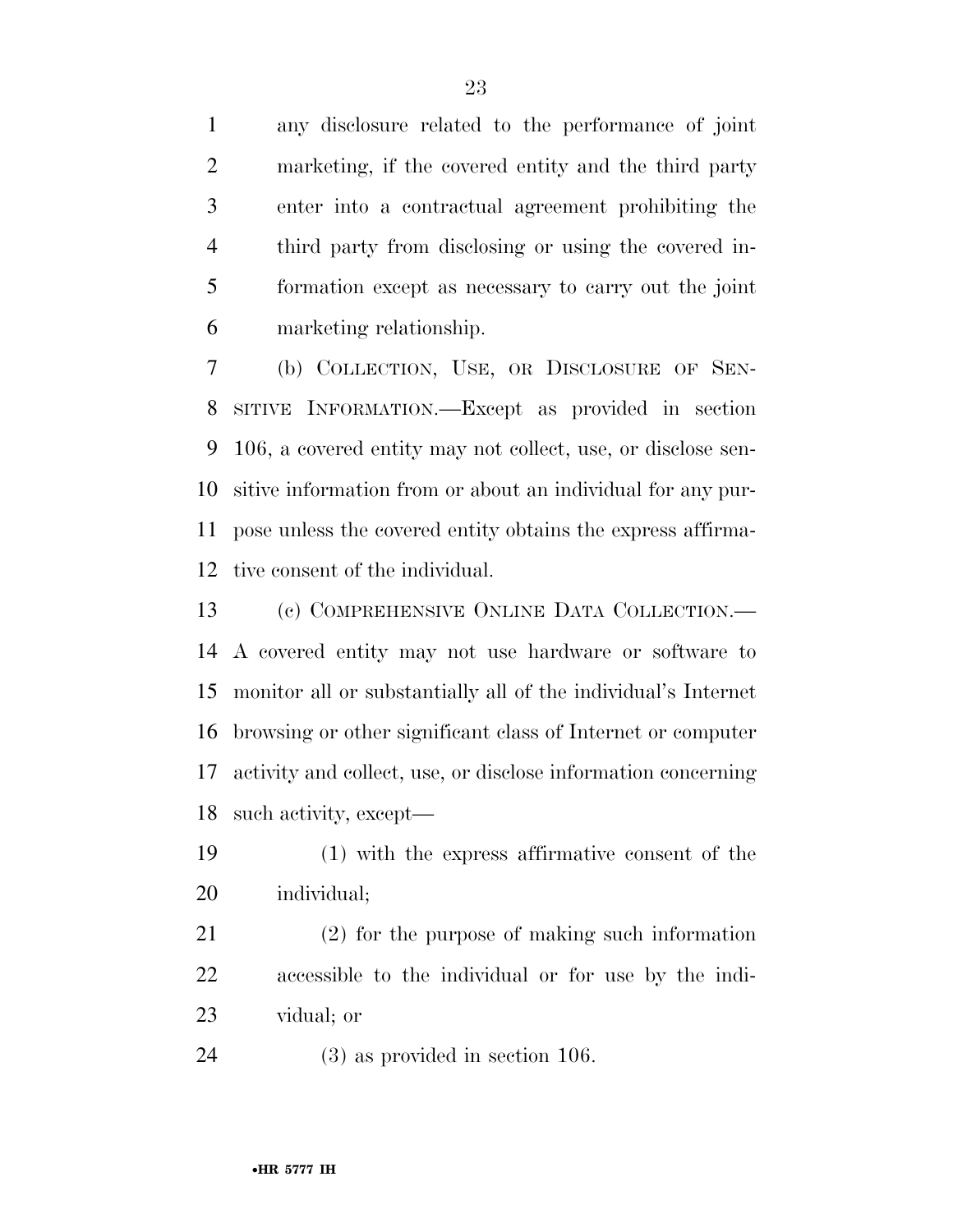any disclosure related to the performance of joint marketing, if the covered entity and the third party enter into a contractual agreement prohibiting the third party from disclosing or using the covered in- formation except as necessary to carry out the joint marketing relationship.

 (b) COLLECTION, USE, OR DISCLOSURE OF SEN- SITIVE INFORMATION.—Except as provided in section 106, a covered entity may not collect, use, or disclose sen- sitive information from or about an individual for any pur- pose unless the covered entity obtains the express affirma-tive consent of the individual.

 (c) COMPREHENSIVE ONLINE DATA COLLECTION.— A covered entity may not use hardware or software to monitor all or substantially all of the individual's Internet browsing or other significant class of Internet or computer activity and collect, use, or disclose information concerning such activity, except—

 (1) with the express affirmative consent of the individual;

 (2) for the purpose of making such information accessible to the individual or for use by the indi-vidual; or

(3) as provided in section 106.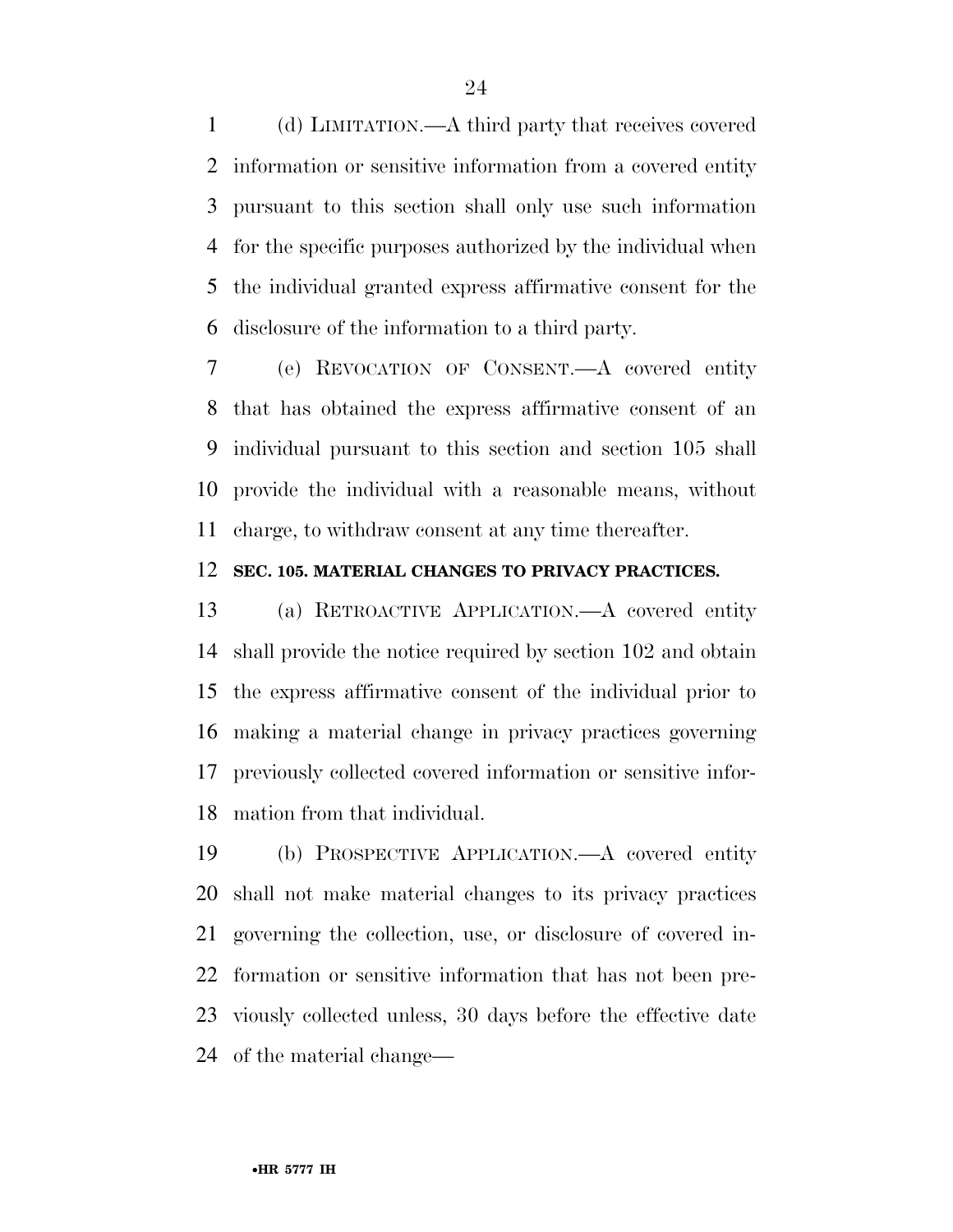(d) LIMITATION.—A third party that receives covered information or sensitive information from a covered entity pursuant to this section shall only use such information for the specific purposes authorized by the individual when the individual granted express affirmative consent for the disclosure of the information to a third party.

 (e) REVOCATION OF CONSENT.—A covered entity that has obtained the express affirmative consent of an individual pursuant to this section and section 105 shall provide the individual with a reasonable means, without charge, to withdraw consent at any time thereafter.

#### **SEC. 105. MATERIAL CHANGES TO PRIVACY PRACTICES.**

 (a) RETROACTIVE APPLICATION.—A covered entity shall provide the notice required by section 102 and obtain the express affirmative consent of the individual prior to making a material change in privacy practices governing previously collected covered information or sensitive infor-mation from that individual.

 (b) PROSPECTIVE APPLICATION.—A covered entity shall not make material changes to its privacy practices governing the collection, use, or disclosure of covered in- formation or sensitive information that has not been pre- viously collected unless, 30 days before the effective date of the material change—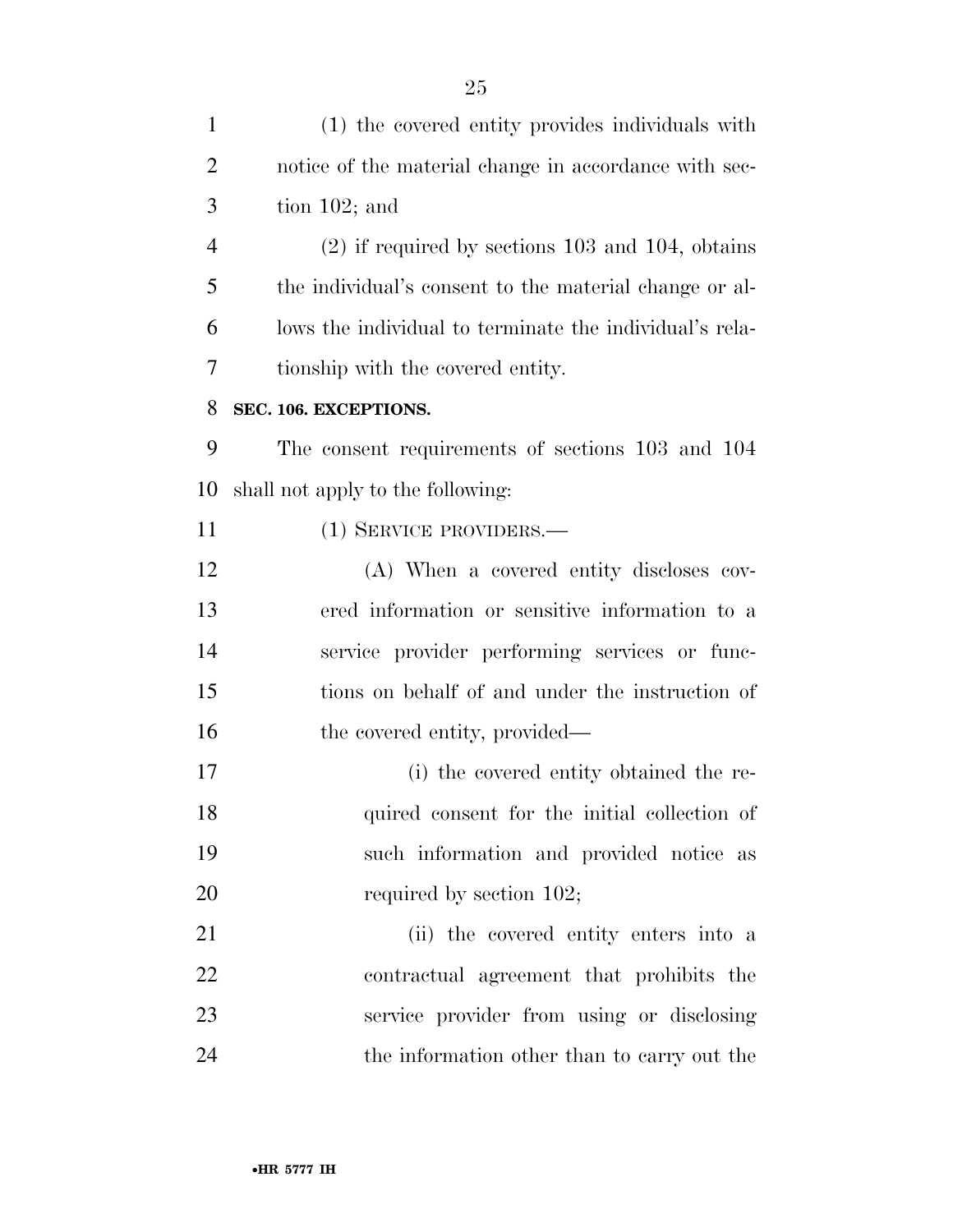(1) the covered entity provides individuals with notice of the material change in accordance with sec- tion 102; and (2) if required by sections 103 and 104, obtains the individual's consent to the material change or al- lows the individual to terminate the individual's rela- tionship with the covered entity. **SEC. 106. EXCEPTIONS.**  The consent requirements of sections 103 and 104 shall not apply to the following: (1) SERVICE PROVIDERS.— (A) When a covered entity discloses cov- ered information or sensitive information to a service provider performing services or func- tions on behalf of and under the instruction of 16 the covered entity, provided— (i) the covered entity obtained the re-18 quired consent for the initial collection of such information and provided notice as 20 required by section 102; (ii) the covered entity enters into a contractual agreement that prohibits the service provider from using or disclosing the information other than to carry out the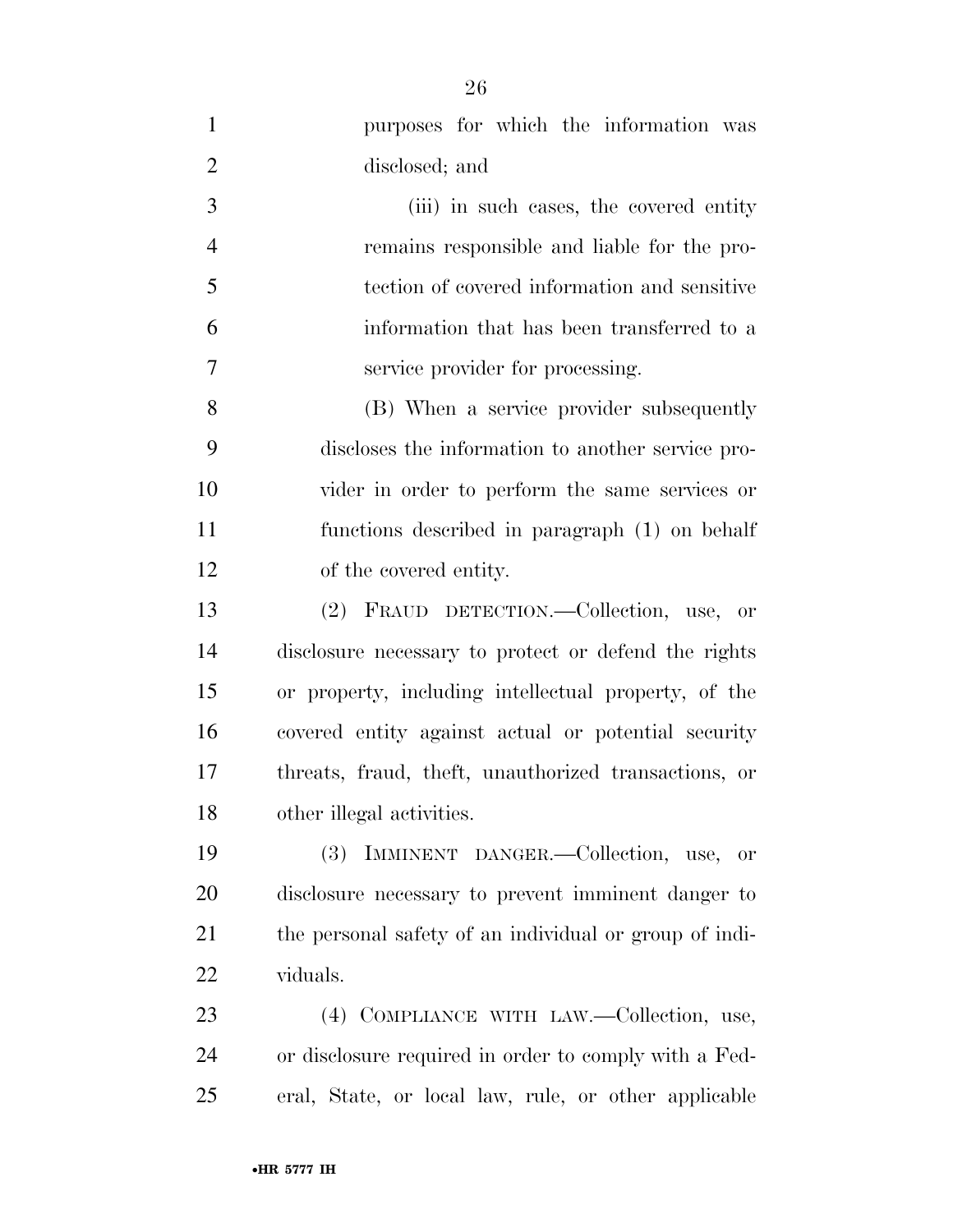| $\mathbf{1}$   | purposes for which the information was                 |
|----------------|--------------------------------------------------------|
| $\overline{2}$ | disclosed; and                                         |
| 3              | (iii) in such cases, the covered entity                |
| $\overline{4}$ | remains responsible and liable for the pro-            |
| 5              | tection of covered information and sensitive           |
| 6              | information that has been transferred to a             |
| 7              | service provider for processing.                       |
| 8              | (B) When a service provider subsequently               |
| 9              | discloses the information to another service pro-      |
| 10             | vider in order to perform the same services or         |
| 11             | functions described in paragraph (1) on behalf         |
| 12             | of the covered entity.                                 |
| 13             | (2) FRAUD DETECTION.—Collection, use, or               |
| 14             | disclosure necessary to protect or defend the rights   |
| 15             | or property, including intellectual property, of the   |
| 16             | covered entity against actual or potential security    |
| 17             | threats, fraud, theft, unauthorized transactions, or   |
| 18             | other illegal activities.                              |
| 19             | IMMINENT DANGER.-Collection, use, or<br><b>(3)</b>     |
| 20             | disclosure necessary to prevent imminent danger to     |
| 21             | the personal safety of an individual or group of indi- |
| 22             | viduals.                                               |
| 23             | (4) COMPLIANCE WITH LAW.—Collection, use,              |
| 24             | or disclosure required in order to comply with a Fed-  |
| 25             | eral, State, or local law, rule, or other applicable   |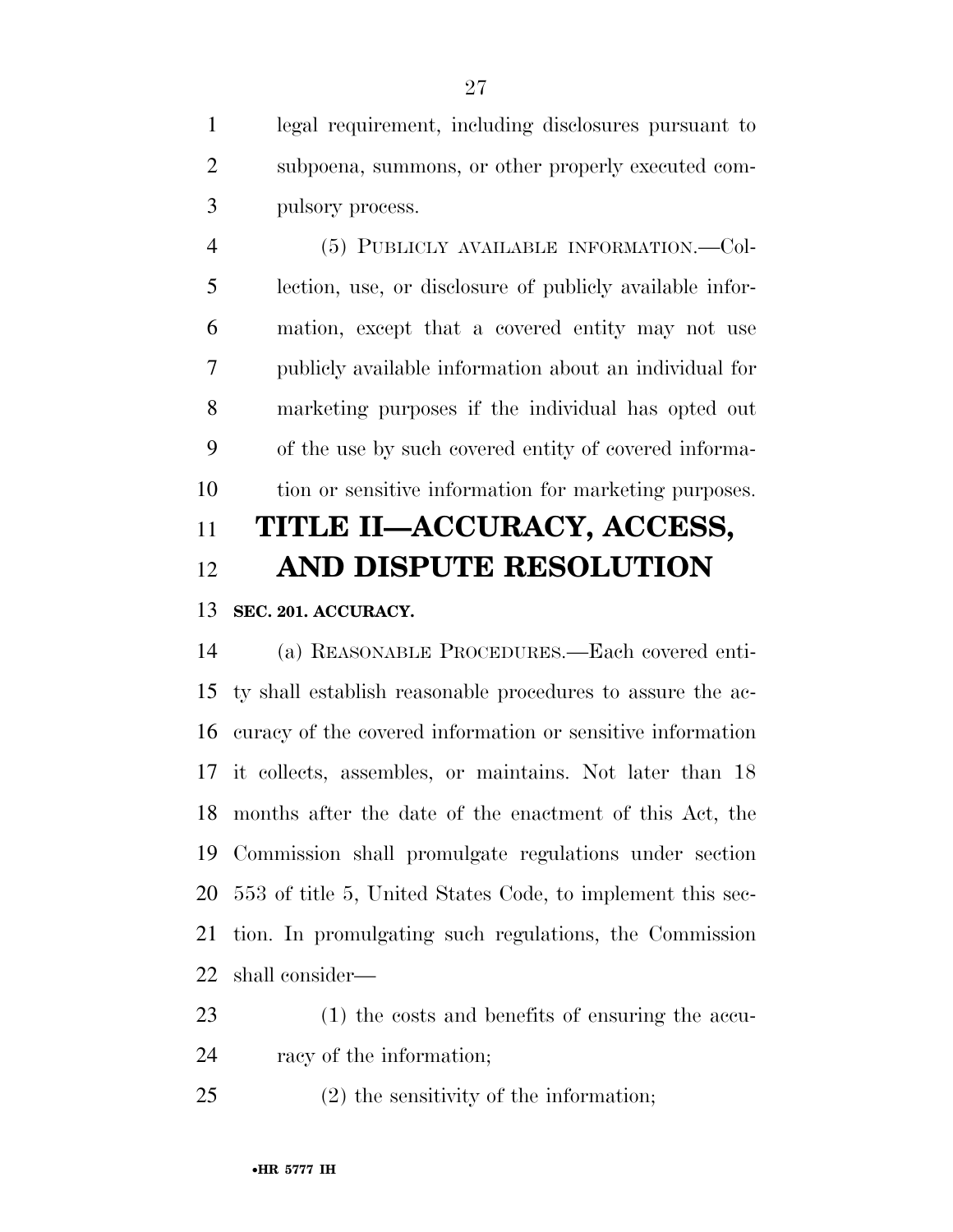legal requirement, including disclosures pursuant to subpoena, summons, or other properly executed com-pulsory process.

 (5) PUBLICLY AVAILABLE INFORMATION.—Col- lection, use, or disclosure of publicly available infor- mation, except that a covered entity may not use publicly available information about an individual for marketing purposes if the individual has opted out of the use by such covered entity of covered informa-tion or sensitive information for marketing purposes.

## **TITLE II—ACCURACY, ACCESS, AND DISPUTE RESOLUTION**

## **SEC. 201. ACCURACY.**

 (a) REASONABLE PROCEDURES.—Each covered enti- ty shall establish reasonable procedures to assure the ac- curacy of the covered information or sensitive information it collects, assembles, or maintains. Not later than 18 months after the date of the enactment of this Act, the Commission shall promulgate regulations under section 553 of title 5, United States Code, to implement this sec- tion. In promulgating such regulations, the Commission shall consider—

- (1) the costs and benefits of ensuring the accu-racy of the information;
- (2) the sensitivity of the information;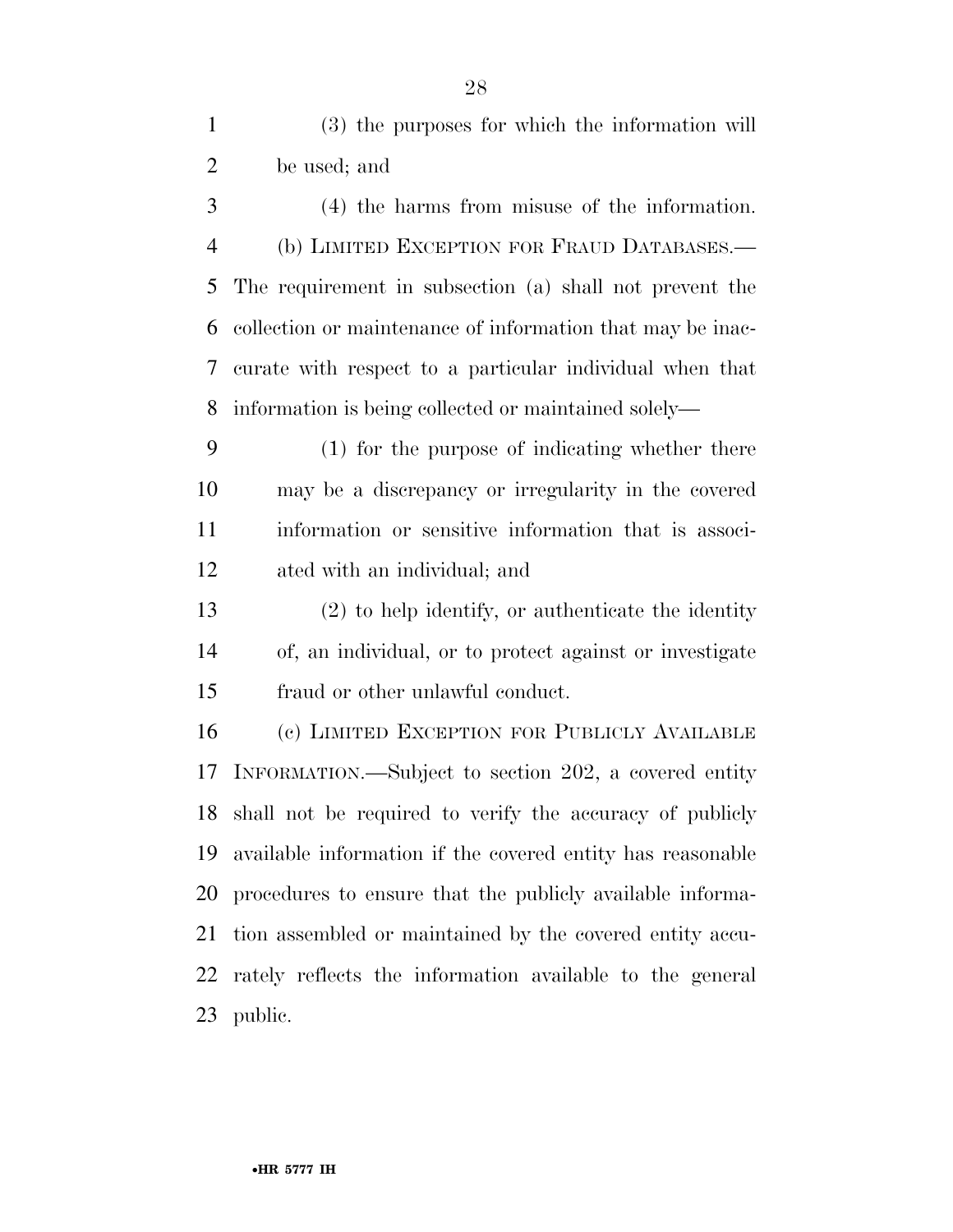| $\mathbf{1}$   | (3) the purposes for which the information will            |
|----------------|------------------------------------------------------------|
| $\overline{2}$ | be used; and                                               |
| 3              | $(4)$ the harms from misuse of the information.            |
| $\overline{4}$ | (b) LIMITED EXCEPTION FOR FRAUD DATABASES.—                |
| 5              | The requirement in subsection (a) shall not prevent the    |
| 6              | collection or maintenance of information that may be inac- |
| 7              | curate with respect to a particular individual when that   |
| 8              | information is being collected or maintained solely-       |
| 9              | (1) for the purpose of indicating whether there            |
| 10             | may be a discrepancy or irregularity in the covered        |
| 11             | information or sensitive information that is associ-       |
| 12             | ated with an individual; and                               |
| 13             | $(2)$ to help identify, or authenticate the identity       |
| 14             | of, an individual, or to protect against or investigate    |
| 15             | fraud or other unlawful conduct.                           |
| 16             | (c) LIMITED EXCEPTION FOR PUBLICLY AVAILABLE               |
| 17             | INFORMATION.—Subject to section 202, a covered entity      |
| 18             | shall not be required to verify the accuracy of publicly   |
| 19             | available information if the covered entity has reasonable |
| 20             | procedures to ensure that the publicly available informa-  |
| 21             | tion assembled or maintained by the covered entity accu-   |
| 22             | rately reflects the information available to the general   |
| 23             | public.                                                    |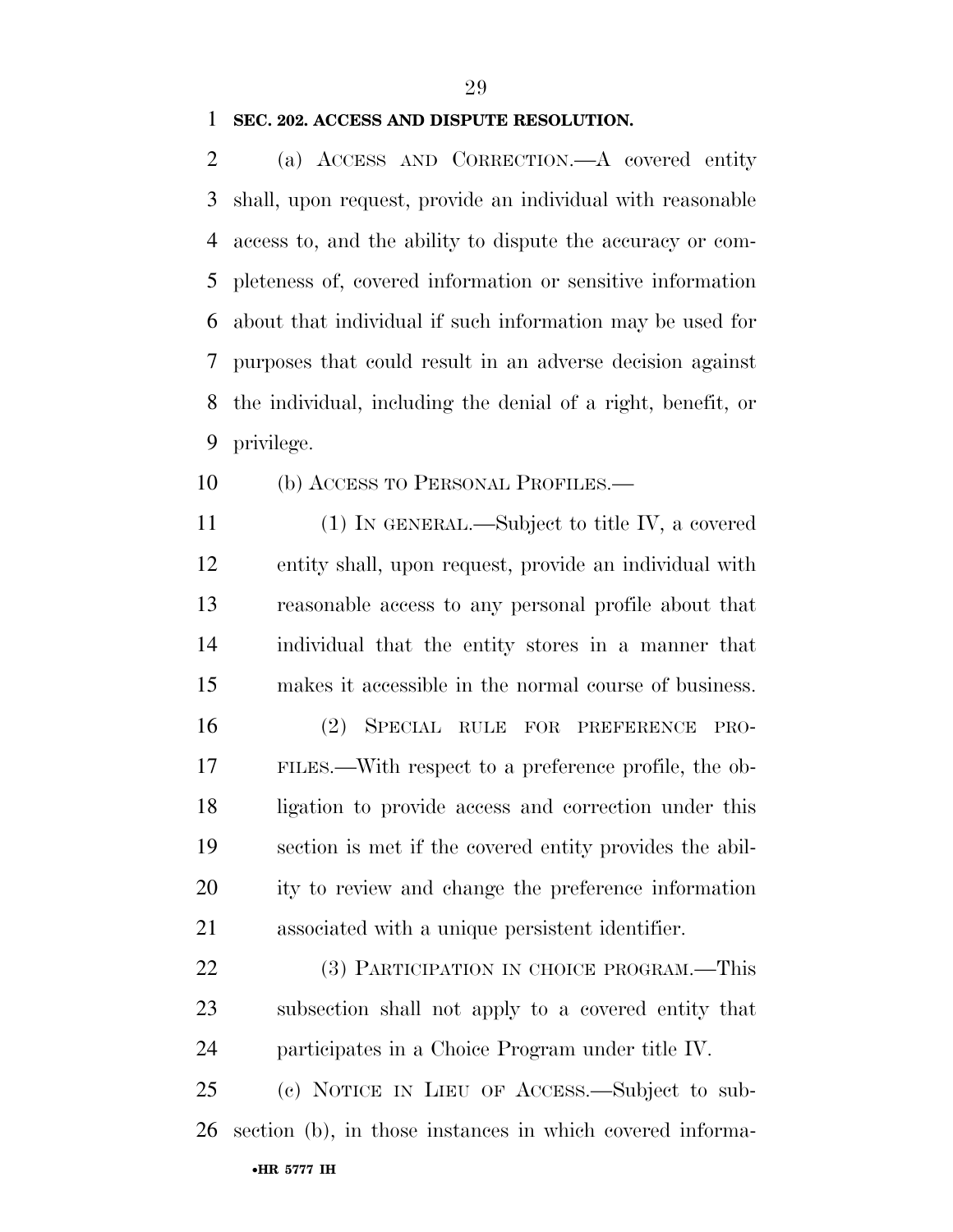### **SEC. 202. ACCESS AND DISPUTE RESOLUTION.**

 (a) ACCESS AND CORRECTION.—A covered entity shall, upon request, provide an individual with reasonable access to, and the ability to dispute the accuracy or com- pleteness of, covered information or sensitive information about that individual if such information may be used for purposes that could result in an adverse decision against the individual, including the denial of a right, benefit, or privilege.

(b) ACCESS TO PERSONAL PROFILES.—

 (1) IN GENERAL.—Subject to title IV, a covered entity shall, upon request, provide an individual with reasonable access to any personal profile about that individual that the entity stores in a manner that makes it accessible in the normal course of business.

 (2) SPECIAL RULE FOR PREFERENCE PRO- FILES.—With respect to a preference profile, the ob- ligation to provide access and correction under this section is met if the covered entity provides the abil- ity to review and change the preference information associated with a unique persistent identifier.

22 (3) PARTICIPATION IN CHOICE PROGRAM.—This subsection shall not apply to a covered entity that participates in a Choice Program under title IV.

•**HR 5777 IH** (c) NOTICE IN LIEU OF ACCESS.—Subject to sub-section (b), in those instances in which covered informa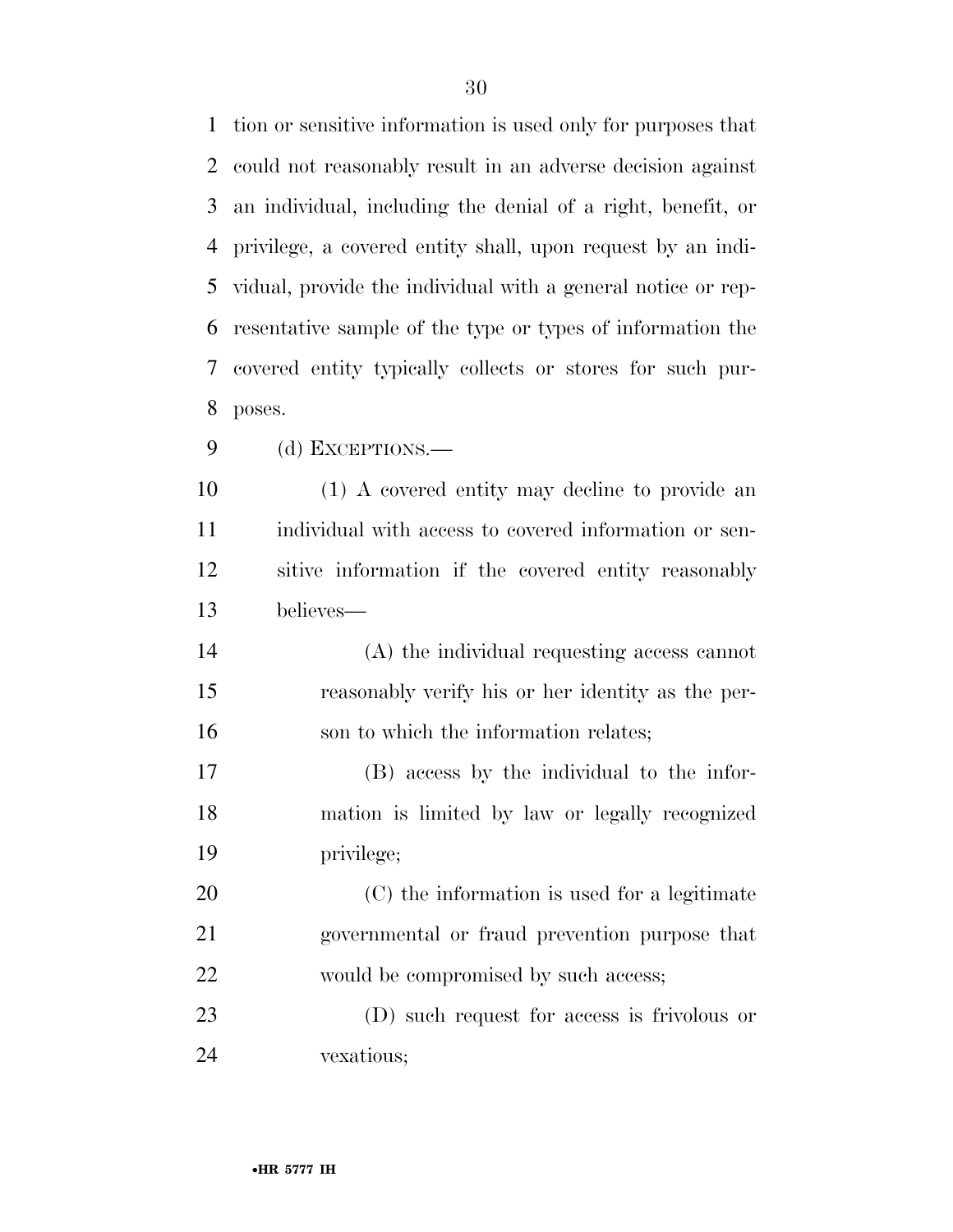tion or sensitive information is used only for purposes that could not reasonably result in an adverse decision against an individual, including the denial of a right, benefit, or privilege, a covered entity shall, upon request by an indi- vidual, provide the individual with a general notice or rep- resentative sample of the type or types of information the covered entity typically collects or stores for such pur-poses.

(d) EXCEPTIONS.—

 (1) A covered entity may decline to provide an individual with access to covered information or sen- sitive information if the covered entity reasonably believes—

 (A) the individual requesting access cannot reasonably verify his or her identity as the per-16 son to which the information relates;

 (B) access by the individual to the infor- mation is limited by law or legally recognized privilege;

 (C) the information is used for a legitimate governmental or fraud prevention purpose that would be compromised by such access;

 (D) such request for access is frivolous or vexatious;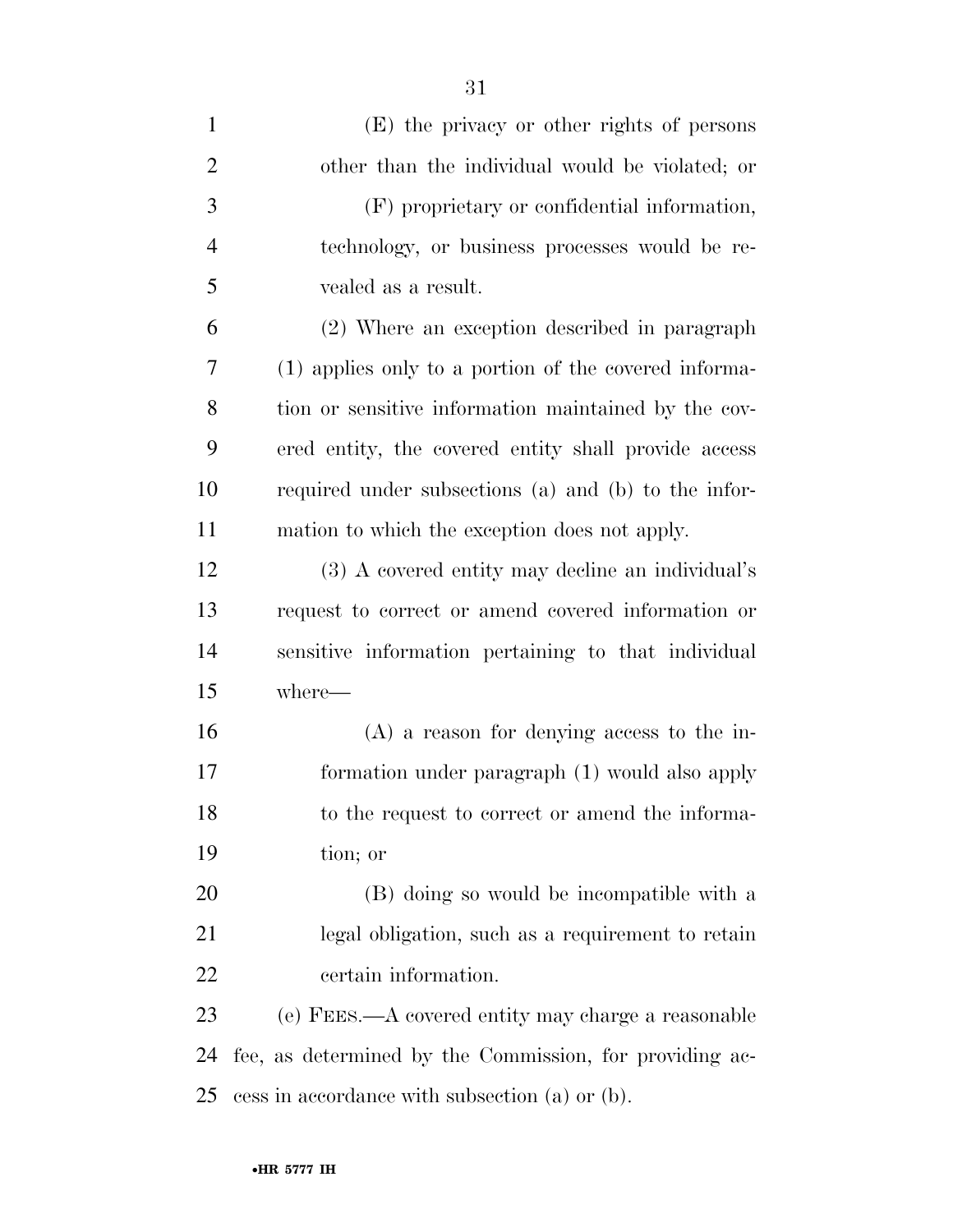| $\mathbf{1}$   | (E) the privacy or other rights of persons              |
|----------------|---------------------------------------------------------|
| $\overline{2}$ | other than the individual would be violated; or         |
| 3              | (F) proprietary or confidential information,            |
| $\overline{4}$ | technology, or business processes would be re-          |
| 5              | vealed as a result.                                     |
| 6              | (2) Where an exception described in paragraph           |
| 7              | (1) applies only to a portion of the covered informa-   |
| 8              | tion or sensitive information maintained by the cov-    |
| 9              | ered entity, the covered entity shall provide access    |
| 10             | required under subsections (a) and (b) to the infor-    |
| 11             | mation to which the exception does not apply.           |
| 12             | (3) A covered entity may decline an individual's        |
| 13             | request to correct or amend covered information or      |
| 14             | sensitive information pertaining to that individual     |
| 15             | where-                                                  |
| 16             | $(A)$ a reason for denying access to the in-            |
| 17             | formation under paragraph (1) would also apply          |
| 18             | to the request to correct or amend the informa-         |
| 19             | tion; or                                                |
| 20             | (B) doing so would be incompatible with a               |
| 21             | legal obligation, such as a requirement to retain       |
| 22             | certain information.                                    |
| 23             | (e) FEES.—A covered entity may charge a reasonable      |
| 24             | fee, as determined by the Commission, for providing ac- |
| 25             | cess in accordance with subsection (a) or (b).          |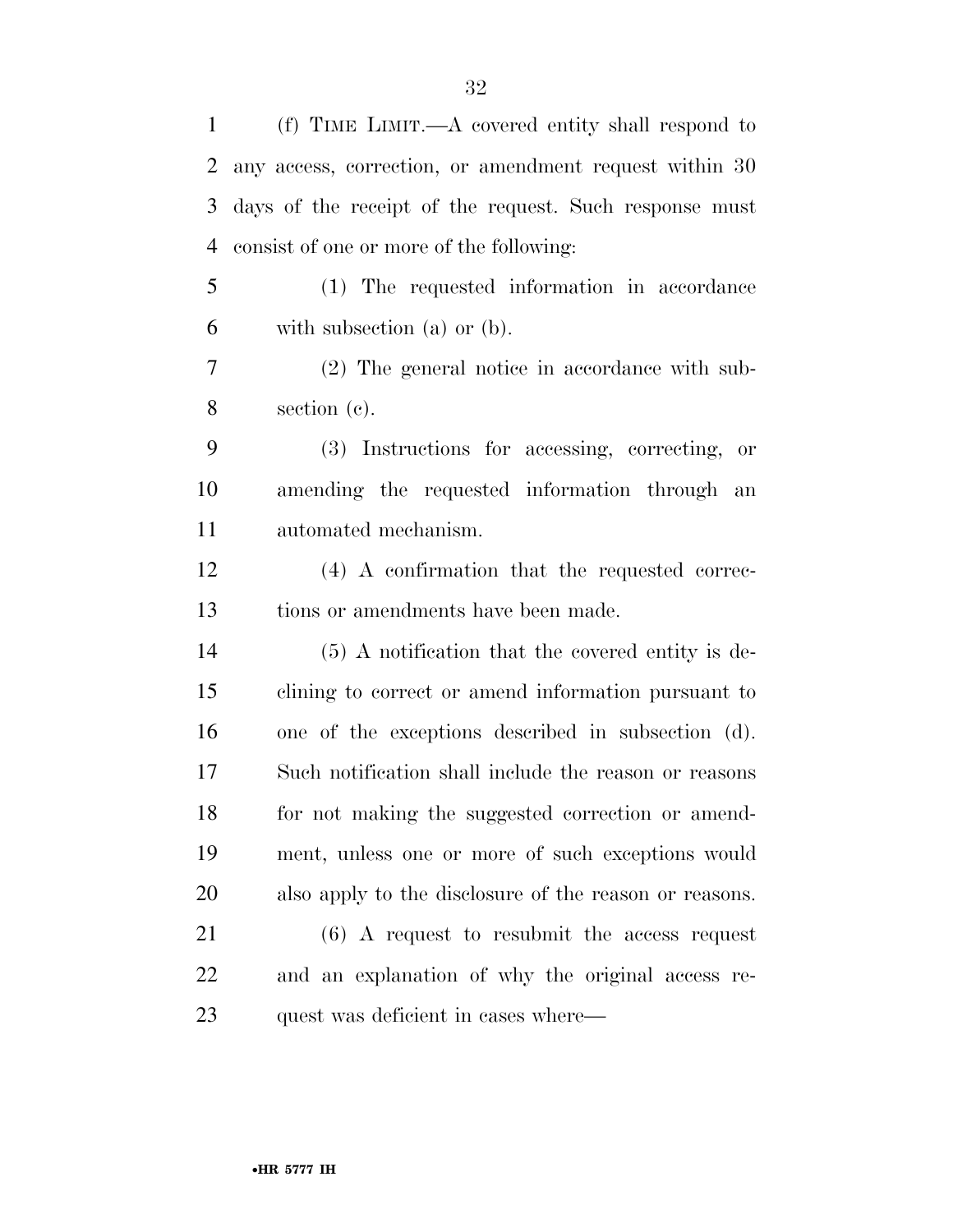| 1  | (f) TIME LIMIT.—A covered entity shall respond to      |
|----|--------------------------------------------------------|
| 2  | any access, correction, or amendment request within 30 |
| 3  | days of the receipt of the request. Such response must |
| 4  | consist of one or more of the following:               |
| 5  | (1) The requested information in accordance            |
| 6  | with subsection $(a)$ or $(b)$ .                       |
| 7  | (2) The general notice in accordance with sub-         |
| 8  | section $(c)$ .                                        |
| 9  | (3) Instructions for accessing, correcting, or         |
| 10 | amending the requested information through an          |
| 11 | automated mechanism.                                   |
| 12 | (4) A confirmation that the requested correc-          |
| 13 | tions or amendments have been made.                    |
| 14 | $(5)$ A notification that the covered entity is de-    |
| 15 | clining to correct or amend information pursuant to    |
| 16 | one of the exceptions described in subsection (d).     |
| 17 | Such notification shall include the reason or reasons  |
| 18 | for not making the suggested correction or amend-      |
| 19 | ment, unless one or more of such exceptions would      |
| 20 | also apply to the disclosure of the reason or reasons. |
| 21 | $(6)$ A request to resubmit the access request         |
| 22 | and an explanation of why the original access re-      |
| 23 | quest was deficient in cases where—                    |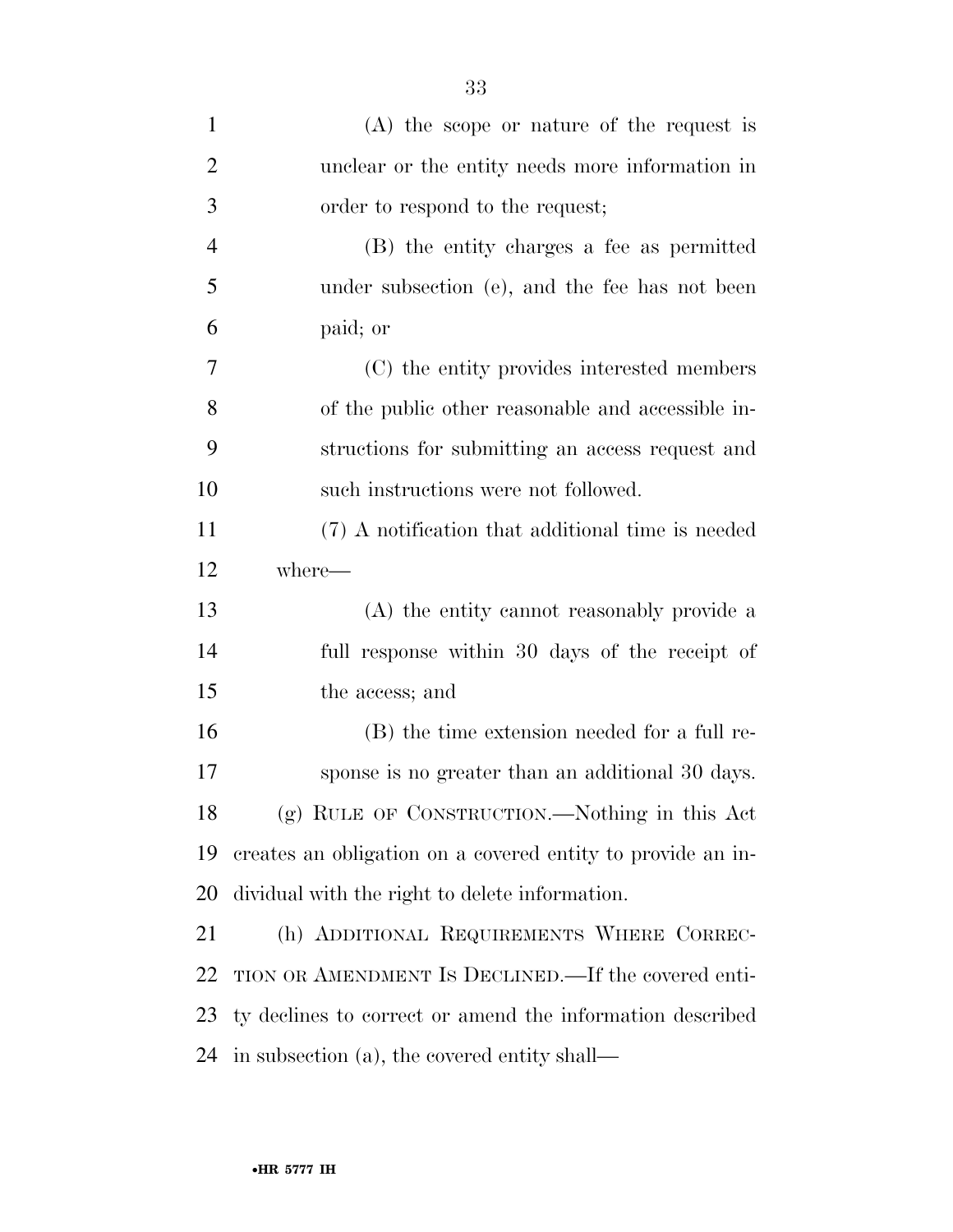| $\mathbf{1}$   | $(A)$ the scope or nature of the request is                 |
|----------------|-------------------------------------------------------------|
| $\overline{2}$ | unclear or the entity needs more information in             |
| 3              | order to respond to the request;                            |
| $\overline{4}$ | (B) the entity charges a fee as permitted                   |
| 5              | under subsection (e), and the fee has not been              |
| 6              | paid; or                                                    |
| 7              | (C) the entity provides interested members                  |
| 8              | of the public other reasonable and accessible in-           |
| 9              | structions for submitting an access request and             |
| 10             | such instructions were not followed.                        |
| 11             | (7) A notification that additional time is needed           |
| 12             | where—                                                      |
| 13             | (A) the entity cannot reasonably provide a                  |
| 14             | full response within 30 days of the receipt of              |
| 15             | the access; and                                             |
| 16             | (B) the time extension needed for a full re-                |
| 17             | sponse is no greater than an additional 30 days.            |
| 18             | (g) RULE OF CONSTRUCTION.—Nothing in this Act               |
| 19             | creates an obligation on a covered entity to provide an in- |
| 20             | dividual with the right to delete information.              |
| 21             | (h) ADDITIONAL REQUIREMENTS WHERE CORREC-                   |
| 22             | TION OR AMENDMENT IS DECLINED.—If the covered enti-         |
| 23             | ty declines to correct or amend the information described   |
| 24             | in subsection (a), the covered entity shall—                |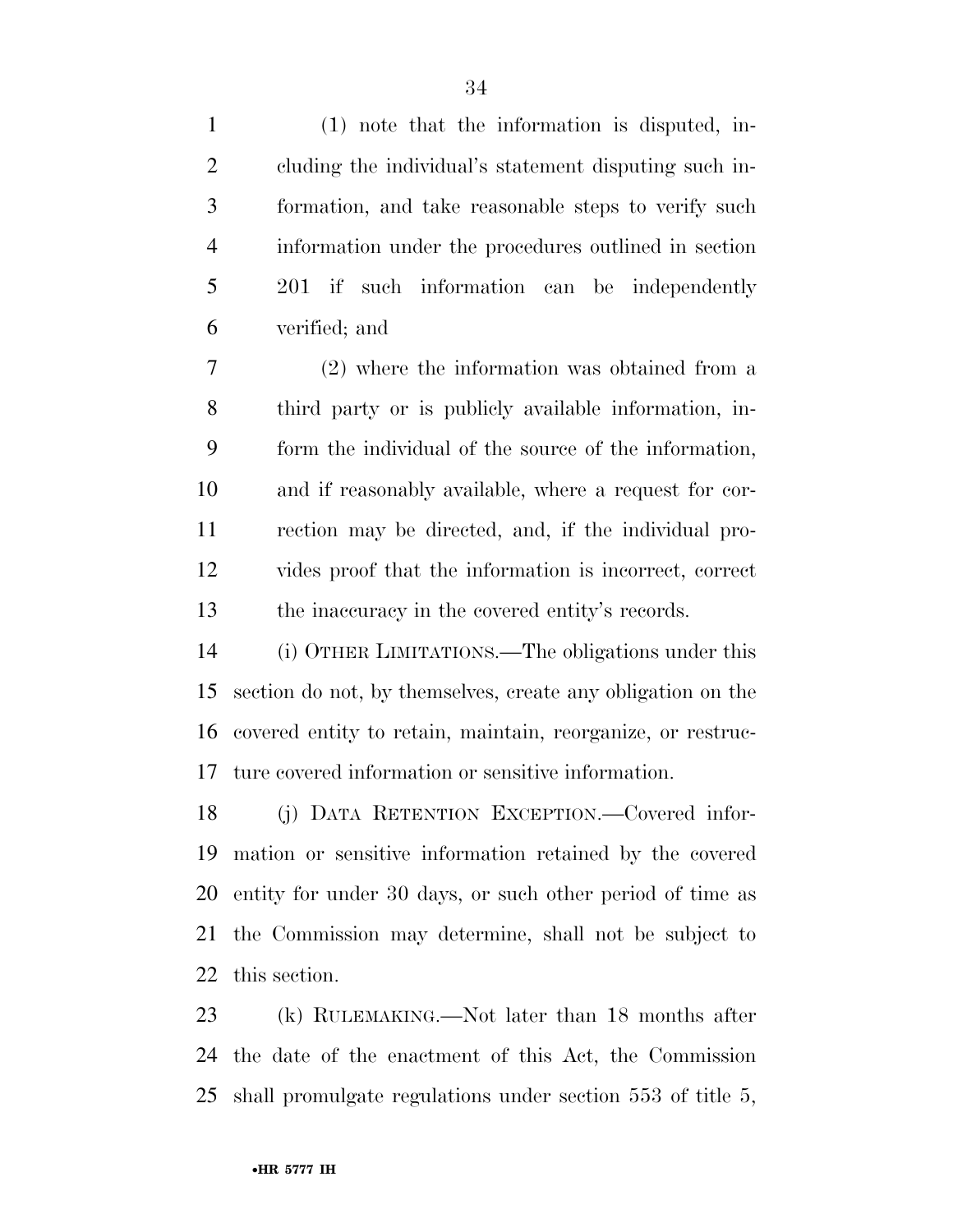(1) note that the information is disputed, in- cluding the individual's statement disputing such in- formation, and take reasonable steps to verify such information under the procedures outlined in section 201 if such information can be independently verified; and

 (2) where the information was obtained from a third party or is publicly available information, in- form the individual of the source of the information, and if reasonably available, where a request for cor- rection may be directed, and, if the individual pro- vides proof that the information is incorrect, correct the inaccuracy in the covered entity's records.

 (i) OTHER LIMITATIONS.—The obligations under this section do not, by themselves, create any obligation on the covered entity to retain, maintain, reorganize, or restruc-ture covered information or sensitive information.

 (j) DATA RETENTION EXCEPTION.—Covered infor- mation or sensitive information retained by the covered entity for under 30 days, or such other period of time as the Commission may determine, shall not be subject to this section.

 (k) RULEMAKING.—Not later than 18 months after the date of the enactment of this Act, the Commission shall promulgate regulations under section 553 of title 5,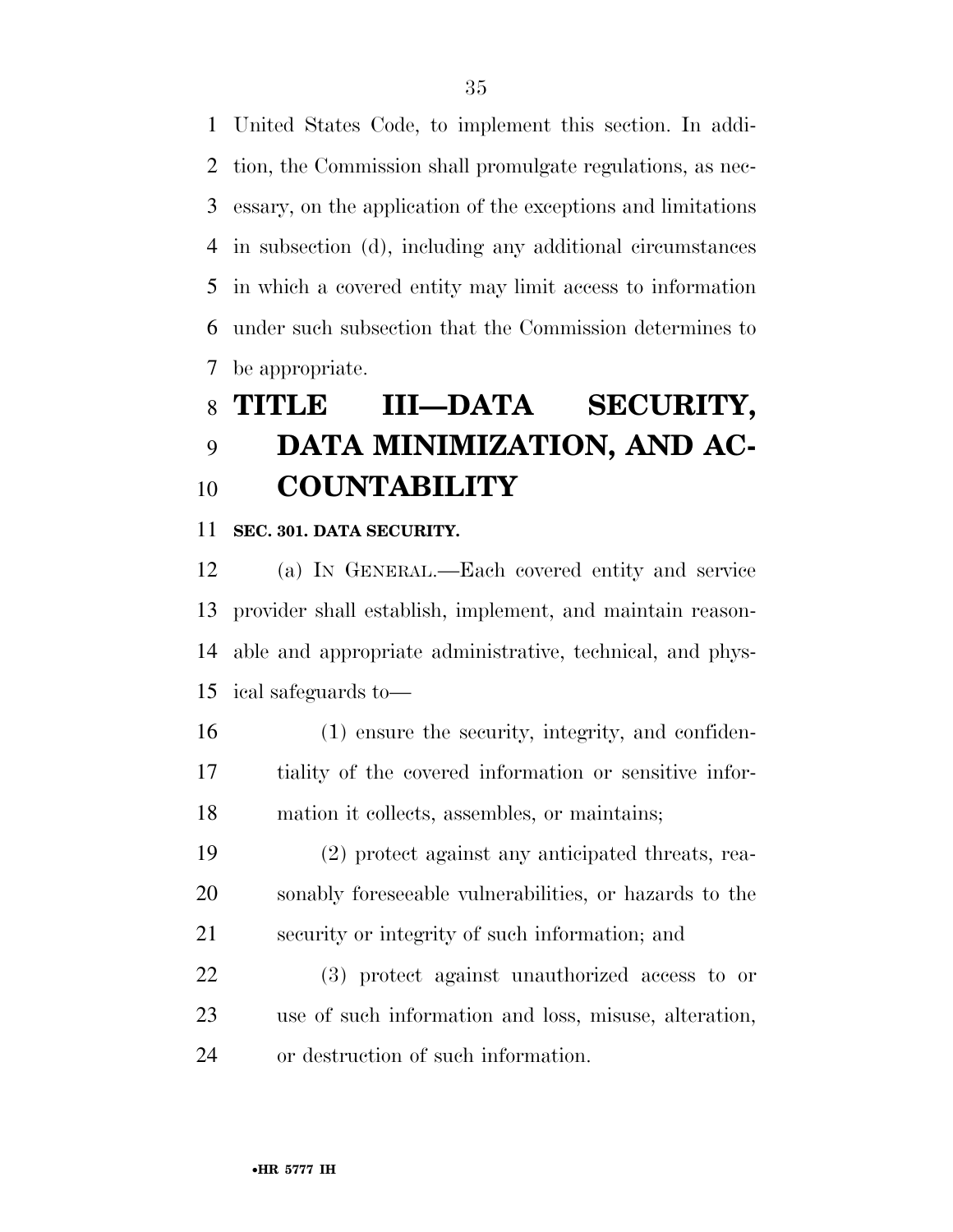United States Code, to implement this section. In addi- tion, the Commission shall promulgate regulations, as nec- essary, on the application of the exceptions and limitations in subsection (d), including any additional circumstances in which a covered entity may limit access to information under such subsection that the Commission determines to be appropriate.

## **TITLE III—DATA SECURITY, DATA MINIMIZATION, AND AC-COUNTABILITY**

**SEC. 301. DATA SECURITY.** 

 (a) IN GENERAL.—Each covered entity and service provider shall establish, implement, and maintain reason- able and appropriate administrative, technical, and phys-ical safeguards to—

- (1) ensure the security, integrity, and confiden- tiality of the covered information or sensitive infor-mation it collects, assembles, or maintains;
- (2) protect against any anticipated threats, rea- sonably foreseeable vulnerabilities, or hazards to the security or integrity of such information; and

 (3) protect against unauthorized access to or use of such information and loss, misuse, alteration, or destruction of such information.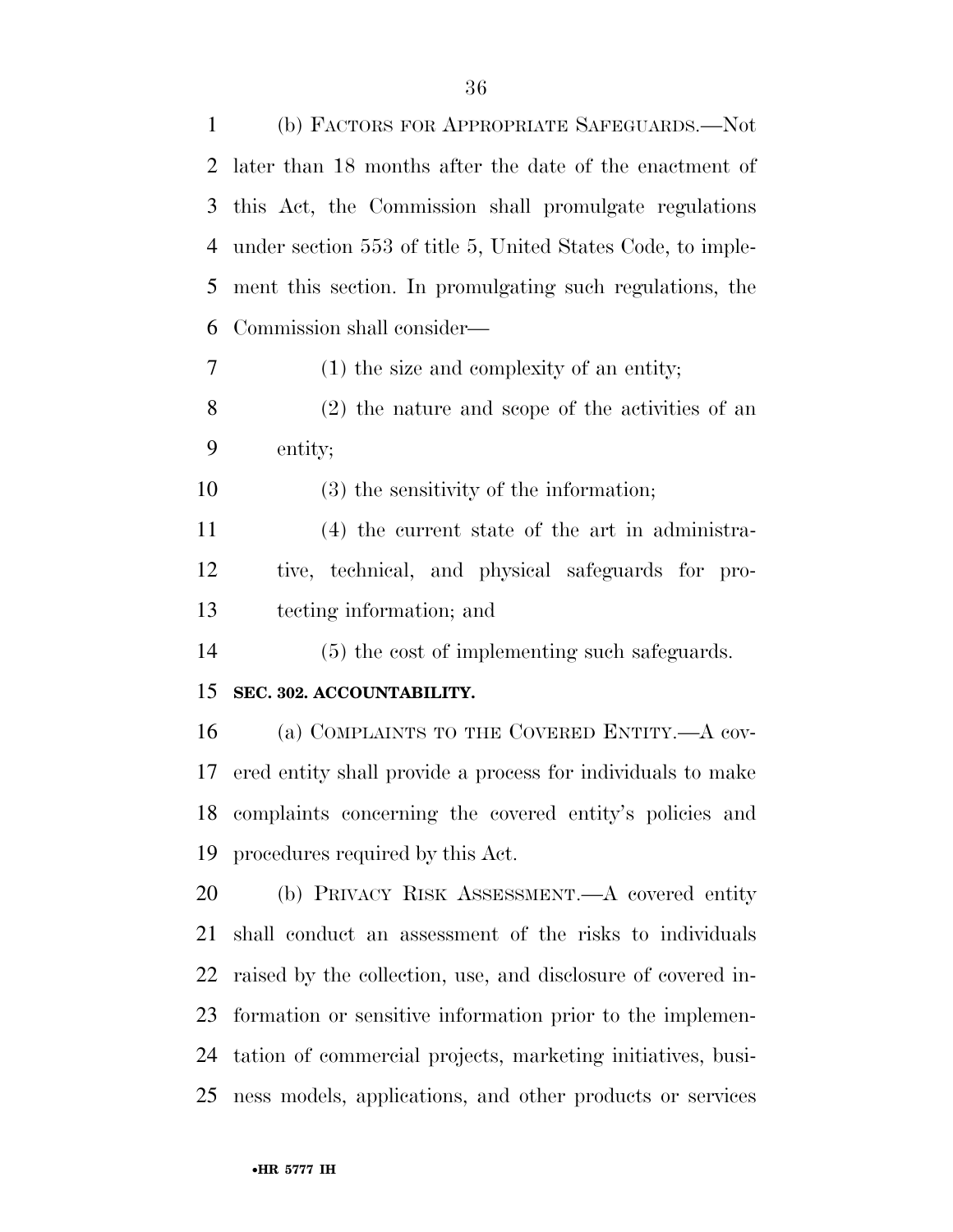| 1  | (b) FACTORS FOR APPROPRIATE SAFEGUARDS.—Not                  |
|----|--------------------------------------------------------------|
| 2  | later than 18 months after the date of the enactment of      |
| 3  | this Act, the Commission shall promulgate regulations        |
| 4  | under section 553 of title 5, United States Code, to imple-  |
| 5  | ment this section. In promulgating such regulations, the     |
| 6  | Commission shall consider—                                   |
| 7  | $(1)$ the size and complexity of an entity;                  |
| 8  | $(2)$ the nature and scope of the activities of an           |
| 9  | entity;                                                      |
| 10 | $(3)$ the sensitivity of the information;                    |
| 11 | (4) the current state of the art in administra-              |
| 12 | tive, technical, and physical safeguards for pro-            |
| 13 | tecting information; and                                     |
| 14 | (5) the cost of implementing such safeguards.                |
| 15 | SEC. 302. ACCOUNTABILITY.                                    |
| 16 | (a) COMPLAINTS TO THE COVERED ENTITY. A cov-                 |
| 17 | ered entity shall provide a process for individuals to make  |
|    | 18 complaints concerning the covered entity's policies and   |
|    | 19 procedures required by this Act.                          |
| 20 | (b) PRIVACY RISK ASSESSMENT.—A covered entity                |
| 21 | shall conduct an assessment of the risks to individuals      |
| 22 | raised by the collection, use, and disclosure of covered in- |
| 23 | formation or sensitive information prior to the implemen-    |
| 24 | tation of commercial projects, marketing initiatives, busi-  |
| 25 | ness models, applications, and other products or services    |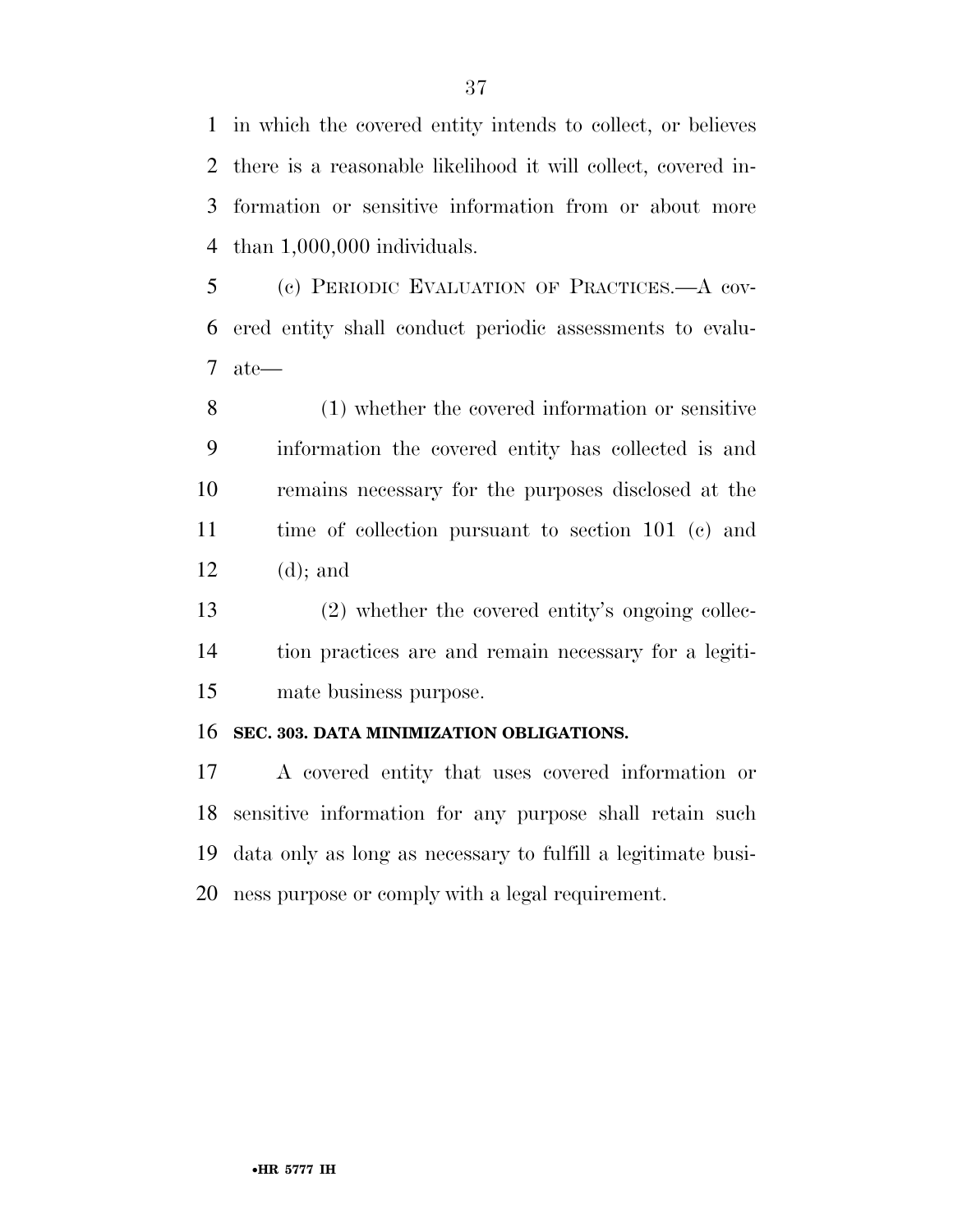in which the covered entity intends to collect, or believes there is a reasonable likelihood it will collect, covered in- formation or sensitive information from or about more than 1,000,000 individuals.

 (c) PERIODIC EVALUATION OF PRACTICES.—A cov- ered entity shall conduct periodic assessments to evalu-ate—

 (1) whether the covered information or sensitive information the covered entity has collected is and remains necessary for the purposes disclosed at the time of collection pursuant to section 101 (c) and (d); and

 (2) whether the covered entity's ongoing collec- tion practices are and remain necessary for a legiti-mate business purpose.

### **SEC. 303. DATA MINIMIZATION OBLIGATIONS.**

 A covered entity that uses covered information or sensitive information for any purpose shall retain such data only as long as necessary to fulfill a legitimate busi-ness purpose or comply with a legal requirement.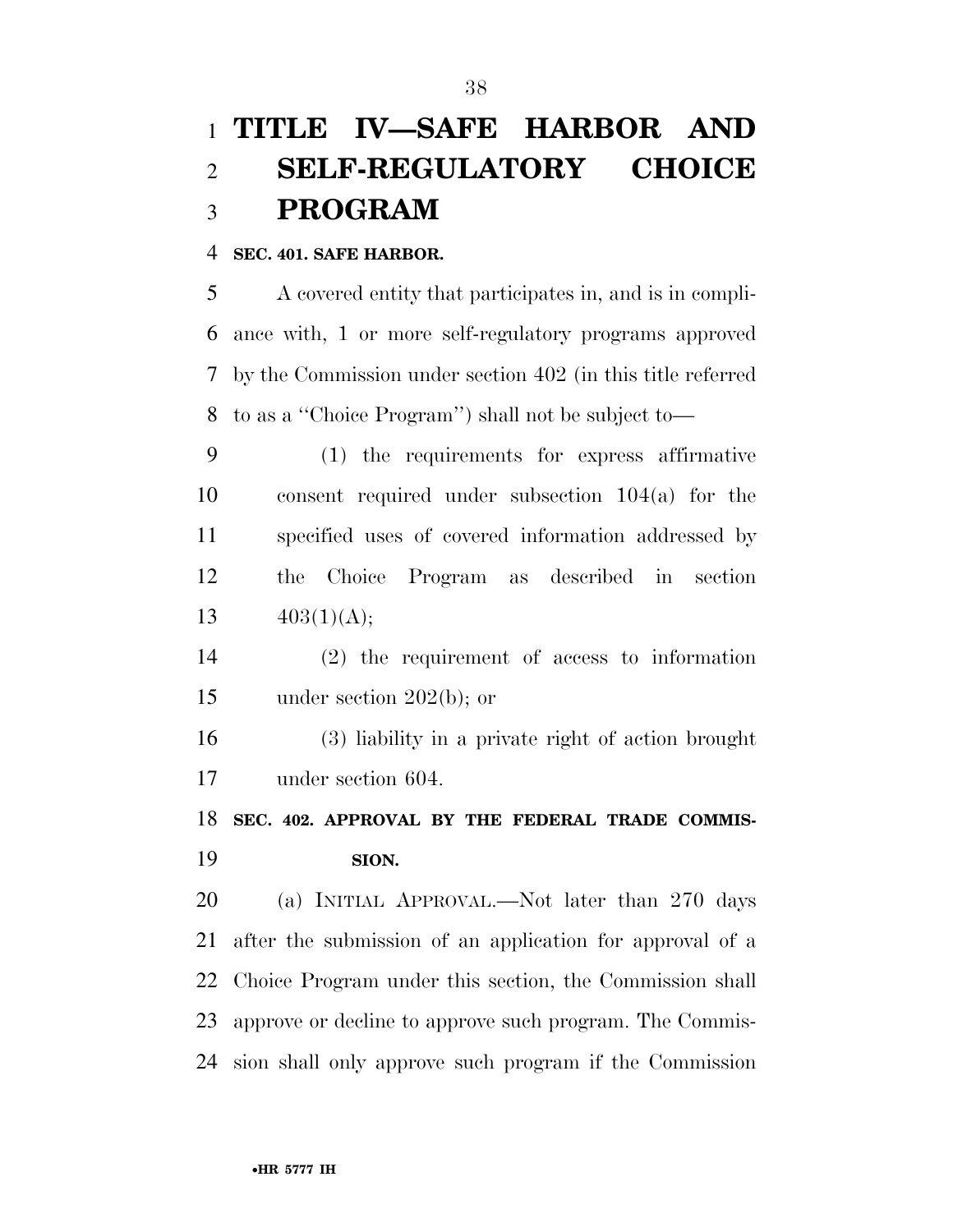# **TITLE IV—SAFE HARBOR AND SELF-REGULATORY CHOICE PROGRAM**

### **SEC. 401. SAFE HARBOR.**

 A covered entity that participates in, and is in compli- ance with, 1 or more self-regulatory programs approved by the Commission under section 402 (in this title referred to as a ''Choice Program'') shall not be subject to—

 (1) the requirements for express affirmative consent required under subsection 104(a) for the specified uses of covered information addressed by the Choice Program as described in section  $403(1)(\text{A});$ 

 (2) the requirement of access to information under section 202(b); or

 (3) liability in a private right of action brought under section 604.

## **SEC. 402. APPROVAL BY THE FEDERAL TRADE COMMIS-SION.**

 (a) INITIAL APPROVAL.—Not later than 270 days after the submission of an application for approval of a Choice Program under this section, the Commission shall approve or decline to approve such program. The Commis-sion shall only approve such program if the Commission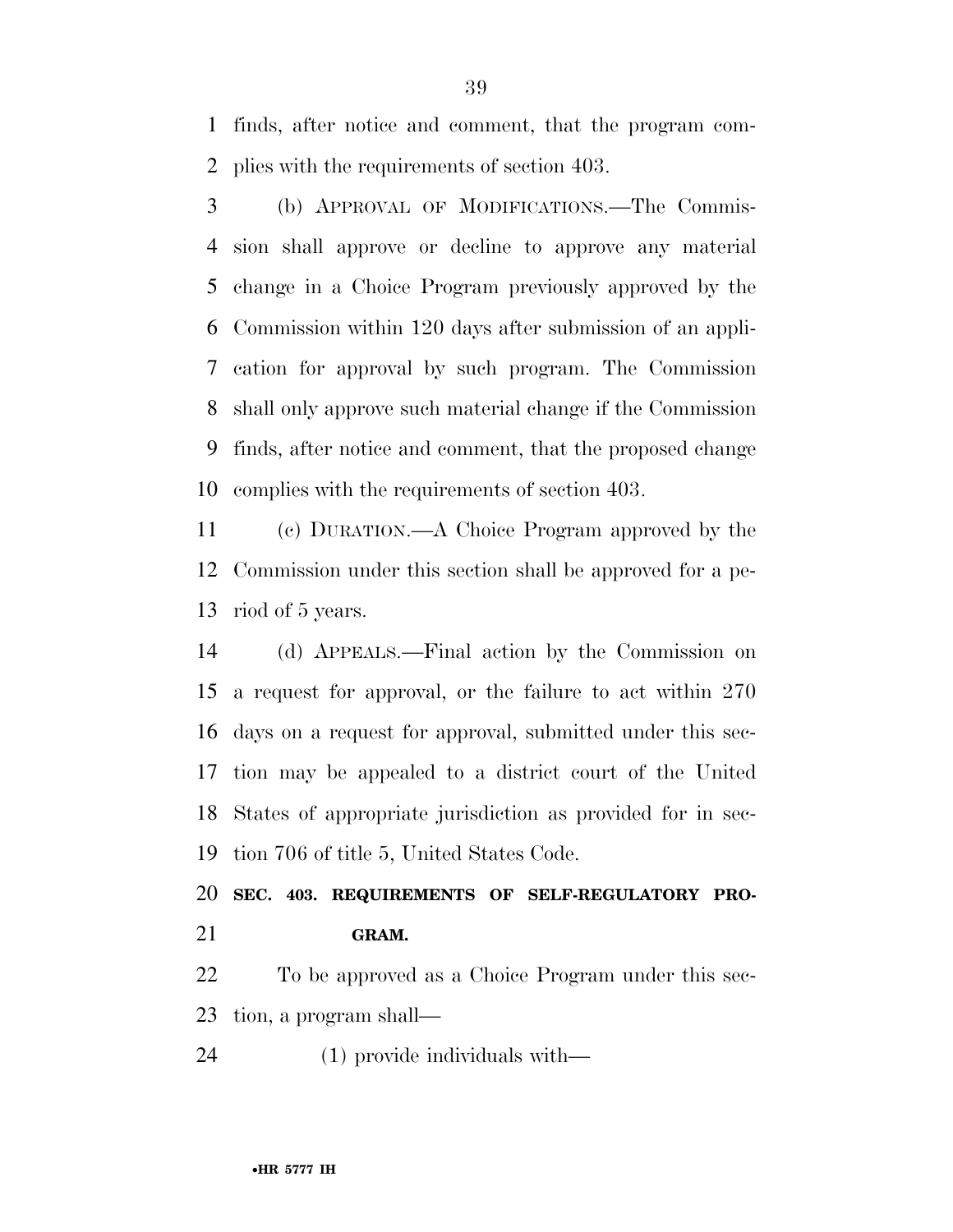finds, after notice and comment, that the program com-plies with the requirements of section 403.

 (b) APPROVAL OF MODIFICATIONS.—The Commis- sion shall approve or decline to approve any material change in a Choice Program previously approved by the Commission within 120 days after submission of an appli- cation for approval by such program. The Commission shall only approve such material change if the Commission finds, after notice and comment, that the proposed change complies with the requirements of section 403.

 (c) DURATION.—A Choice Program approved by the Commission under this section shall be approved for a pe-riod of 5 years.

 (d) APPEALS.—Final action by the Commission on a request for approval, or the failure to act within 270 days on a request for approval, submitted under this sec- tion may be appealed to a district court of the United States of appropriate jurisdiction as provided for in sec-tion 706 of title 5, United States Code.

 **SEC. 403. REQUIREMENTS OF SELF-REGULATORY PRO-GRAM.** 

 To be approved as a Choice Program under this sec-tion, a program shall—

(1) provide individuals with—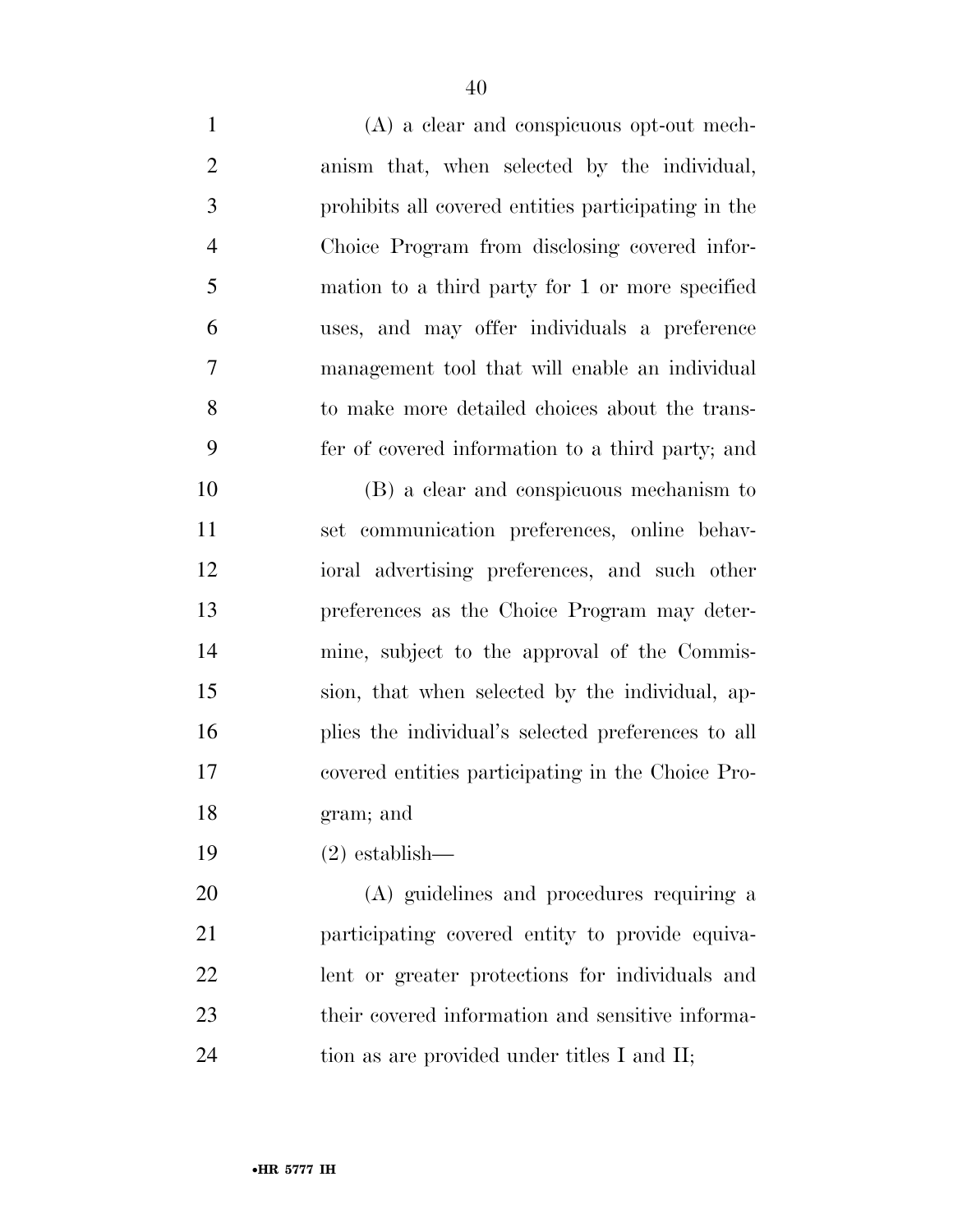(A) a clear and conspicuous opt-out mech- anism that, when selected by the individual, prohibits all covered entities participating in the Choice Program from disclosing covered infor- mation to a third party for 1 or more specified uses, and may offer individuals a preference management tool that will enable an individual to make more detailed choices about the trans- fer of covered information to a third party; and (B) a clear and conspicuous mechanism to set communication preferences, online behav- ioral advertising preferences, and such other preferences as the Choice Program may deter- mine, subject to the approval of the Commis- sion, that when selected by the individual, ap- plies the individual's selected preferences to all covered entities participating in the Choice Pro- gram; and (2) establish— (A) guidelines and procedures requiring a participating covered entity to provide equiva-

 lent or greater protections for individuals and their covered information and sensitive informa-

24 tion as are provided under titles I and II;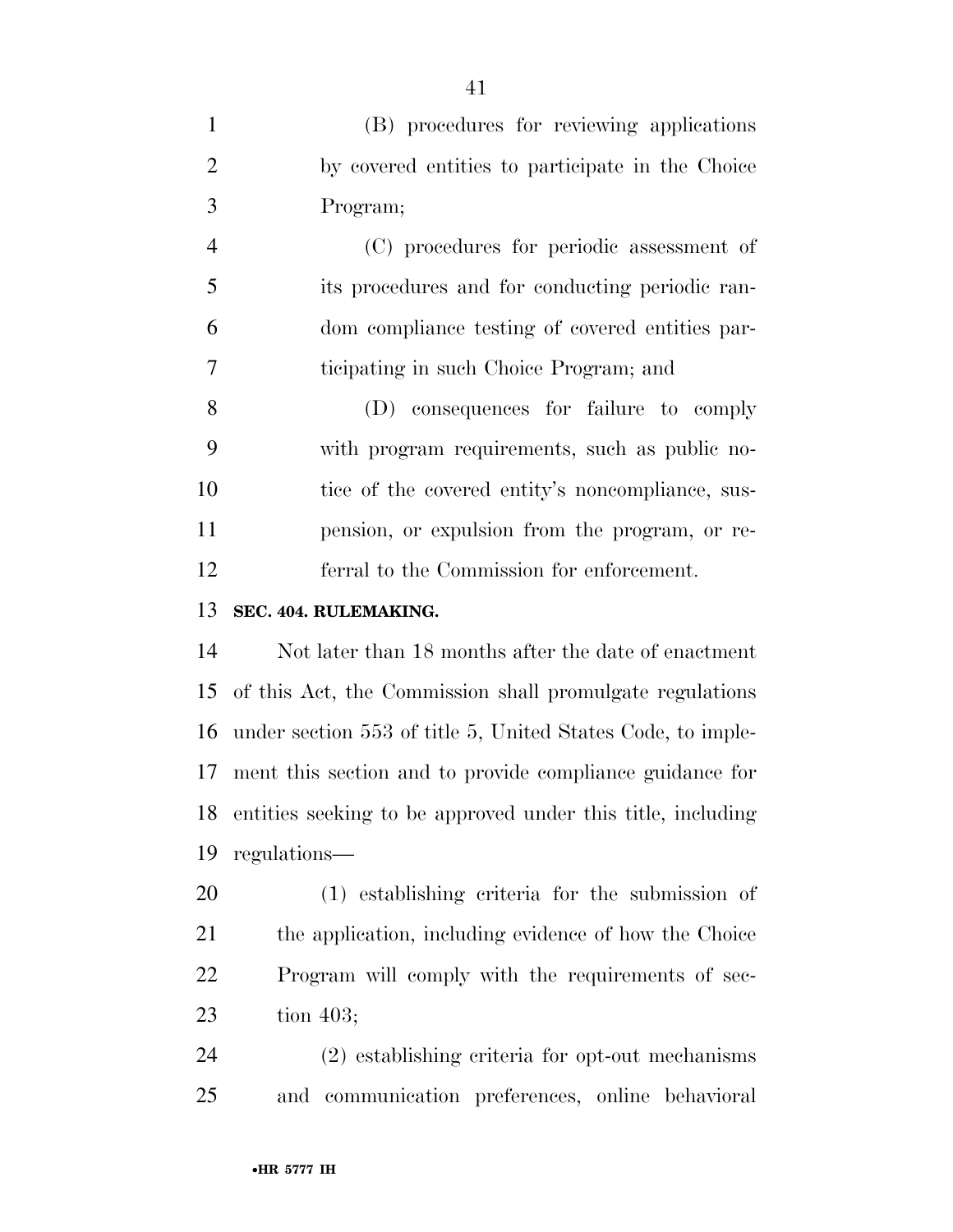|               | (B) procedures for reviewing applications        |
|---------------|--------------------------------------------------|
|               | by covered entities to participate in the Choice |
| $\mathcal{R}$ | Program;                                         |

 (C) procedures for periodic assessment of its procedures and for conducting periodic ran- dom compliance testing of covered entities par-ticipating in such Choice Program; and

 (D) consequences for failure to comply with program requirements, such as public no-10 tice of the covered entity's noncompliance, sus- pension, or expulsion from the program, or re-ferral to the Commission for enforcement.

## **SEC. 404. RULEMAKING.**

 Not later than 18 months after the date of enactment of this Act, the Commission shall promulgate regulations under section 553 of title 5, United States Code, to imple- ment this section and to provide compliance guidance for entities seeking to be approved under this title, including regulations—

 (1) establishing criteria for the submission of the application, including evidence of how the Choice Program will comply with the requirements of sec-tion 403;

 (2) establishing criteria for opt-out mechanisms and communication preferences, online behavioral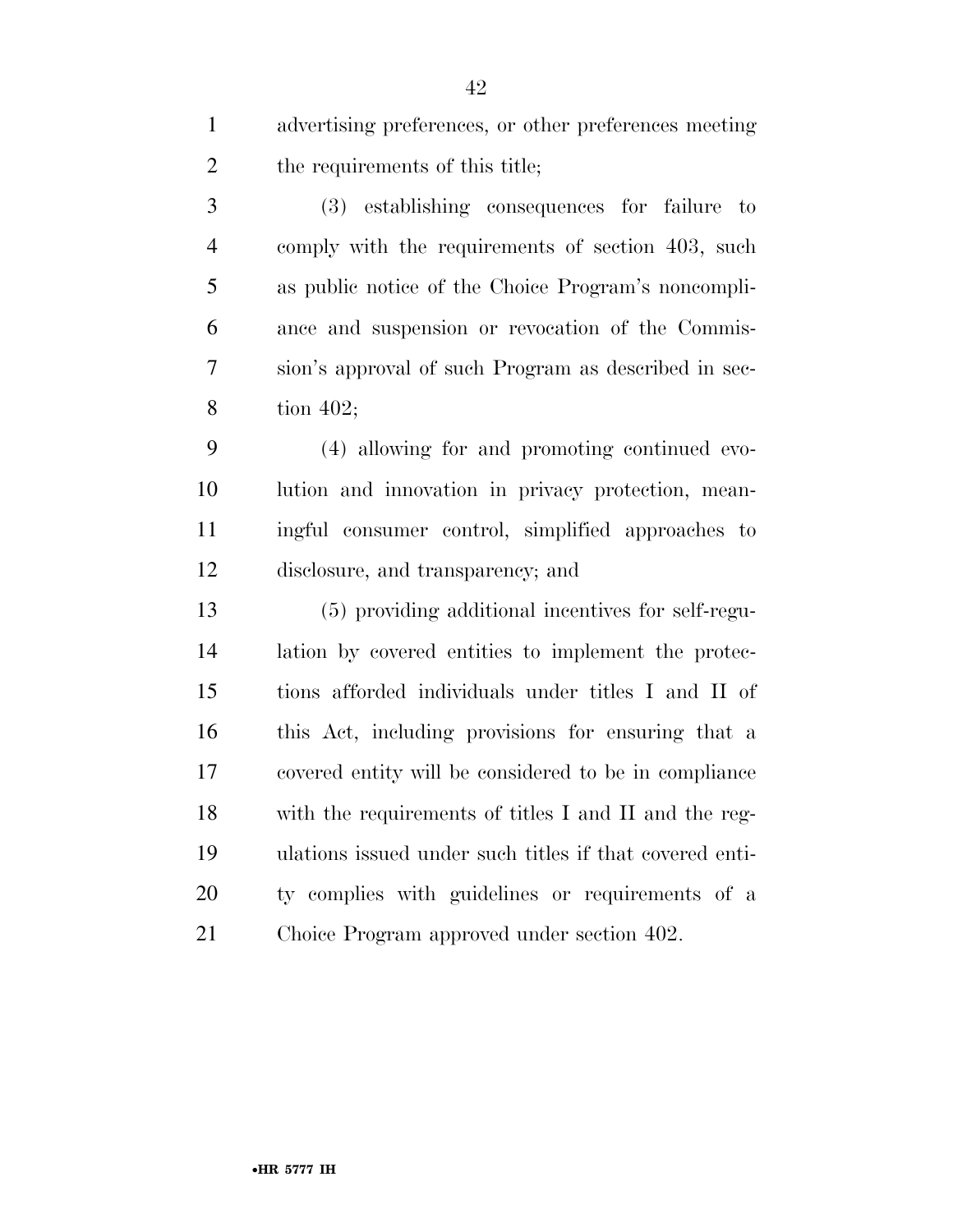advertising preferences, or other preferences meeting 2 the requirements of this title;

 (3) establishing consequences for failure to comply with the requirements of section 403, such as public notice of the Choice Program's noncompli- ance and suspension or revocation of the Commis- sion's approval of such Program as described in sec-tion 402;

 (4) allowing for and promoting continued evo- lution and innovation in privacy protection, mean- ingful consumer control, simplified approaches to disclosure, and transparency; and

 (5) providing additional incentives for self-regu- lation by covered entities to implement the protec- tions afforded individuals under titles I and II of this Act, including provisions for ensuring that a covered entity will be considered to be in compliance with the requirements of titles I and II and the reg- ulations issued under such titles if that covered enti- ty complies with guidelines or requirements of a Choice Program approved under section 402.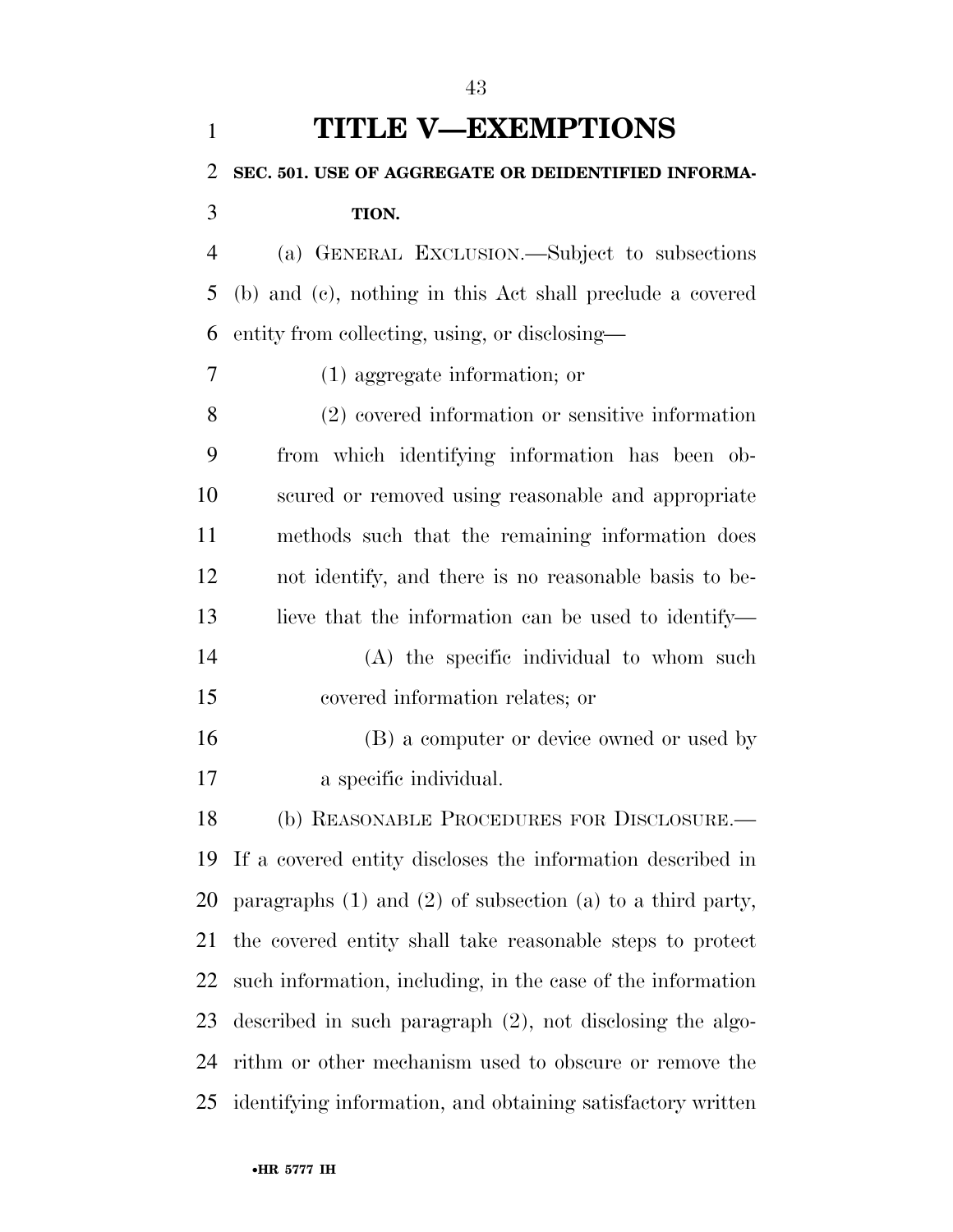| $\mathbf{1}$   | <b>TITLE V-EXEMPTIONS</b>                                        |
|----------------|------------------------------------------------------------------|
| $\overline{2}$ | SEC. 501. USE OF AGGREGATE OR DEIDENTIFIED INFORMA-              |
| 3              | TION.                                                            |
| $\overline{4}$ | (a) GENERAL EXCLUSION.—Subject to subsections                    |
| 5              | (b) and (c), nothing in this Act shall preclude a covered        |
| 6              | entity from collecting, using, or disclosing—                    |
| 7              | $(1)$ aggregate information; or                                  |
| 8              | (2) covered information or sensitive information                 |
| 9              | from which identifying information has been ob-                  |
| 10             | scured or removed using reasonable and appropriate               |
| 11             | methods such that the remaining information does                 |
| 12             | not identify, and there is no reasonable basis to be-            |
| 13             | lieve that the information can be used to identify—              |
| 14             | (A) the specific individual to whom such                         |
| 15             | covered information relates; or                                  |
| 16             | (B) a computer or device owned or used by                        |
| 17             | a specific individual.                                           |
| 18             | (b) REASONABLE PROCEDURES FOR DISCLOSURE.—                       |
| 19             | If a covered entity discloses the information described in       |
| 20             | paragraphs $(1)$ and $(2)$ of subsection $(a)$ to a third party, |
| 21             | the covered entity shall take reasonable steps to protect        |
| 22             | such information, including, in the case of the information      |
| 23             | described in such paragraph $(2)$ , not disclosing the algo-     |
| 24             | rithm or other mechanism used to obscure or remove the           |
| 25             | identifying information, and obtaining satisfactory written      |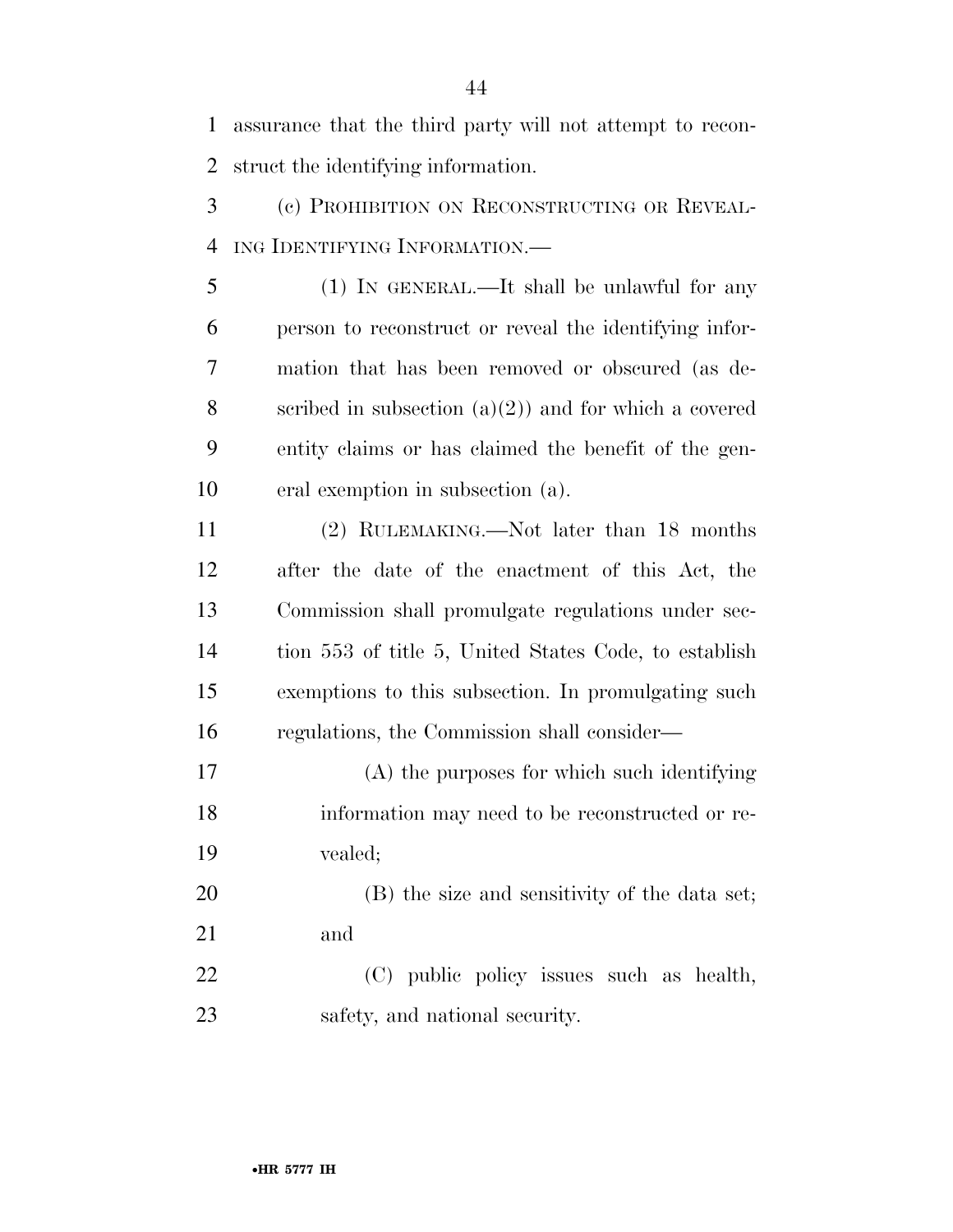assurance that the third party will not attempt to recon-struct the identifying information.

 (c) PROHIBITION ON RECONSTRUCTING OR REVEAL-ING IDENTIFYING INFORMATION.—

 (1) IN GENERAL.—It shall be unlawful for any person to reconstruct or reveal the identifying infor- mation that has been removed or obscured (as de-8 scribed in subsection  $(a)(2)$  and for which a covered entity claims or has claimed the benefit of the gen-eral exemption in subsection (a).

 (2) RULEMAKING.—Not later than 18 months after the date of the enactment of this Act, the Commission shall promulgate regulations under sec- tion 553 of title 5, United States Code, to establish exemptions to this subsection. In promulgating such regulations, the Commission shall consider—

 (A) the purposes for which such identifying information may need to be reconstructed or re-vealed;

 (B) the size and sensitivity of the data set; and

 (C) public policy issues such as health, safety, and national security.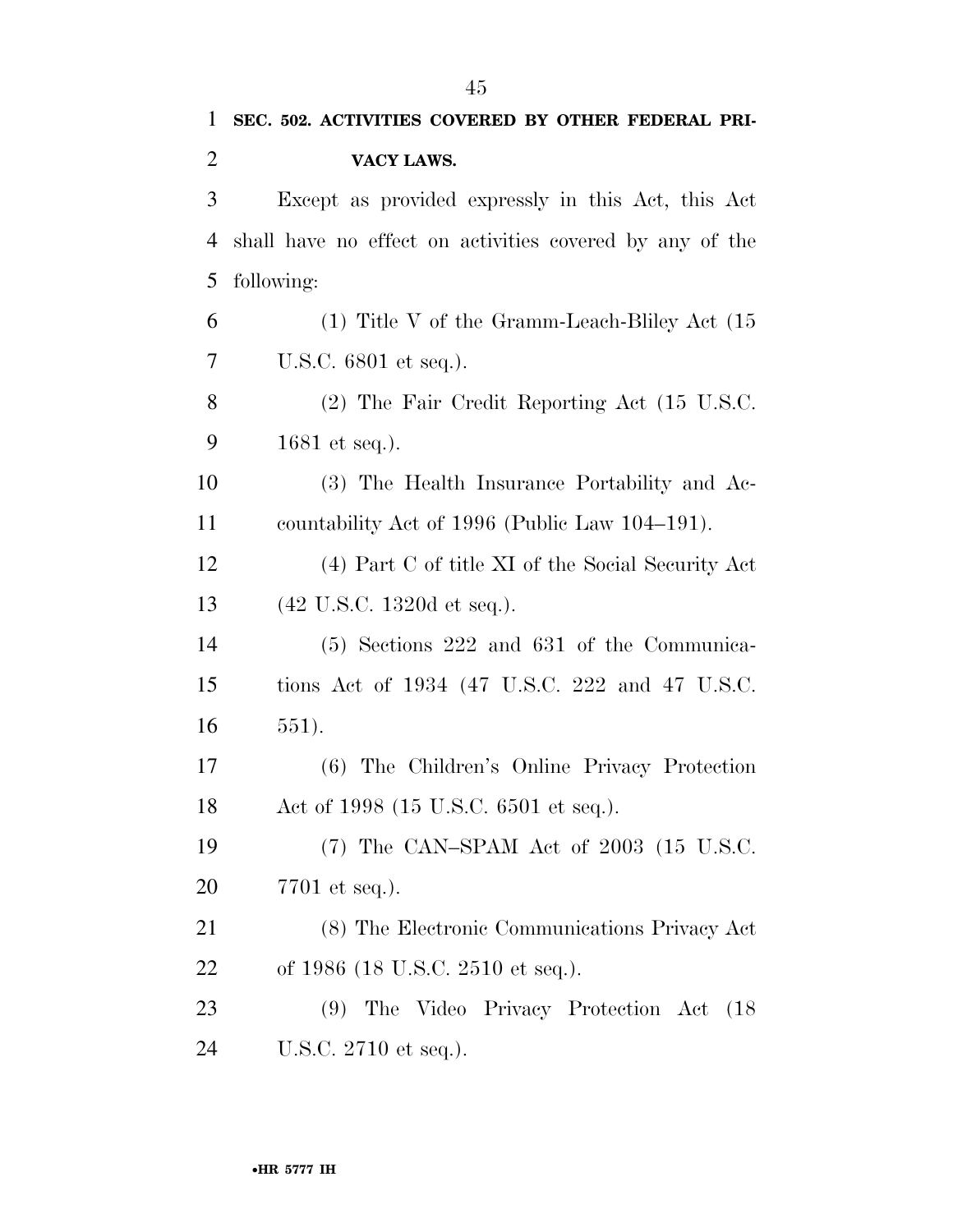| 1              | SEC. 502. ACTIVITIES COVERED BY OTHER FEDERAL PRI-       |
|----------------|----------------------------------------------------------|
| $\overline{2}$ | VACY LAWS.                                               |
| 3              | Except as provided expressly in this Act, this Act       |
| 4              | shall have no effect on activities covered by any of the |
| 5              | following:                                               |
| 6              | $(1)$ Title V of the Gramm-Leach-Bliley Act $(15)$       |
| 7              | U.S.C. 6801 et seq.).                                    |
| 8              | (2) The Fair Credit Reporting Act (15 U.S.C.             |
| 9              | 1681 et seq.).                                           |
| 10             | (3) The Health Insurance Portability and Ac-             |
| 11             | countability Act of 1996 (Public Law 104–191).           |
| 12             | (4) Part C of title XI of the Social Security Act        |
| 13             | $(42 \text{ U.S.C. } 1320d \text{ et seq.}).$            |
| 14             | $(5)$ Sections 222 and 631 of the Communica-             |
| 15             | tions Act of 1934 (47 U.S.C. 222 and 47 U.S.C.           |
| 16             | $551$ .                                                  |
| 17             | (6) The Children's Online Privacy Protection             |
| 18             | Act of 1998 (15 U.S.C. 6501 et seq.).                    |
| 19             | $(7)$ The CAN-SPAM Act of 2003 $(15 \text{ U.S.C.})$     |
| 20             | 7701 et seq.).                                           |
| 21             | (8) The Electronic Communications Privacy Act            |
| 22             | of 1986 (18 U.S.C. 2510 et seq.).                        |
| 23             | (9) The Video Privacy Protection Act (18)                |
| 24             | U.S.C. 2710 et seq.).                                    |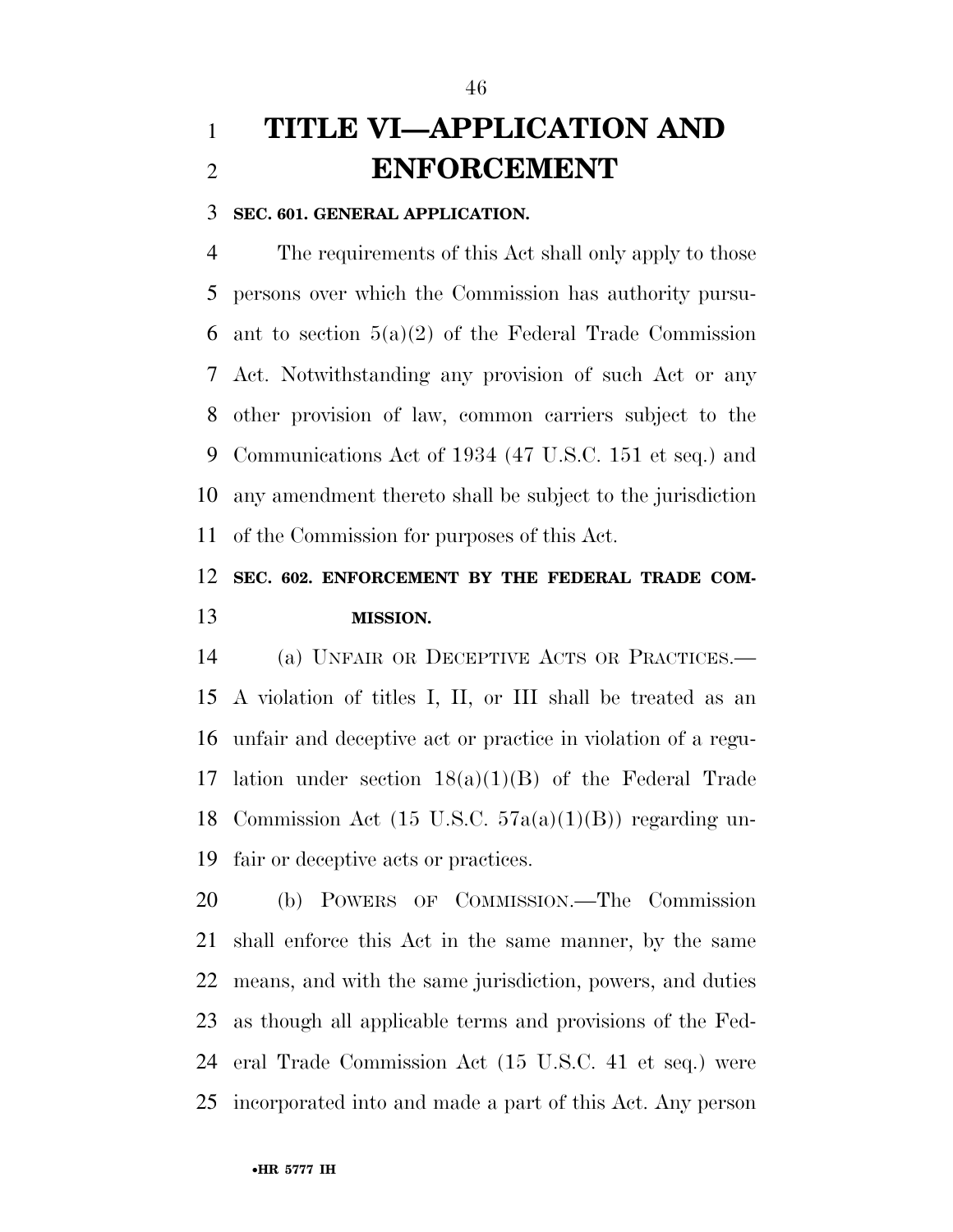## **TITLE VI—APPLICATION AND ENFORCEMENT**

#### **SEC. 601. GENERAL APPLICATION.**

 The requirements of this Act shall only apply to those persons over which the Commission has authority pursu-6 ant to section  $5(a)(2)$  of the Federal Trade Commission Act. Notwithstanding any provision of such Act or any other provision of law, common carriers subject to the Communications Act of 1934 (47 U.S.C. 151 et seq.) and any amendment thereto shall be subject to the jurisdiction of the Commission for purposes of this Act.

## **SEC. 602. ENFORCEMENT BY THE FEDERAL TRADE COM-MISSION.**

 (a) UNFAIR OR DECEPTIVE ACTS OR PRACTICES.— A violation of titles I, II, or III shall be treated as an unfair and deceptive act or practice in violation of a regu- lation under section 18(a)(1)(B) of the Federal Trade Commission Act (15 U.S.C. 57a(a)(1)(B)) regarding un-fair or deceptive acts or practices.

 (b) POWERS OF COMMISSION.—The Commission shall enforce this Act in the same manner, by the same means, and with the same jurisdiction, powers, and duties as though all applicable terms and provisions of the Fed- eral Trade Commission Act (15 U.S.C. 41 et seq.) were incorporated into and made a part of this Act. Any person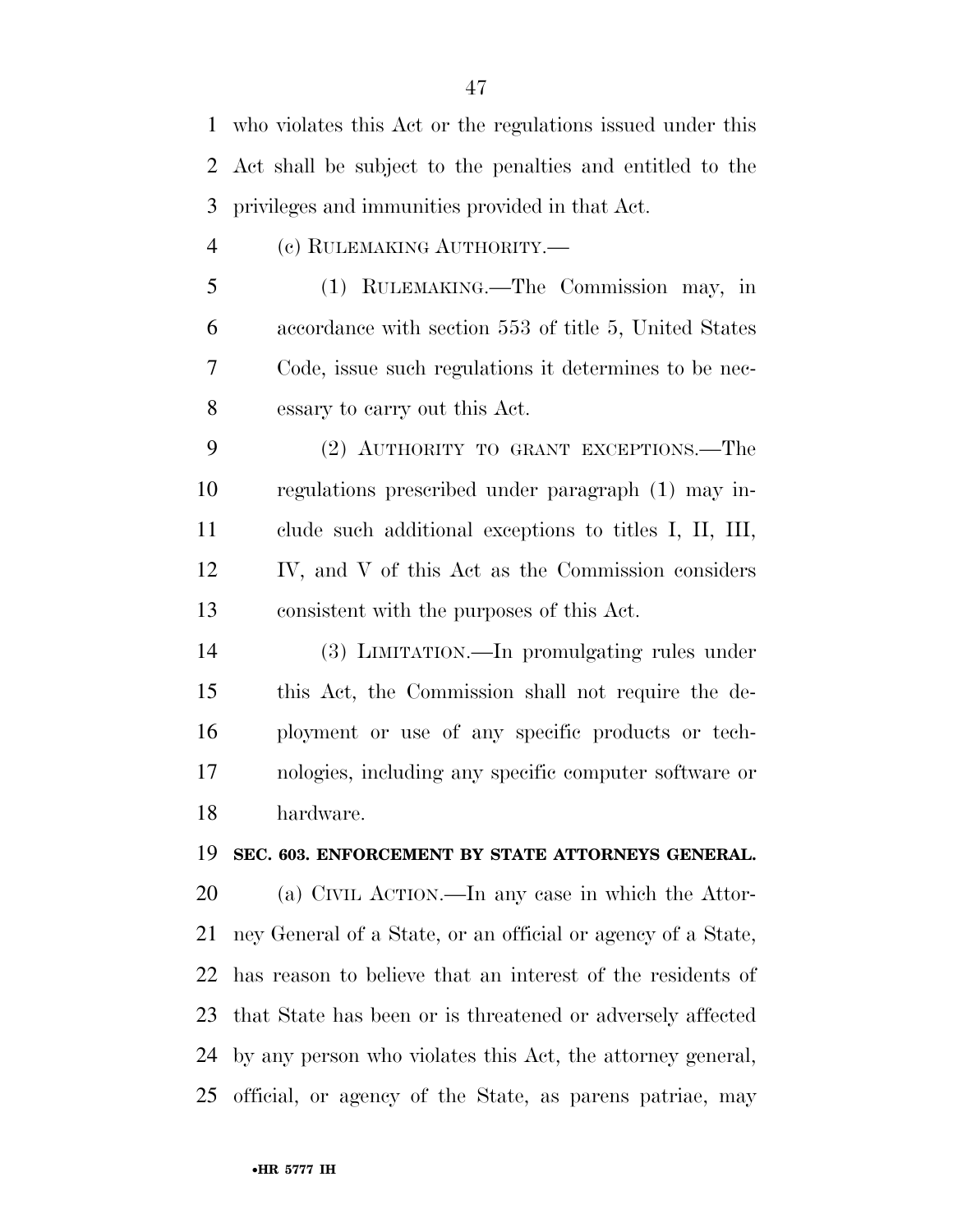who violates this Act or the regulations issued under this Act shall be subject to the penalties and entitled to the privileges and immunities provided in that Act.

- (c) RULEMAKING AUTHORITY.—
- (1) RULEMAKING.—The Commission may, in accordance with section 553 of title 5, United States Code, issue such regulations it determines to be nec-essary to carry out this Act.
- (2) AUTHORITY TO GRANT EXCEPTIONS.—The regulations prescribed under paragraph (1) may in- clude such additional exceptions to titles I, II, III, IV, and V of this Act as the Commission considers consistent with the purposes of this Act.
- (3) LIMITATION.—In promulgating rules under this Act, the Commission shall not require the de- ployment or use of any specific products or tech- nologies, including any specific computer software or hardware.

#### **SEC. 603. ENFORCEMENT BY STATE ATTORNEYS GENERAL.**

 (a) CIVIL ACTION.—In any case in which the Attor- ney General of a State, or an official or agency of a State, has reason to believe that an interest of the residents of that State has been or is threatened or adversely affected by any person who violates this Act, the attorney general, official, or agency of the State, as parens patriae, may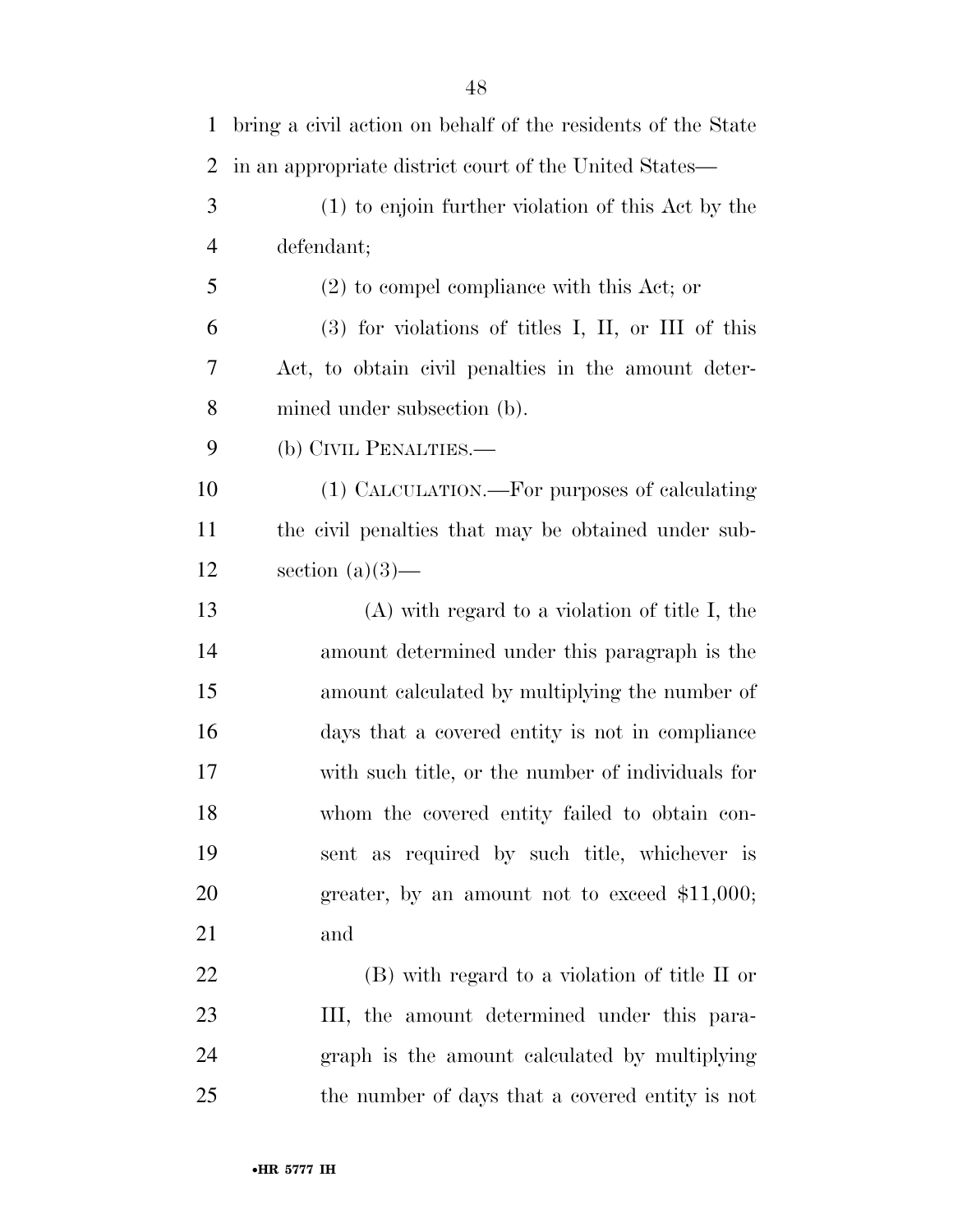| $\mathbf{1}$   | bring a civil action on behalf of the residents of the State |
|----------------|--------------------------------------------------------------|
| $\overline{2}$ | in an appropriate district court of the United States—       |
| 3              | (1) to enjoin further violation of this Act by the           |
| $\overline{4}$ | defendant;                                                   |
| 5              | $(2)$ to compel compliance with this Act; or                 |
| 6              | $(3)$ for violations of titles I, II, or III of this         |
| 7              | Act, to obtain civil penalties in the amount deter-          |
| 8              | mined under subsection (b).                                  |
| 9              | (b) CIVIL PENALTIES.—                                        |
| 10             | (1) CALCULATION.—For purposes of calculating                 |
| 11             | the civil penalties that may be obtained under sub-          |
| 12             | section $(a)(3)$ —                                           |
| 13             | $(A)$ with regard to a violation of title I, the             |
| 14             | amount determined under this paragraph is the                |
| 15             | amount calculated by multiplying the number of               |
| 16             | days that a covered entity is not in compliance              |
| 17             | with such title, or the number of individuals for            |
| 18             | whom the covered entity failed to obtain con-                |
| 19             | sent as required by such title, whichever is                 |
| 20             | greater, by an amount not to exceed $$11,000;$               |
| 21             | and                                                          |
| 22             | (B) with regard to a violation of title II or                |
| 23             | III, the amount determined under this para-                  |
| 24             | graph is the amount calculated by multiplying                |
| 25             | the number of days that a covered entity is not              |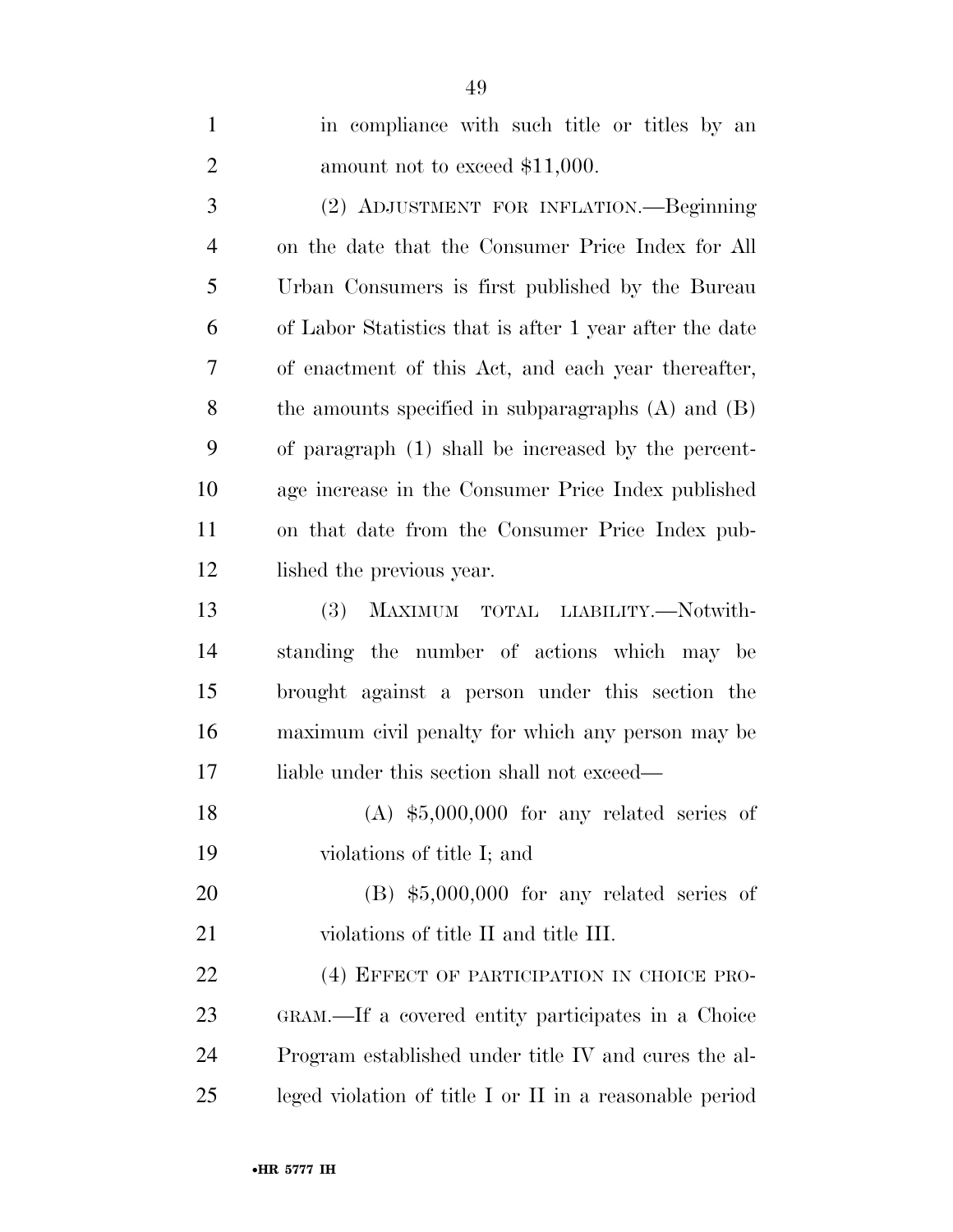| $\mathbf{1}$   | in compliance with such title or titles by an           |
|----------------|---------------------------------------------------------|
| $\overline{2}$ | amount not to exceed \$11,000.                          |
| 3              | (2) ADJUSTMENT FOR INFLATION.—Beginning                 |
| $\overline{4}$ | on the date that the Consumer Price Index for All       |
| 5              | Urban Consumers is first published by the Bureau        |
| 6              | of Labor Statistics that is after 1 year after the date |
| 7              | of enactment of this Act, and each year thereafter,     |
| 8              | the amounts specified in subparagraphs $(A)$ and $(B)$  |
| 9              | of paragraph (1) shall be increased by the percent-     |
| 10             | age increase in the Consumer Price Index published      |
| 11             | on that date from the Consumer Price Index pub-         |
| 12             | lished the previous year.                               |
| 13             | <b>(3)</b><br>MAXIMUM TOTAL LIABILITY.—Notwith-         |
| 14             | standing the number of actions which may be             |
| 15             | brought against a person under this section the         |
| 16             | maximum civil penalty for which any person may be       |
| 17             | liable under this section shall not exceed—             |
| 18             | $(A)$ \$5,000,000 for any related series of             |
| 19             | violations of title I; and                              |
| 20             | $(B)$ \$5,000,000 for any related series of             |
| 21             | violations of title II and title III.                   |
| 22             | (4) EFFECT OF PARTICIPATION IN CHOICE PRO-              |
| 23             | GRAM.—If a covered entity participates in a Choice      |
| 24             | Program established under title IV and cures the al-    |
| 25             | leged violation of title I or II in a reasonable period |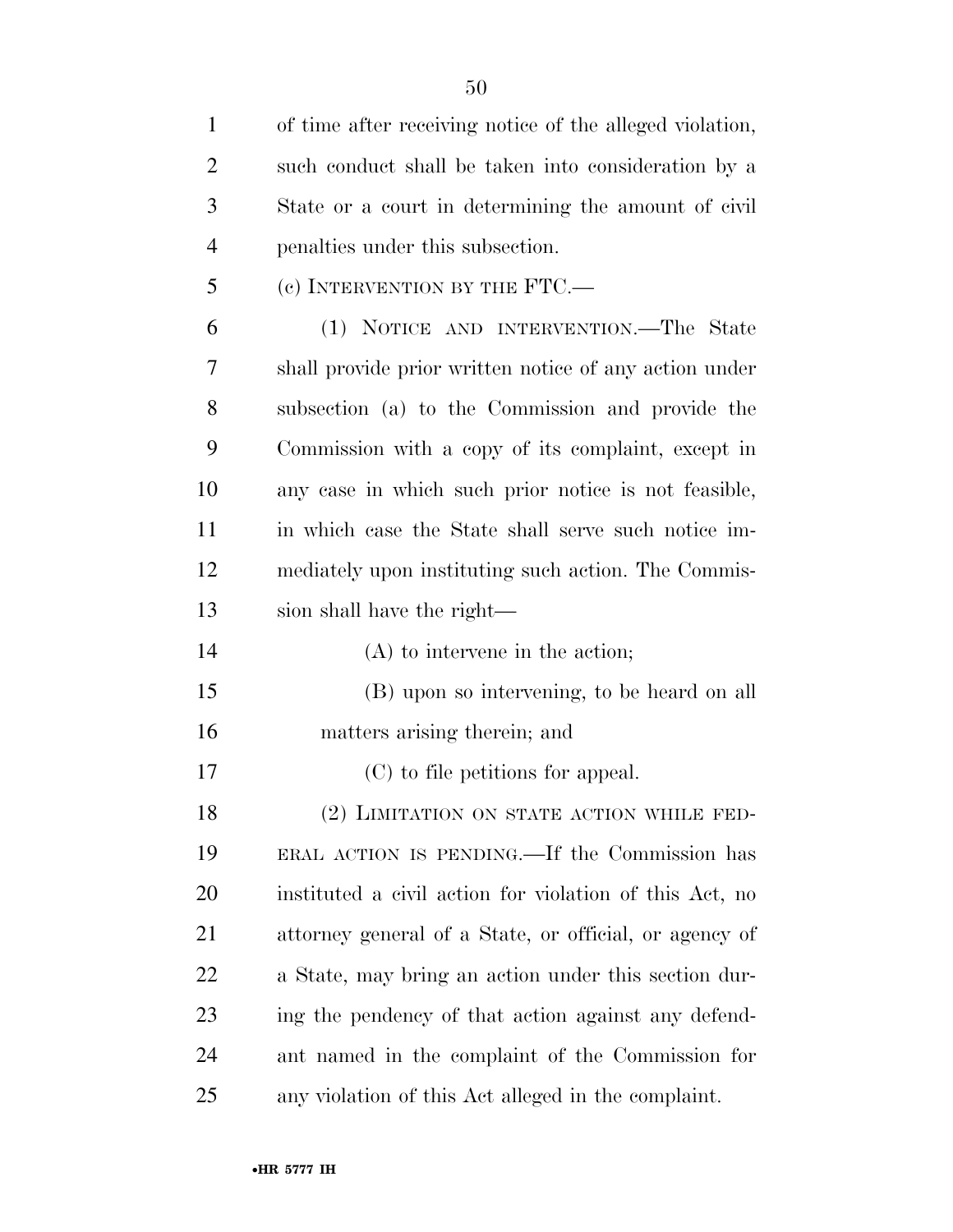| $\mathbf{1}$   | of time after receiving notice of the alleged violation, |
|----------------|----------------------------------------------------------|
| $\overline{2}$ | such conduct shall be taken into consideration by a      |
| 3              | State or a court in determining the amount of civil      |
| $\overline{4}$ | penalties under this subsection.                         |
| 5              | (c) INTERVENTION BY THE FTC.—                            |
| 6              | (1) NOTICE AND INTERVENTION.—The State                   |
| 7              | shall provide prior written notice of any action under   |
| 8              | subsection (a) to the Commission and provide the         |
| 9              | Commission with a copy of its complaint, except in       |
| 10             | any case in which such prior notice is not feasible,     |
| 11             | in which case the State shall serve such notice im-      |
| 12             | mediately upon instituting such action. The Commis-      |
| 13             | sion shall have the right—                               |
| 14             | $(A)$ to intervene in the action;                        |
| 15             | (B) upon so intervening, to be heard on all              |
| 16             | matters arising therein; and                             |
| 17             | (C) to file petitions for appeal.                        |
| 18             | (2) LIMITATION ON STATE ACTION WHILE FED-                |
| 19             | ERAL ACTION IS PENDING.—If the Commission has            |
| 20             | instituted a civil action for violation of this Act, no  |
| 21             | attorney general of a State, or official, or agency of   |
| 22             | a State, may bring an action under this section dur-     |
| 23             | ing the pendency of that action against any defend-      |
| 24             | ant named in the complaint of the Commission for         |
| 25             | any violation of this Act alleged in the complaint.      |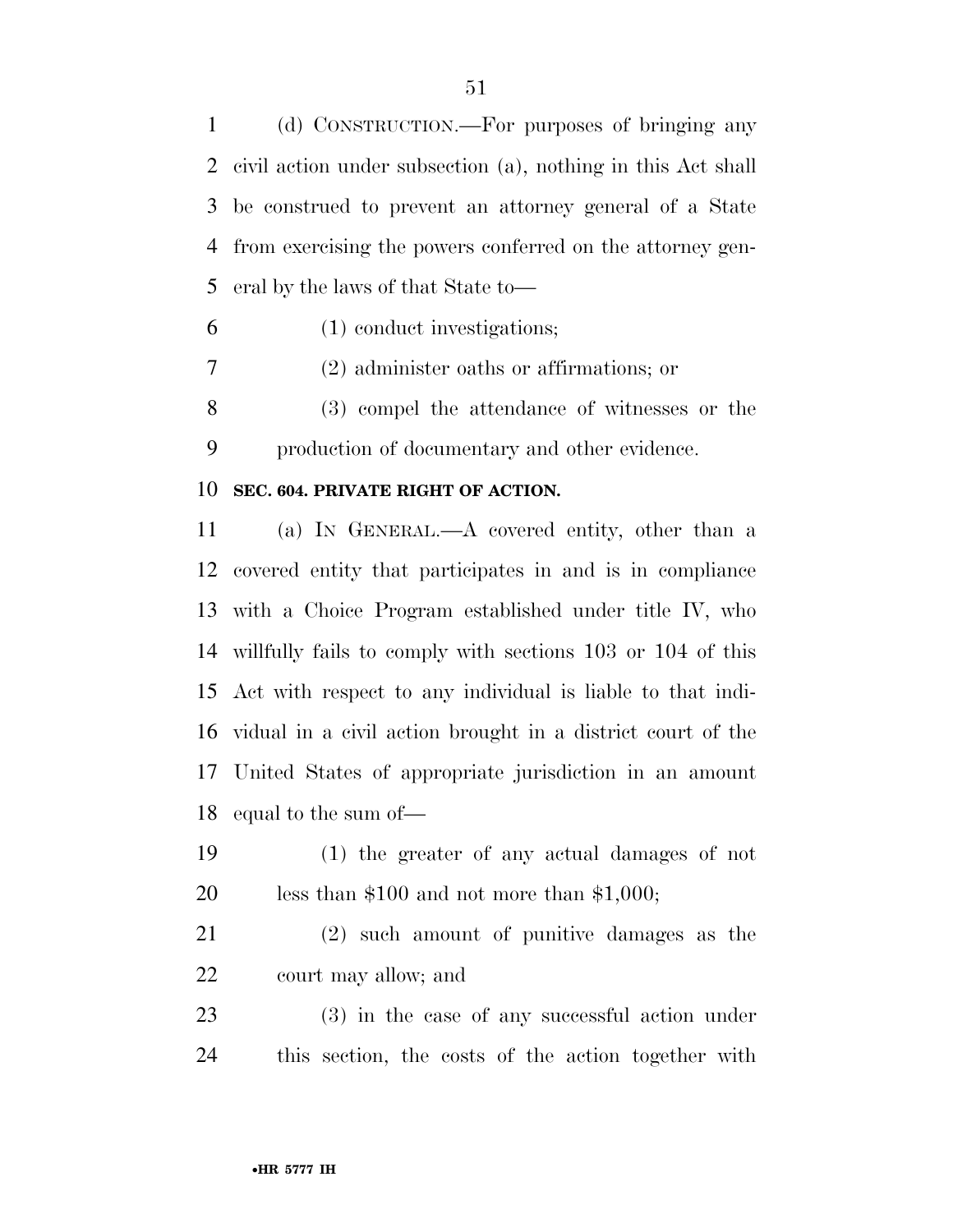(d) CONSTRUCTION.—For purposes of bringing any civil action under subsection (a), nothing in this Act shall be construed to prevent an attorney general of a State from exercising the powers conferred on the attorney gen-eral by the laws of that State to—

(1) conduct investigations;

(2) administer oaths or affirmations; or

 (3) compel the attendance of witnesses or the production of documentary and other evidence.

#### **SEC. 604. PRIVATE RIGHT OF ACTION.**

 (a) IN GENERAL.—A covered entity, other than a covered entity that participates in and is in compliance with a Choice Program established under title IV, who willfully fails to comply with sections 103 or 104 of this Act with respect to any individual is liable to that indi- vidual in a civil action brought in a district court of the United States of appropriate jurisdiction in an amount equal to the sum of—

- (1) the greater of any actual damages of not less than \$100 and not more than \$1,000;
- (2) such amount of punitive damages as the court may allow; and
- (3) in the case of any successful action under this section, the costs of the action together with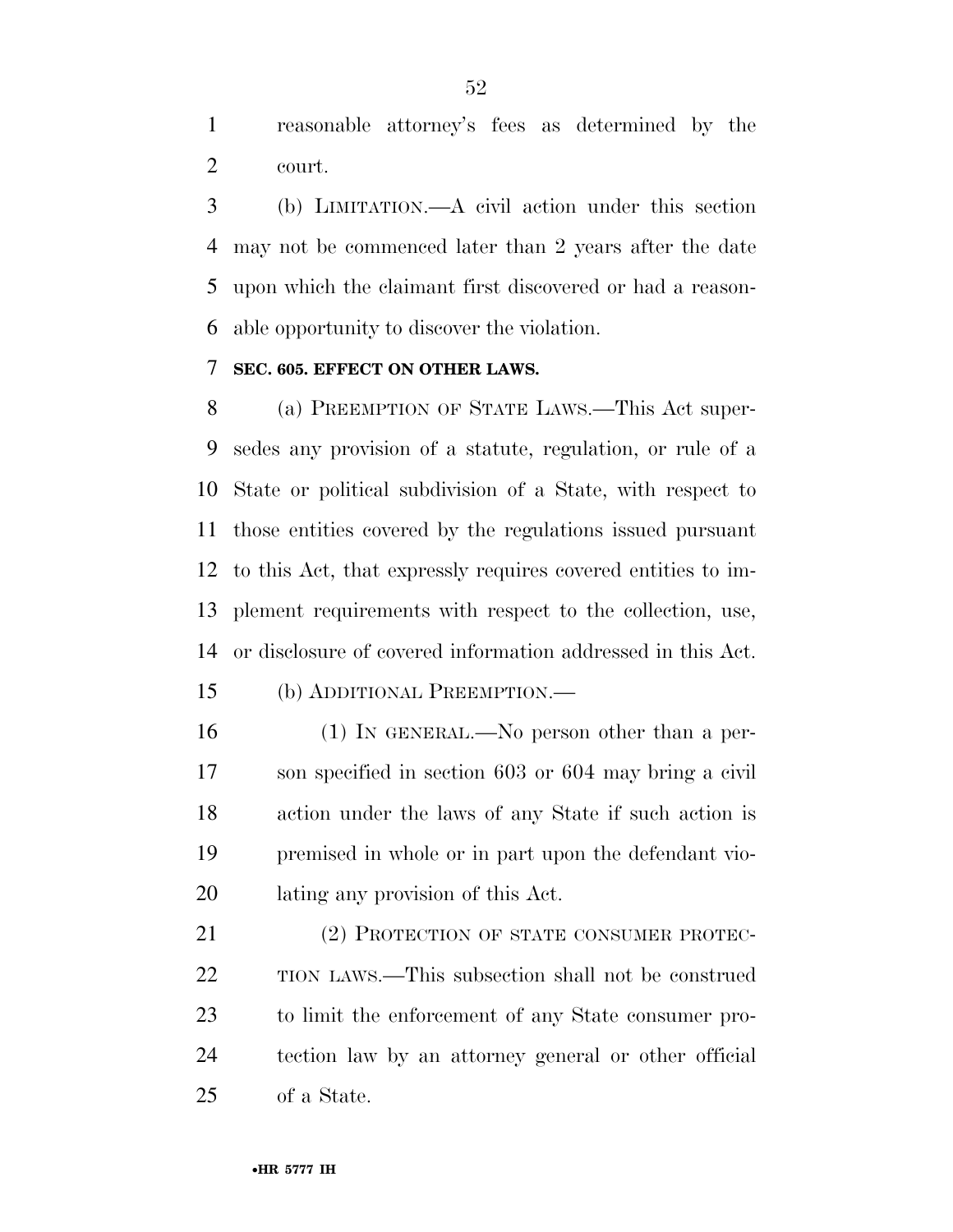reasonable attorney's fees as determined by the court.

 (b) LIMITATION.—A civil action under this section may not be commenced later than 2 years after the date upon which the claimant first discovered or had a reason-able opportunity to discover the violation.

### **SEC. 605. EFFECT ON OTHER LAWS.**

 (a) PREEMPTION OF STATE LAWS.—This Act super- sedes any provision of a statute, regulation, or rule of a State or political subdivision of a State, with respect to those entities covered by the regulations issued pursuant to this Act, that expressly requires covered entities to im- plement requirements with respect to the collection, use, or disclosure of covered information addressed in this Act.

- (b) ADDITIONAL PREEMPTION.—
- (1) IN GENERAL.—No person other than a per- son specified in section 603 or 604 may bring a civil action under the laws of any State if such action is premised in whole or in part upon the defendant vio-lating any provision of this Act.

21 (2) PROTECTION OF STATE CONSUMER PROTEC- TION LAWS.—This subsection shall not be construed to limit the enforcement of any State consumer pro- tection law by an attorney general or other official of a State.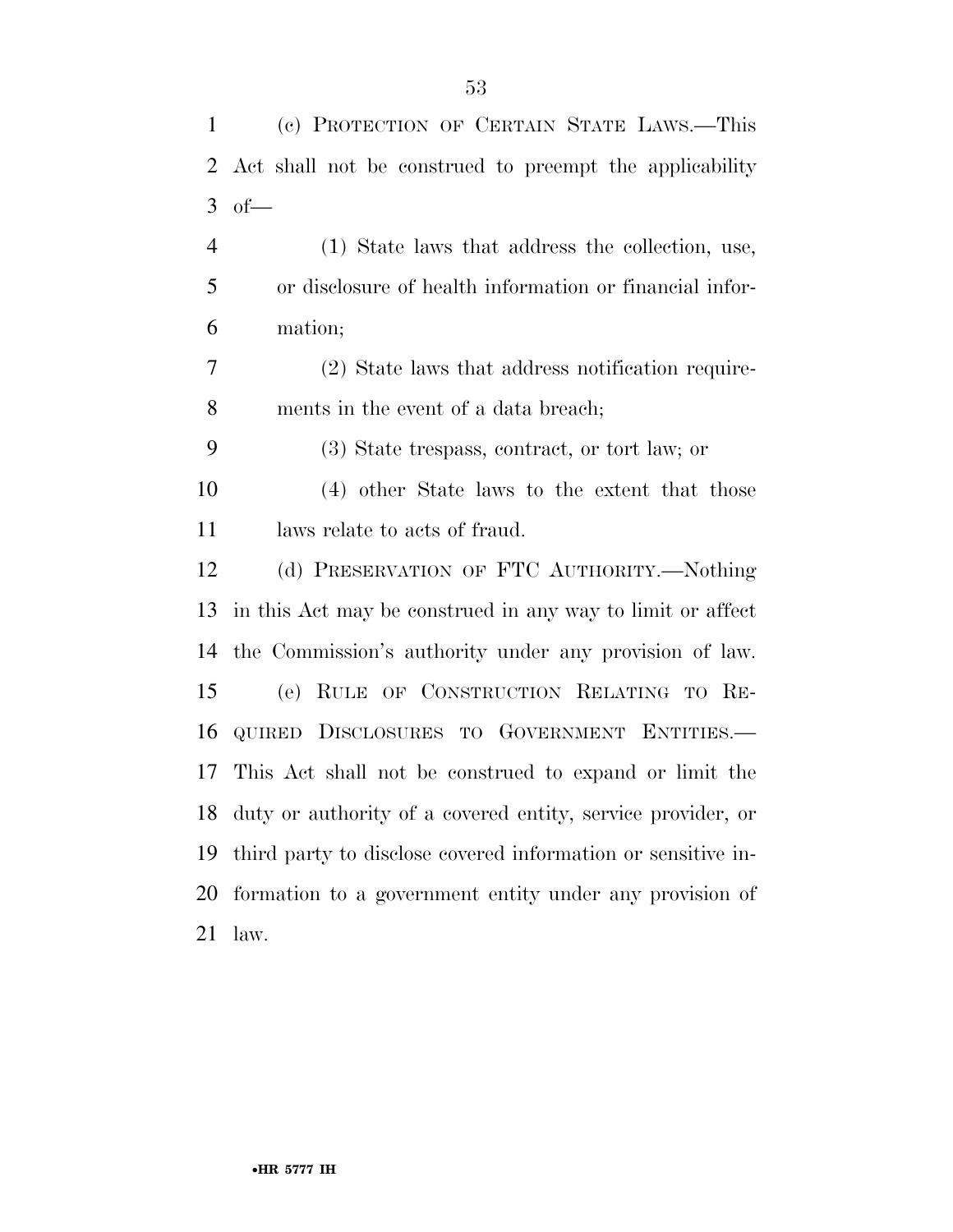| $\mathbf{1}$ | (c) PROTECTION OF CERTAIN STATE LAWS.—This                     |
|--------------|----------------------------------------------------------------|
| 2            | Act shall not be construed to preempt the applicability        |
| 3            | $of$ —                                                         |
| 4            | (1) State laws that address the collection, use,               |
| 5            | or disclosure of health information or financial infor-        |
| 6            | mation;                                                        |
| 7            | (2) State laws that address notification require-              |
| 8            | ments in the event of a data breach;                           |
| 9            | (3) State trespass, contract, or tort law; or                  |
| 10           | (4) other State laws to the extent that those                  |
| 11           | laws relate to acts of fraud.                                  |
| 12           | (d) PRESERVATION OF FTC AUTHORITY.—Nothing                     |
| 13           | in this Act may be construed in any way to limit or affect     |
| 14           | the Commission's authority under any provision of law.         |
| 15           | (e) RULE OF CONSTRUCTION RELATING TO RE-                       |
| 16           | QUIRED DISCLOSURES TO GOVERNMENT ENTITIES.                     |
| 17           | This Act shall not be construed to expand or limit the         |
|              | 18 duty or authority of a covered entity, service provider, or |
| 19           | third party to disclose covered information or sensitive in-   |
| 20           | formation to a government entity under any provision of        |
| 21           | law.                                                           |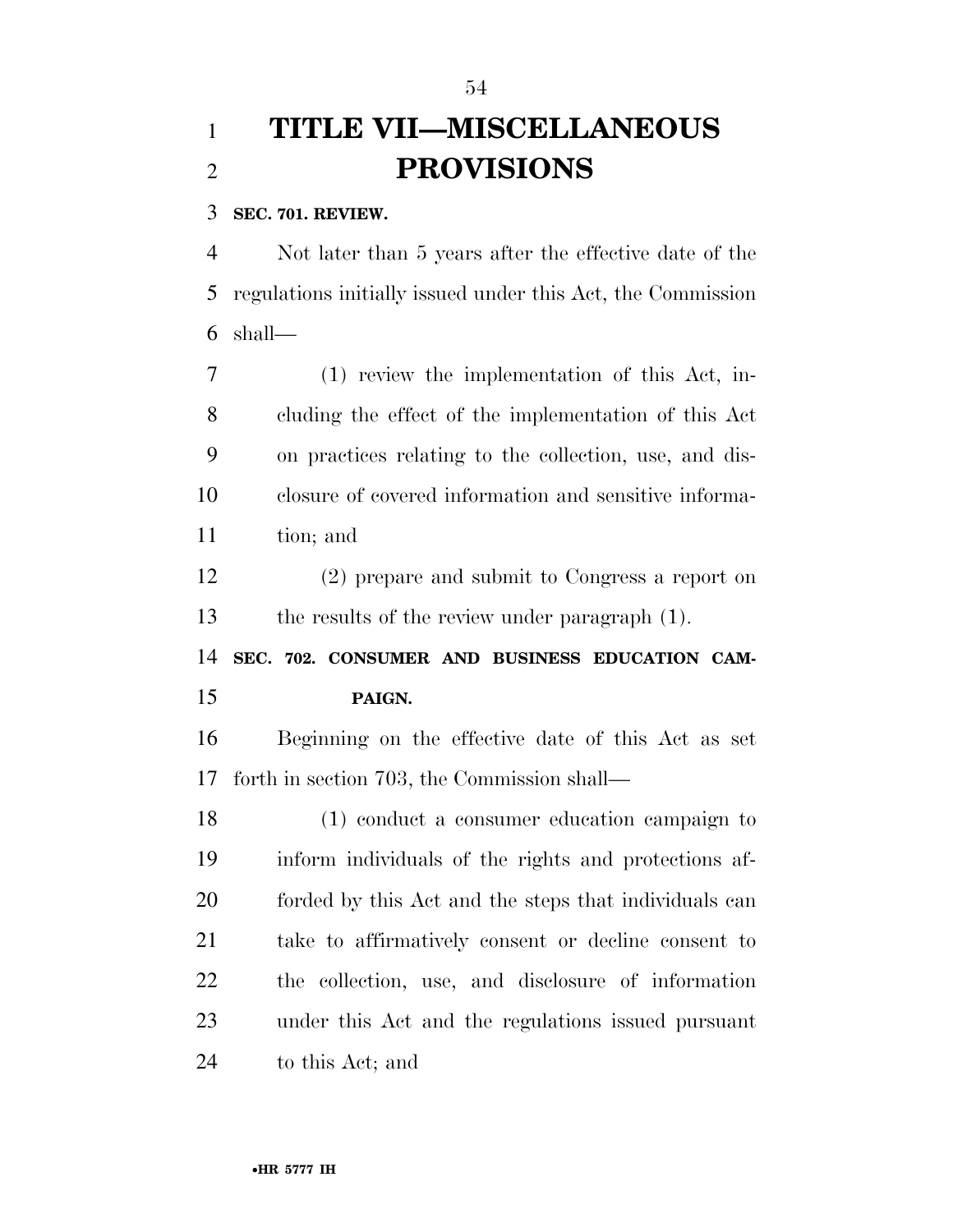## **TITLE VII—MISCELLANEOUS PROVISIONS**

### **SEC. 701. REVIEW.**

 Not later than 5 years after the effective date of the regulations initially issued under this Act, the Commission shall—

 (1) review the implementation of this Act, in- cluding the effect of the implementation of this Act on practices relating to the collection, use, and dis- closure of covered information and sensitive informa-tion; and

 (2) prepare and submit to Congress a report on the results of the review under paragraph (1).

 **SEC. 702. CONSUMER AND BUSINESS EDUCATION CAM-PAIGN.** 

 Beginning on the effective date of this Act as set forth in section 703, the Commission shall—

 (1) conduct a consumer education campaign to inform individuals of the rights and protections af- forded by this Act and the steps that individuals can take to affirmatively consent or decline consent to the collection, use, and disclosure of information under this Act and the regulations issued pursuant to this Act; and